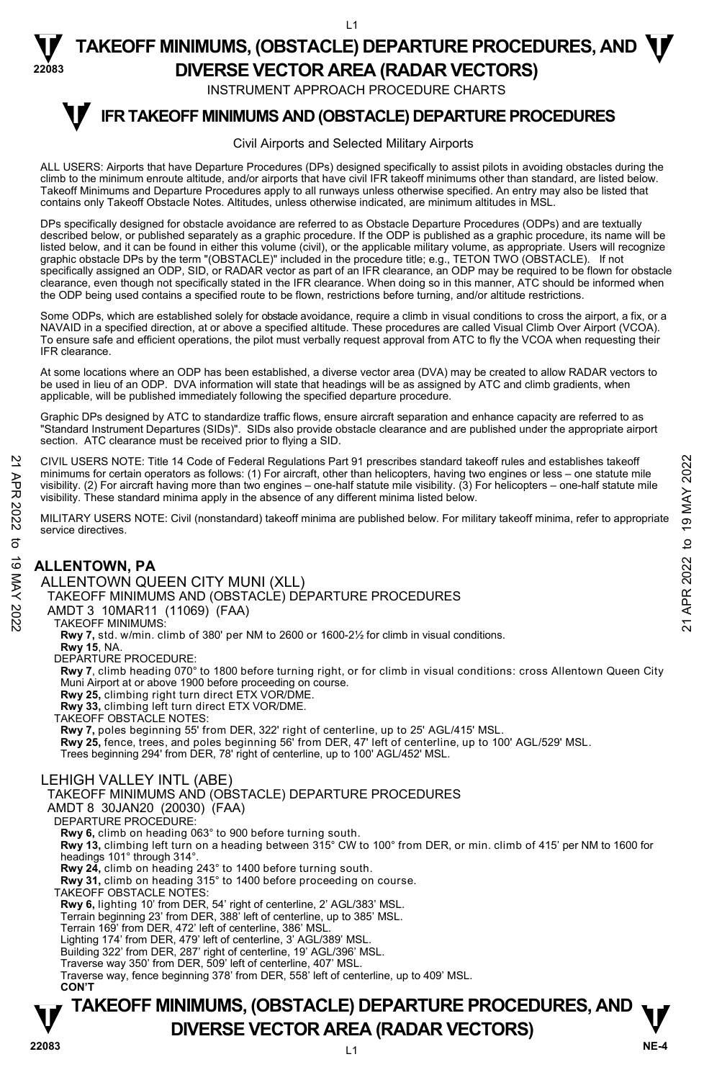INSTRUMENT APPROACH PROCEDURE CHARTS

L1

#### **IFR TAKEOFF MINIMUMS AND (OBSTACLE) DEPARTURE PROCEDURES T**

#### Civil Airports and Selected Military Airports

ALL USERS: Airports that have Departure Procedures (DPs) designed specifically to assist pilots in avoiding obstacles during the climb to the minimum enroute altitude, and/or airports that have civil IFR takeoff minimums other than standard, are listed below. Takeoff Minimums and Departure Procedures apply to all runways unless otherwise specified. An entry may also be listed that contains only Takeoff Obstacle Notes. Altitudes, unless otherwise indicated, are minimum altitudes in MSL.

DPs specifically designed for obstacle avoidance are referred to as Obstacle Departure Procedures (ODPs) and are textually described below, or published separately as a graphic procedure. If the ODP is published as a graphic procedure, its name will be listed below, and it can be found in either this volume (civil), or the applicable military volume, as appropriate. Users will recognize graphic obstacle DPs by the term "(OBSTACLE)" included in the procedure title; e.g., TETON TWO (OBSTACLE). If not specifically assigned an ODP, SID, or RADAR vector as part of an IFR clearance, an ODP may be required to be flown for obstacle<br>clearance, even though not specifically stated in the IFR clearance. When doing so in this man the ODP being used contains a specified route to be flown, restrictions before turning, and/or altitude restrictions.

Some ODPs, which are established solely for obstacle avoidance, require a climb in visual conditions to cross the airport, a fix, or a NAVAID in a specified direction, at or above a specified altitude. These procedures are called Visual Climb Over Airport (VCOA). To ensure safe and efficient operations, the pilot must verbally request approval from ATC to fly the VCOA when requesting their IFR clearance.

At some locations where an ODP has been established, a diverse vector area (DVA) may be created to allow RADAR vectors to be used in lieu of an ODP. DVA information will state that headings will be as assigned by ATC and climb gradients, when applicable, will be published immediately following the specified departure procedure.

Graphic DPs designed by ATC to standardize traffic flows, ensure aircraft separation and enhance capacity are referred to as "Standard Instrument Departures (SIDs)". SIDs also provide obstacle clearance and are published under the appropriate airport section. ATC clearance must be received prior to flying a SID.

CIVIL USERS NOTE: Title 14 Code of Federal Regulations Part 91 prescribes standard takeoff rules and establishes takeoff minimums for certain operators as follows: (1) For aircraft, other than helicopters, having two engines or less – one statute mile visibility. (2) For aircraft having more than two engines – one-half statute mile visibility. (3) For helicopters – one-half statute mile visibility. These standard minima apply in the absence of any different minima listed below. CIVIL USERS NOTE: Title 14 Code of Federal Regulations Part 91 prescribes standard takeoff miles and establishes takeoff<br>
minimums for certain operators as follows: (1) For aircraft, other than helicopters, having two eng

MILITARY USERS NOTE: Civil (nonstandard) takeoff minima are published below. For military takeoff minima, refer to appropriate service directives.

#### **ALLENTOWN, PA**

**22083** 

ALLENTOWN QUEEN CITY MUNI (XLL) TAKEOFF MINIMUMS AND (OBSTACLE) DEPARTURE PROCEDURES AMDT 3 10MAR11 (11069) (FAA) TAKEOFF MINIMUMS: **Rwy 7,** std. w/min. climb of 380' per NM to 2600 or 1600-2½ for climb in visual conditions. **Rwy 15**, NA. DEPARTURE PROCEDURE: **Rwy 7**, climb heading 070° to 1800 before turning right, or for climb in visual conditions: cross Allentown Queen City Muni Airport at or above 1900 before proceeding on course. **Rwy 25,** climbing right turn direct ETX VOR/DME. **Rwy 33,** climbing left turn direct ETX VOR/DME. TAKEOFF OBSTACLE NOTES: **Rwy 7,** poles beginning 55' from DER, 322' right of centerline, up to 25' AGL/415' MSL. **Rwy 25,** fence, trees, and poles beginning 56' from DER, 47' left of centerline, up to 100' AGL/529' MSL. Trees beginning 294' from DER, 78' right of centerline, up to 100' AGL/452' MSL. LEHIGH VALLEY INTL (ABE) TAKEOFF MINIMUMS AND (OBSTACLE) DEPARTURE PROCEDURES AMDT 8 30JAN20 (20030) (FAA) DEPARTURE PROCEDURE:

**Rwy 6,** climb on heading 063° to 900 before turning south.

**Rwy 13,** climbing left turn on a heading between 315° CW to 100° from DER, or min. climb of 415' per NM to 1600 for headings 101° through 314°.

**Rwy 24,** climb on heading 243° to 1400 before turning south.

**Rwy 31,** climb on heading 315° to 1400 before proceeding on course. TAKEOFF OBSTACLE NOTES:

**Rwy 6,** lighting 10' from DER, 54' right of centerline, 2' AGL/383' MSL.

Terrain beginning 23' from DER, 388' left of centerline, up to 385' MSL. Terrain 169' from DER, 472' left of centerline, 386' MSL.

Lighting 174' from DER, 479' left of centerline, 3' AGL/389' MSL.

Building 322' from DER, 287' right of centerline, 19' AGL/396' MSL.

Traverse way 350' from DER, 509' left of centerline, 407' MSL. Traverse way, fence beginning 378' from DER, 558' left of centerline, up to 409' MSL.

**CON'T**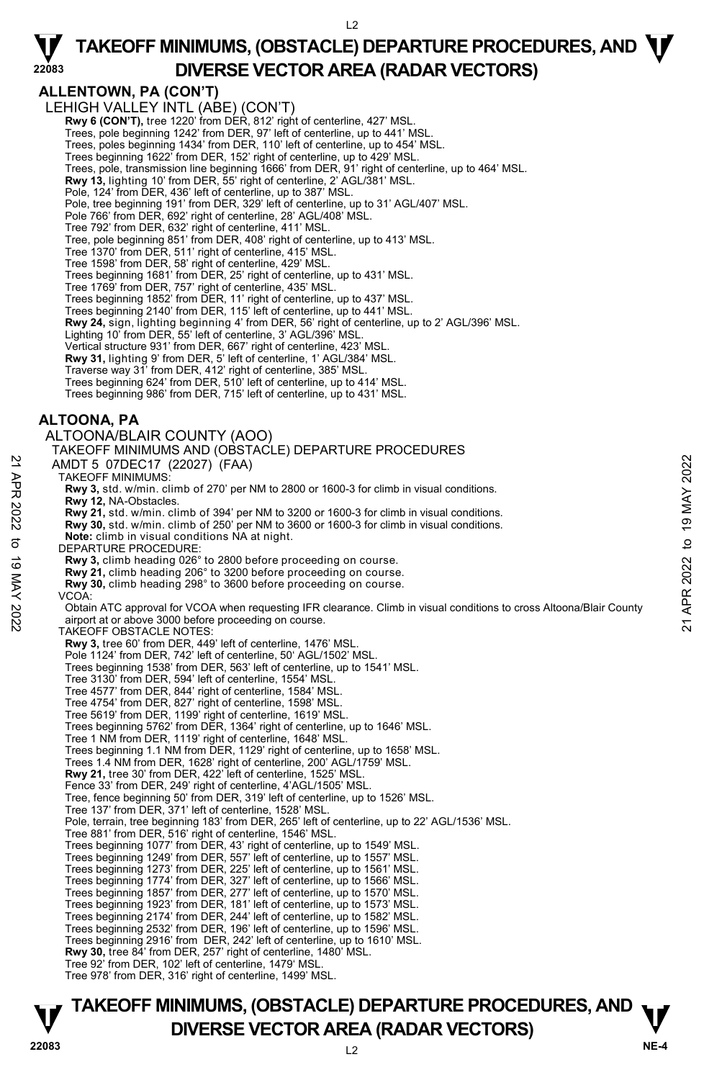**ALLENTOWN, PA (CON'T)**  LEHIGH VALLEY INTL (ABE) (CON'T) **Rwy 6 (CON'T),** tree 1220' from DER, 812' right of centerline, 427' MSL. Trees, pole beginning 1242' from DER, 97' left of centerline, up to 441' MSL. Trees, poles beginning 1434' from DER, 110' left of centerline, up to 454' MSL. Trees beginning 1622' from DER, 152' right of centerline, up to 429' MSL. Trees, pole, transmission line beginning 1666' from DER, 91' right of centerline, up to 464' MSL. **Rwy 13,** lighting 10' from DER, 55' right of centerline, 2' AGL/381' MSL. Pole, 124' from DER, 436' left of centerline, up to 387' MSL. Pole, tree beginning 191' from DER, 329' left of centerline, up to 31' AGL/407' MSL. Pole 766' from DER, 692' right of centerline, 28' AGL/408' MSL. Tree 792' from DER, 632' right of centerline, 411' MSL. Tree, pole beginning 851' from DER, 408' right of centerline, up to 413' MSL. Tree 1370' from DER, 511' right of centerline, 415' MSL. Tree 1598' from DER, 58' right of centerline, 429' MSL. Trees beginning 1681' from DER, 25' right of centerline, up to 431' MSL. Tree 1769' from DER, 757' right of centerline, 435' MSL. Trees beginning 1852' from DER, 11' right of centerline, up to 437' MSL. Trees beginning 2140' from DER, 115' left of centerline, up to 441' MSL. **Rwy 24,** sign, lighting beginning 4' from DER, 56' right of centerline, up to 2' AGL/396' MSL.<br>Lighting 10' from DER, 55' left of centerline, 3' AGL/396' MSL. Vertical structure 931' from DER, 667' right of centerline, 423' MSL. **Rwy 31,** lighting 9' from DER, 5' left of centerline, 1' AGL/384' MSL. Traverse way 31' from DER, 412' right of centerline, 385' MSL. Trees beginning 624' from DER, 510' left of centerline, up to 414' MSL. Trees beginning 986' from DER, 715' left of centerline, up to 431' MSL. **ALTOONA, PA**  ALTOONA/BLAIR COUNTY (AOO) TAKEOFF MINIMUMS AND (OBSTACLE) DEPARTURE PROCEDURES AMDT 5 07DEC17 (22027) (FAA) TAKEOFF MINIMUMS: **Rwy 3,** std. w/min. climb of 270' per NM to 2800 or 1600-3 for climb in visual conditions. **Rwy 12,** NA-Obstacles. **Rwy 21,** std. w/min. climb of 394' per NM to 3200 or 1600-3 for climb in visual conditions. **Rwy 30,** std. w/min. climb of 250' per NM to 3600 or 1600-3 for climb in visual conditions. **Note:** climb in visual conditions NA at night. DEPARTURE PROCEDURE: **Rwy 3,** climb heading 026° to 2800 before proceeding on course. **Rwy 21,** climb heading 206° to 3200 before proceeding on course. **Rwy 30,** climb heading 298° to 3600 before proceeding on course. VCOA: Obtain ATC approval for VCOA when requesting IFR clearance. Climb in visual conditions to cross Altoona/Blair County airport at or above 3000 before proceeding on course. TAKEOFF OBSTACLE NOTES: **Rwy 3,** tree 60' from DER, 449' left of centerline, 1476' MSL. Pole 1124' from DER, 742' left of centerline, 50' AGL/1502' MSL Trees beginning 1538' from DER, 563' left of centerline, up to 1541' MSL. Tree 3130' from DER, 594' left of centerline, 1554' MSL. Tree 4577' from DER, 844' right of centerline, 1584' MSL. Tree 4754' from DER, 827' right of centerline, 1598' MSL. Tree 5619' from DER, 1199' right of centerline, 1619' MSL. Trees beginning 5762' from DER, 1364' right of centerline, up to 1646' MSL. Tree 1 NM from DER, 1119' right of centerline, 1648' MSL. Trees beginning 1.1 NM from DER, 1129' right of centerline, up to 1658' MSL. Trees 1.4 NM from DER, 1628' right of centerline, 200' AGL/1759' MSL. **Rwy 21,** tree 30' from DER, 422' left of centerline, 1525' MSL. Fence 33' from DER, 249' right of centerline, 4'AGL/1505' MSL. Tree, fence beginning 50' from DER, 319' left of centerline, up to 1526' MSL. Tree 137' from DER, 371' left of centerline, 1528' MSL. Pole, terrain, tree beginning 183' from DER, 265' left of centerline, up to 22' AGL/1536' MSL. Tree 881' from DER, 516' right of centerline, 1546' MSL. Trees beginning 1077' from DER, 43' right of centerline, up to 1549' MSL. Trees beginning 1249' from DER, 557' left of centerline, up to 1557' MSL. Trees beginning 1273' from DER, 225' left of centerline, up to 1561' MSL. Trees beginning 1774' from DER, 327' left of centerline, up to 1566' MSL. Trees beginning 1857' from DER, 277' left of centerline, up to 1570' MSL. Trees beginning 1923' from DER, 181' left of centerline, up to 1573' MSL. Trees beginning 2174' from DER, 244' left of centerline, up to 1582' MSL. Trees beginning 2532' from DER, 196' left of centerline, up to 1596' MSL. Trees beginning 2916' from DER, 242' left of centerline, up to 1610' MSL. **Rwy 30,** tree 84' from DER, 257' right of centerline, 1480' MSL. Tree 92' from DER, 102' left of centerline, 1479' MSL. Tree 978' from DER, 316' right of centerline, 1499' MSL. AMDT 5 07DEC17 (22027) (FAA)<br>
TAKEOFF MINIMUMS:<br>
TRAW 31, std. w/min. climb of 270' per NM to 2800 or 1600-3 for climb in visual conditions.<br>
Rwy 31, std. w/min. climb of 394' per NM to 3200 or 1600-3 for climb in visual

## **TAKEOFF MINIMUMS, (OBSTACLE) DEPARTURE PROCEDURES, AND**  $\mathbf{\nabla}$ **DIVERSE VECTOR AREA (RADAR VECTORS)** 22083

**22083**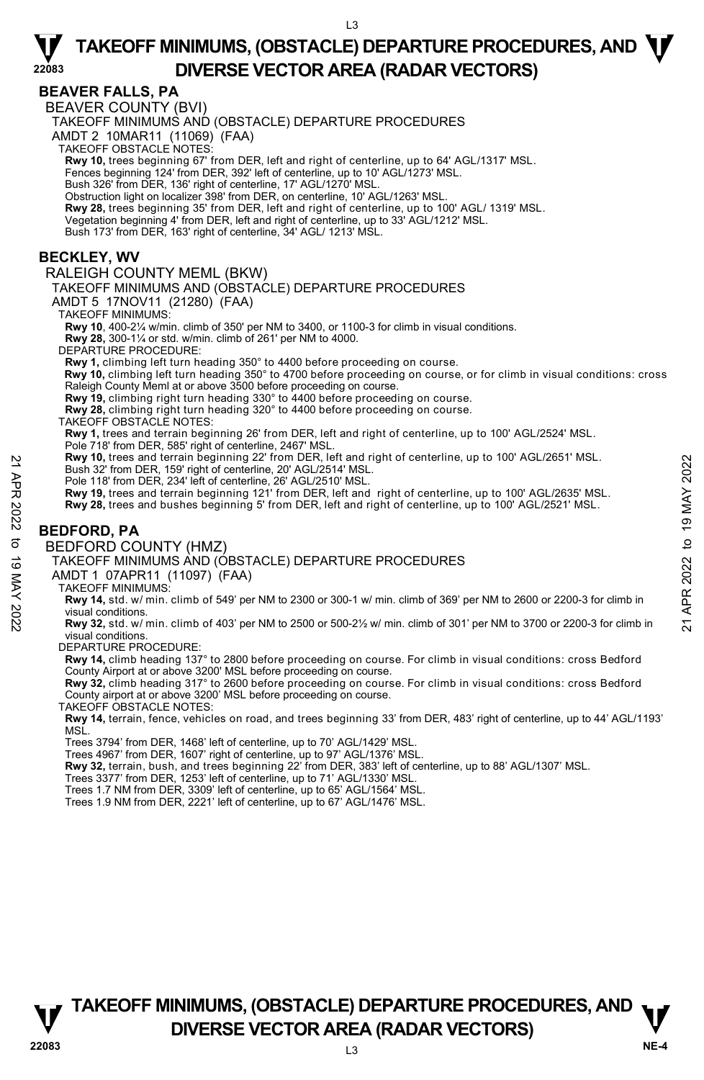#### **BEAVER FALLS, PA**

**22083** 

BEAVER COUNTY (BVI)

TAKEOFF MINIMUMS AND (OBSTACLE) DEPARTURE PROCEDURES

AMDT 2 10MAR11 (11069) (FAA)

TAKEOFF OBSTACLE NOTES:

**Rwy 10,** trees beginning 67' from DER, left and right of centerline, up to 64' AGL/1317' MSL.

Fences beginning 124' from DER, 392' left of centerline, up to 10' AGL/1273' MSL.

Bush 326' from DER, 136' right of centerline, 17' AGL/1270' MSL.

Obstruction light on localizer 398' from DER, on centerline, 10' AGL/1263' MSL.

**Rwy 28,** trees beginning 35' from DER, left and right of centerline, up to 100' AGL/ 1319' MSL.<br>Vegetation beginning 4' from DER, left and right of centerline, up to 33' AGL/1212' MSL.

Bush 173' from DER, 163' right of centerline, 34' AGL/ 1213' MSL.

#### **BECKLEY, WV**

#### RALEIGH COUNTY MEML (BKW)

TAKEOFF MINIMUMS AND (OBSTACLE) DEPARTURE PROCEDURES

AMDT 5 17NOV11 (21280) (FAA)

TAKEOFF MINIMUMS:

**Rwy 10**, 400-2¼ w/min. climb of 350' per NM to 3400, or 1100-3 for climb in visual conditions. **Rwy 28,** 300-1¼ or std. w/min. climb of 261' per NM to 4000.

DEPARTURE PROCEDURE:

**Rwy 1,** climbing left turn heading 350° to 4400 before proceeding on course.

 **Rwy 10,** climbing left turn heading 350° to 4700 before proceeding on course, or for climb in visual conditions: cross Raleigh County Meml at or above 3500 before proceeding on course.

**Rwy 19,** climbing right turn heading 330° to 4400 before proceeding on course.

**Rwy 28,** climbing right turn heading 320° to 4400 before proceeding on course. TAKEOFF OBSTACLE NOTES:

**Rwy 1,** trees and terrain beginning 26' from DER, left and right of centerline, up to 100' AGL/2524' MSL.

Pole 718' from DER, 585' right of centerline, 2467' MSL.

**Rwy 10,** trees and terrain beginning 22' from DER, left and right of centerline, up to 100' AGL/2651' MSL.

Bush 32' from DER, 159' right of centerline, 20' AGL/2514' MSL.

Pole 118' from DER, 234' left of centerline, 26' AGL/2510' MSL.<br>**Rwy 19,** trees and terrain beginning 121' from DER, left and right of centerline, up to 100' AGL/2635' MSL.

**Rwy 28,** trees and bushes beginning 5' from DER, left and right of centerline, up to 100' AGL/2521' MSL.

### **BEDFORD, PA**

BEDFORD COUNTY (HMZ)

TAKEOFF MINIMUMS AND (OBSTACLE) DEPARTURE PROCEDURES

#### AMDT 1 07APR11 (11097) (FAA)

TAKEOFF MINIMUMS:

**Rwy 14,** std. w/ min. climb of 549' per NM to 2300 or 300-1 w/ min. climb of 369' per NM to 2600 or 2200-3 for climb in visual conditions. **EXECUTE:** A Real terrain beginning 22' from DER, iers and terrain contentine, 20' AGL/2514' MSL.<br>
Pube 118' from DER, 159' right of centerline, 26' AGL/2510' MSL.<br>
Pole 118' from DER, 234' left of centerline, 26' AGL/251

**Rwy 32,** std. w/ min. climb of 403' per NM to 2500 or 500-2½ w/ min. climb of 301' per NM to 3700 or 2200-3 for climb in visual conditions.

DEPARTURE PROCEDURE:

**Rwy 14,** climb heading 137° to 2800 before proceeding on course. For climb in visual conditions: cross Bedford County Airport at or above 3200' MSL before proceeding on course.

**Rwy 32,** climb heading 317° to 2600 before proceeding on course. For climb in visual conditions: cross Bedford County airport at or above 3200' MSL before proceeding on course.

TAKEOFF OBSTACLE NOTES:

**Rwy 14,** terrain, fence, vehicles on road, and trees beginning 33' from DER, 483' right of centerline, up to 44' AGL/1193' MSL.

Trees 3794' from DER, 1468' left of centerline, up to 70' AGL/1429' MSL.

Trees 4967' from DER, 1607' right of centerline, up to 97' AGL/1376' MSL.

**Rwy 32,** terrain, bush, and trees beginning 22' from DER, 383' left of centerline, up to 88' AGL/1307' MSL.<br>Trees 3377' from DER, 1253' left of centerline, up to 71' AGL/1330' MSL.

Trees 1.7 NM from DER, 3309' left of centerline, up to 65' AGL/1564' MSL.

Trees 1.9 NM from DER, 2221' left of centerline, up to 67' AGL/1476' MSL.

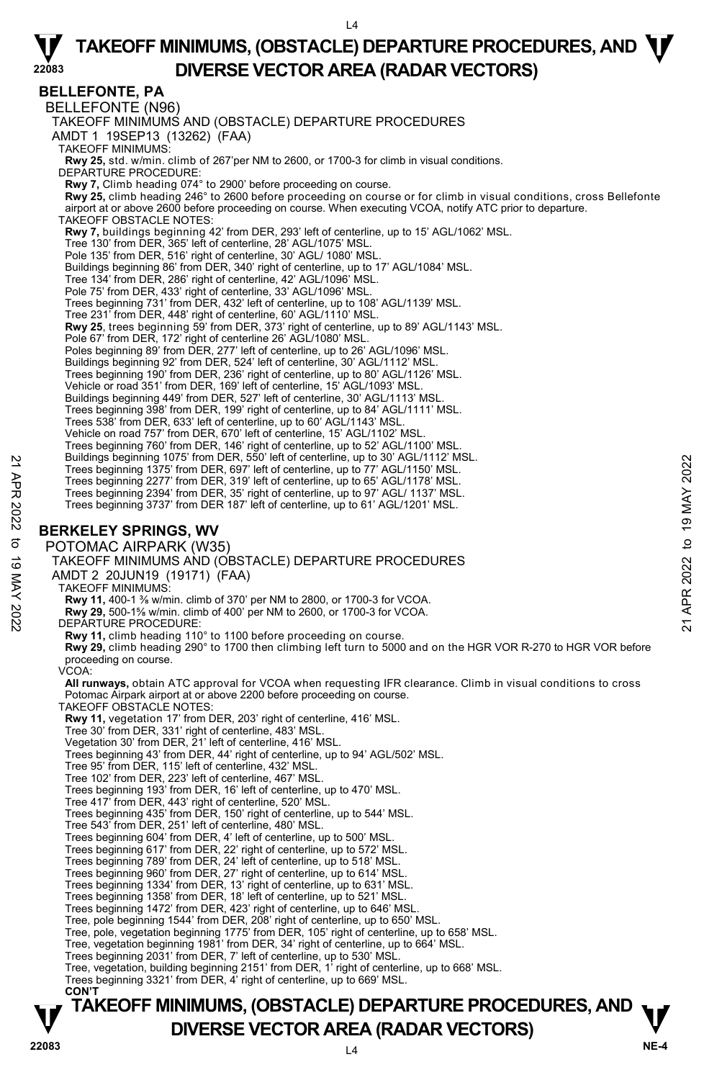**22083 BELLEFONTE, PA**  BELLEFONTE (N96) TAKEOFF MINIMUMS AND (OBSTACLE) DEPARTURE PROCEDURES AMDT 1 19SEP13 (13262) (FAA) TAKEOFF MINIMUMS: **Rwy 25,** std. w/min. climb of 267'per NM to 2600, or 1700-3 for climb in visual conditions. DEPARTURE PROCEDURE: **Rwy 7,** Climb heading 074° to 2900' before proceeding on course. **Rwy 25,** climb heading 246° to 2600 before proceeding on course or for climb in visual conditions, cross Bellefonte airport at or above 2600 before proceeding on course. When executing VCOA, notify ATC prior to departure. TAKEOFF OBSTACLE NOTES: **Rwy 7,** buildings beginning 42' from DER, 293' left of centerline, up to 15' AGL/1062' MSL. Tree 130' from DER, 365' left of centerline, 28' AGL/1075' MSL. Pole 135' from DER, 516' right of centerline, 30' AGL/ 1080' MSL. Buildings beginning 86' from DER, 340' right of centerline, up to 17' AGL/1084' MSL. Tree 134' from DER, 286' right of centerline, 42' AGL/1096' MSL. Pole 75' from DER, 433' right of centerline, 33' AGL/1096' MSL. Trees beginning 731' from DER, 432' left of centerline, up to 108' AGL/1139' MSL. Tree 231' from DER, 448' right of centerline, 60' AGL/1110' MSL. **Rwy 25**, trees beginning 59' from DER, 373' right of centerline, up to 89' AGL/1143' MSL.<br>Pole 67' from DER, 172' right of centerline 26' AGL/1080' MSL.<br>Poles beginning 89' from DER, 277' left of centerline, up to 26' AGL Buildings beginning 92' from DER, 524' left of centerline, 30' AGL/1112' MSL. Trees beginning 190' from DER, 236' right of centerline, up to 80' AGL/1126' MSL. Vehicle or road 351' from DER, 169' left of centerline, 15' AGL/1093' MSL. Buildings beginning 449' from DER, 527' left of centerline, 30' AGL/1113' MSL. Trees beginning 398' from DER, 199' right of centerline, up to 84' AGL/1111' MSL. Trees 538' from DER, 633' left of centerline, up to 60' AGL/1143' MSL. Vehicle on road 757' from DER, 670' left of centerline, 15' AGL/1102' MSL. Trees beginning 760' from DER, 146' right of centerline, up to 52' AGL/1100' MSL. Buildings beginning 1075' from DER, 550' left of centerline, up to 30' AGL/1112' MSL. Trees beginning 1375' from DER, 697' left of centerline, up to 77' AGL/1150' MSL. Trees beginning 2277' from DER, 319' left of centerline, up to 65' AGL/1178' MSL. Trees beginning 2394' from DER, 35' right of centerline, up to 97' AGL/ 1137' MSL. Trees beginning 3737' from DER 187' left of centerline, up to 61' AGL/1201' MSL. **BERKELEY SPRINGS, WV**  POTOMAC AIRPARK (W35) TAKEOFF MINIMUMS AND (OBSTACLE) DEPARTURE PROCEDURES AMDT 2 20JUN19 (19171) (FAA) TAKEOFF MINIMUMS: **Rwy 11,** 400-1 ⅜ w/min. climb of 370' per NM to 2800, or 1700-3 for VCOA. **Rwy 29,** 500-1⅝ w/min. climb of 400' per NM to 2600, or 1700-3 for VCOA. DEPARTURE PROCEDURE: **Rwy 11,** climb heading 110° to 1100 before proceeding on course. **Rwy 29,** climb heading 290° to 1700 then climbing left turn to 5000 and on the HGR VOR R-270 to HGR VOR before proceeding on course. VCOA: **All runways,** obtain ATC approval for VCOA when requesting IFR clearance. Climb in visual conditions to cross Potomac Airpark airport at or above 2200 before proceeding on course. TAKEOFF OBSTACLE NOTES: **Rwy 11,** vegetation 17' from DER, 203' right of centerline, 416' MSL.<br>Tree 30' from DER, 331' right of centerline, 483' MSL.<br>Vegetation 30' from DER, 21' left of centerline, 416' MSL. Trees beginning 43' from DER, 44' right of centerline, up to 94' AGL/502' MSL. Tree 95' from DER, 115' left of centerline, 432' MSL. Tree 102' from DER, 223' left of centerline, 467' MSL. Trees beginning 193' from DER, 16' left of centerline, up to 470' MSL. Tree 417' from DER, 443' right of centerline, 520' MSL. Trees beginning 435' from DER, 150' right of centerline, up to 544' MSL. Tree 543' from DER, 251' left of centerline, 480' MSL. Trees beginning 604' from DER, 4' left of centerline, up to 500' MSL. Trees beginning 617' from DER, 22' right of centerline, up to 572' MSL. Trees beginning 789' from DER, 24' left of centerline, up to 518' MSL. Trees beginning 960' from DER, 27' right of centerline, up to 614' MSL. Trees beginning 1334' from DER, 13' right of centerline, up to 631' MSL. Trees beginning 1358' from DER, 18' left of centerline, up to 521' MSL. Trees beginning 1472' from DER, 423' right of centerline, up to 646' MSL. Tree, pole beginning 1544' from DER, 208' right of centerline, up to 650' MSL. Tree, pole, vegetation beginning 1775' from DER, 105' right of centerline, up to 658' MSL. Tree, vegetation beginning 1981' from DER, 34' right of centerline, up to 664' MSL. Trees beginning 2031' from DER, 7' left of centerline, up to 530' MSL. Tree, vegetation, building beginning 2151' from DER, 1' right of centerline, up to 668' MSL. Trees beginning 3321' from DER, 4' right of centerline, up to 669' MSL. **CON'T**  Frees beginning 1075' from DER, 35" left of centerline, up to 37" AGL/1115" MSL.<br>
Trees beginning 1375' from DER, 319' left of centerline, up to 77" AGL/1150" MSL.<br>
Trees beginning 2277" from DER, 319' left of centerline,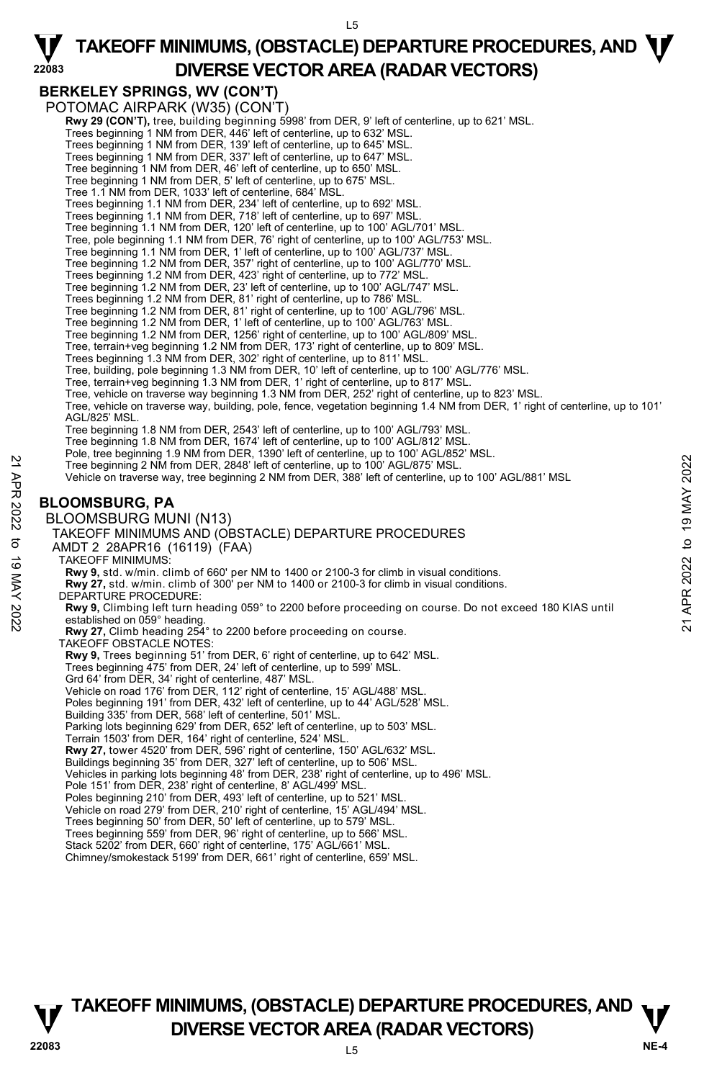L5

### **BERKELEY SPRINGS, WV (CON'T)**

POTOMAC AIRPARK (W35) (CON'T)

- **Rwy 29 (CON'T)**, tree, building beginning 5998' from DER, 9' left of centerline, up to 621' MSL.<br>Trees beginning 1 NM from DER, 446' left of centerline, up to 632' MSL.
	-
- Trees beginning 1 NM from DER, 139' left of centerline, up to 645' MSL. Trees beginning 1 NM from DER, 337' left of centerline, up to 647' MSL.
- 
- Tree beginning 1 NM from DER, 46' left of centerline, up to 650' MSL.
- Tree beginning 1 NM from DER, 5' left of centerline, up to 675' MSL.
- Tree 1.1 NM from DER, 1033' left of centerline, 684' MSL.
- Trees beginning 1.1 NM from DER, 234' left of centerline, up to 692' MSL. Trees beginning 1.1 NM from DER, 718' left of centerline, up to 697' MSL.
- 
- Tree beginning 1.1 NM from DER, 120' left of centerline, up to 100' AGL/701' MSL.
- Tree, pole beginning 1.1 NM from DER, 76' right of centerline, up to 100' AGL/753' MSL. Tree beginning 1.1 NM from DER, 1' left of centerline, up to 100' AGL/737' MSL.
- 
- Tree beginning 1.2 NM from DER, 357' right of centerline, up to 100' AGL/770' MSL.
- Trees beginning 1.2 NM from DER, 423' right of centerline, up to 772' MSL.
- Tree beginning 1.2 NM from DER, 23' left of centerline, up to 100' AGL/747' MSL.
- Trees beginning 1.2 NM from DER, 81' right of centerline, up to 786' MSL.
- Tree beginning 1.2 NM from DER, 81' right of centerline, up to 100' AGL/796' MSL.
- Tree beginning 1.2 NM from DER, 1' left of centerline, up to 100' AGL/763' MSL. Tree beginning 1.2 NM from DER, 1256' right of centerline, up to 100' AGL/809' MSL.
- 
- Tree, terrain+veg beginning 1.2 NM from DER, 173' right of centerline, up to 809' MSL.
- 
- Trees beginning 1.3 NM from DER, 302' right of centerline, up to 811' MSL. Tree, building, pole beginning 1.3 NM from DER, 10' left of centerline, up to 100' AGL/776' MSL.
- Tree, terrain+veg beginning 1.3 NM from DER, 1' right of centerline, up to 817' MSL.
- Tree, vehicle on traverse way beginning 1.3 NM from DER, 252' right of centerline, up to 823' MSL.
- Tree, vehicle on traverse way, building, pole, fence, vegetation beginning 1.4 NM from DER, 1' right of centerline, up to 101' AGL/825' MSL.
- Tree beginning 1.8 NM from DER, 2543' left of centerline, up to 100' AGL/793' MSL.
- Tree beginning 1.8 NM from DER, 1674' left of centerline, up to 100' AGL/812' MSI
- Pole, tree beginning 1.9 NM from DER, 1390' left of centerline, up to 100' AGL/852' MSL.
- Tree beginning 2 NM from DER, 2848' left of centerline, up to 100' AGL/875' MSL.
- Vehicle on traverse way, tree beginning 2 NM from DER, 388' left of centerline, up to 100' AGL/881' MSL

#### **BLOOMSBURG, PA**

BLOOMSBURG MUNI (N13)

#### TAKEOFF MINIMUMS AND (OBSTACLE) DEPARTURE PROCEDURES

- AMDT 2 28APR16 (16119) (FAA)
	- TAKEOFF MINIMUMS:

**Rwy 9,** std. w/min. climb of 660' per NM to 1400 or 2100-3 for climb in visual conditions.

- **Rwy 27,** std. w/min. climb of 300' per NM to 1400 or 2100-3 for climb in visual conditions.
- DEPARTURE PROCEDURE:

Tree beginning 2 NM from DER, 2848 Telt of centerline, up to 100' AGL/875' MSL.<br>
Vehicle on traverse way, tree beginning 2 NM from DER, 388' left of centerline, up to 100' AGL/881' MSL.<br>
22 Yelicle on traverse way, tree b

**Rwy 27,** Climb heading 254° to 2200 before proceeding on course.

- TAKEOFF OBSTACLE NOTES:
- **Rwy 9,** Trees beginning 51' from DER, 6' right of centerline, up to 642' MSL.
- Trees beginning 475' from DER, 24' left of centerline, up to 599' MSL.
- Grd 64' from DER, 34' right of centerline, 487' MSL.
- 
- Vehicle on road 176' from DER, 112' right of centerline, 15' AGL/488' MSL. Poles beginning 191' from DER, 432' left of centerline, up to 44' AGL/528' MSL.
- Building 335' from DER, 568' left of centerline, 501' MSL.
- Parking lots beginning 629' from DER, 652' left of centerline, up to 503' MSL. Terrain 1503' from DER, 164' right of centerline, 524' MSL.
- 
- **Rwy 27,** tower 4520' from DER, 596' right of centerline, 150' AGL/632' MSL.
- Buildings beginning 35' from DER, 327' left of centerline, up to 506' MSL.

Vehicles in parking lots beginning 48' from DER, 238' right of centerline, up to 496' MSL. Pole 151' from DER, 238' right of centerline, 8' AGL/499' MSL.

- 
- Poles beginning 210' from DER, 493' left of centerline, up to 521' MSL.
- Vehicle on road 279' from DER, 210' right of centerline, 15' AGL/494' MSL.
- Trees beginning 50' from DER, 50' left of centerline, up to 579' MSL.
- Trees beginning 559' from DER, 96' right of centerline, up to 566' MSL.
- Stack 5202' from DER, 660' right of centerline, 175' AGL/661' MSL
- Chimney/smokestack 5199' from DER, 661' right of centerline, 659' MSL.

## **TAKEOFF MINIMUMS, (OBSTACLE) DEPARTURE PROCEDURES, AND**  $\mathbf{\nabla}$ **V** DIVERSE VECTOR AREA (RADAR VECTORS) **V**<br>22083

## **22083**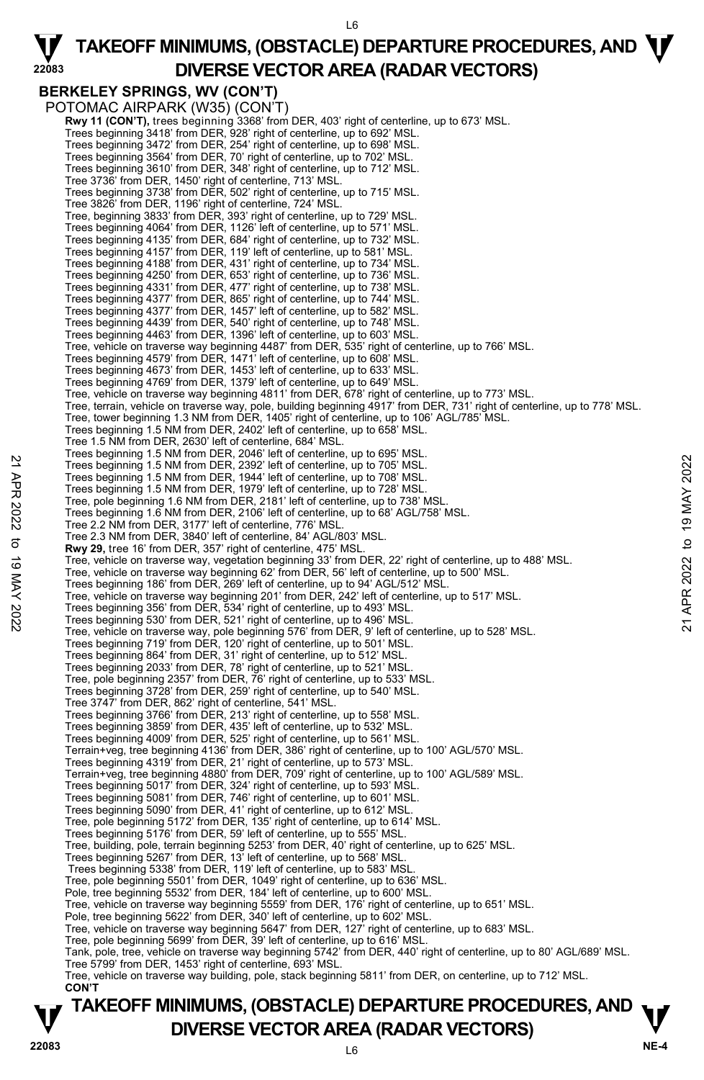L6

**22083 BERKELEY SPRINGS, WV (CON'T)**  POTOMAC AIRPARK (W35) (CON'T) **Rwy 11 (CON'T),** trees beginning 3368' from DER, 403' right of centerline, up to 673' MSL.<br>Trees beginning 3418' from DER, 928' right of centerline, up to 692' MSL. Trees beginning 3472' from DER, 254' right of centerline, up to 698' MSL. Trees beginning 3564' from DER, 70' right of centerline, up to 702' MSL. Trees beginning 3610' from DER, 348' right of centerline, up to 712' MSL. Tree 3736' from DER, 1450' right of centerline, 713' MSL. Trees beginning 3738' from DER, 502' right of centerline, up to 715' MSL. Tree 3826' from DER, 1196' right of centerline, 724' MSL. Tree, beginning 3833' from DER, 393' right of centerline, up to 729' MSL. Trees beginning 4064' from DER, 1126' left of centerline, up to 571' MSL. Trees beginning 4135' from DER, 684' right of centerline, up to 732' MSL. Trees beginning 4157' from DER, 119' left of centerline, up to 581' MSL. Trees beginning 4188' from DER, 431' right of centerline, up to 734' MSL. Trees beginning 4250' from DER, 653' right of centerline, up to 736' MSL. Trees beginning 4331' from DER, 477' right of centerline, up to 738' MSL. Trees beginning 4377' from DER, 865' right of centerline, up to 744' MSL. Trees beginning 4377' from DER, 1457' left of centerline, up to 582' MSL. Trees beginning 4439' from DER, 540' right of centerline, up to 748' MSL. Trees beginning 4463' from DER, 1396' left of centerline, up to 603' MSL. Tree, vehicle on traverse way beginning 4487' from DER, 535' right of centerline, up to 766' MSL. Trees beginning 4579' from DER, 1471' left of centerline, up to 608' MSL. Trees beginning 4673' from DER, 1453' left of centerline, up to 633' MSL. Trees beginning 4769' from DER, 1379' left of centerline, up to 649' MSL. Tree, vehicle on traverse way beginning 4811' from DER, 678' right of centerline, up to 773' MSL. Tree, terrain, vehicle on traverse way, pole, building beginning 4917' from DER, 731' right of centerline, up to 778' MSL.<br>Tree, tower beginning 1.3 NM from DER, 1405' right of centerline, up to 106' AGL/785' MSL. Trees beginning 1.5 NM from DER, 2402' left of centerline, up to 658' MSL. Tree 1.5 NM from DER, 2630' left of centerline, 684' MSL. Trees beginning 1.5 NM from DER, 2046' left of centerline, up to 695' MSL. Trees beginning 1.5 NM from DER, 2392' left of centerline, up to 705' MSL. Trees beginning 1.5 NM from DER, 1944' left of centerline, up to 708' MSL. Trees beginning 1.5 NM from DER, 1979' left of centerline, up to 728' MSL. Tree, pole beginning 1.6 NM from DER, 2181' left of centerline, up to 738' MSL. Trees beginning 1.6 NM from DER, 2106' left of centerline, up to 68' AGL/758' MSL. Tree 2.2 NM from DER, 3177' left of centerline, 776' MSL. Tree 2.3 NM from DER, 3840' left of centerline, 84' AGL/803' MSL. **Rwy 29,** tree 16' from DER, 357' right of centerline, 475' MSL. Tree, vehicle on traverse way, vegetation beginning 33' from DER, 22' right of centerline, up to 488' MSL.<br>Tree, vehicle on traverse way beginning 62' from DER, 56' left of centerline, up to 500' MSL. Trees beginning 186' from DER, 269' left of centerline, up to 94' AGL/512' MSL. Tree, vehicle on traverse way beginning 201' from DER, 242' left of centerline, up to 517' MSL. Trees beginning 356' from DER, 534' right of centerline, up to 493' MSL. Trees beginning 530' from DER, 521' right of centerline, up to 496' MSL. Tree, vehicle on traverse way, pole beginning 576' from DER, 9' left of centerline, up to 528' MSL. Trees beginning 719' from DER, 120' right of centerline, up to 501' MSL. Trees beginning 864' from DER, 31' right of centerline, up to 512' MSL. Trees beginning 2033' from DER, 78' right of centerline, up to 521' MSL. Tree, pole beginning 2357' from DER, 76' right of centerline, up to 533' MSL. Trees beginning 3728' from DER, 259' right of centerline, up to 540' MSL. Tree 3747' from DER, 862' right of centerline, 541' MSL. Trees beginning 3766' from DER, 213' right of centerline, up to 558' MSL. Trees beginning 3859' from DER, 435' left of centerline, up to 532' MSL. Trees beginning 4009' from DER, 525' right of centerline, up to 561' MSL. Terrain+veg, tree beginning 4136' from DER, 386' right of centerline, up to 100' AGL/570' MSL. Trees beginning 4319' from DER, 21' right of centerline, up to 573' MSL. Terrain+veg, tree beginning 4880' from DER, 709' right of centerline, up to 100' AGL/589' MSL.<br>Trees beginning 5017' from DER, 324' right of centerline, up to 593' MSL.<br>Trees beginning 5081' from DER, 746' right of centerl Trees beginning 5090' from DER, 41' right of centerline, up to 612' MSL. Tree, pole beginning 5172' from DER, 135' right of centerline, up to 614' MSL. Trees beginning 5176' from DER, 59' left of centerline, up to 555' MSL. Tree, building, pole, terrain beginning 5253' from DER, 40' right of centerline, up to 625' MSL. Trees beginning 5267' from DER, 13' left of centerline, up to 568' MSL. Trees beginning 5338' from DER, 119' left of centerline, up to 583' MSL. Tree, pole beginning 5501' from DER, 1049' right of centerline, up to 636' MSL. Pole, tree beginning 5532' from DER, 184' left of centerline, up to 600' MSL.<br>Tree, vehicle on traverse way beginning 5559' from DER, 176' right of centerline, up to 651' MSL. Pole, tree beginning 5622' from DER, 340' left of centerline, up to 602' MSL. Tree, vehicle on traverse way beginning 5647' from DER, 127' right of centerline, up to 683' MSL. Tree, pole beginning 5699' from DER, 39' left of centerline, up to 616' MSL. Tank, pole, tree, vehicle on traverse way beginning 5742' from DER, 440' right of centerline, up to 80' AGL/689' MSL. Tree 5799' from DER, 1453' right of centerline, 693' MSL. Tree, vehicle on traverse way building, pole, stack beginning 5811' from DER, on centerline, up to 712' MSL. **CON'T**  22 Trees beginning 1.6 NM from DER, 2392' left of centerline, up to 705' MSL.<br>
Trees beginning 1.5 NM from DER, 1392' left of centerline, up to 708' MSL.<br>
Trees beginning 1.5 NM from DER, 1494' left of centerline, up to 7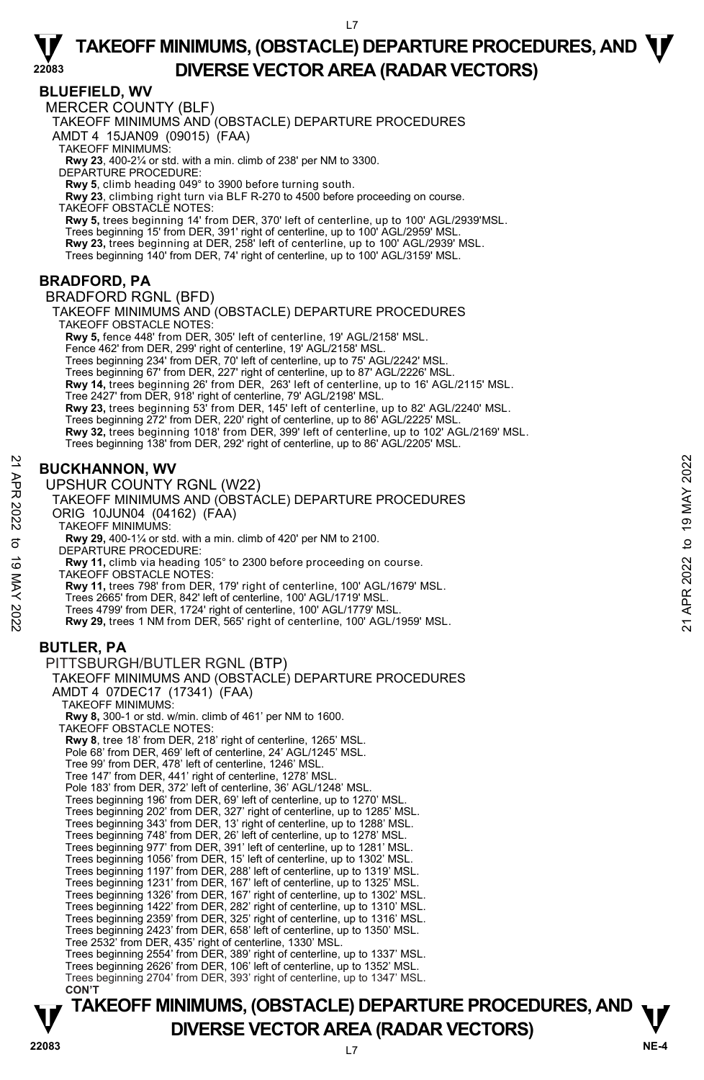#### **BLUEFIELD, WV**

**22083** 

MERCER COUNTY (BLF)

TAKEOFF MINIMUMS AND (OBSTACLE) DEPARTURE PROCEDURES

AMDT 4 15JAN09 (09015) (FAA)

TAKEOFF MINIMUMS:

**Rwy 23**, 400-2¼ or std. with a min. climb of 238' per NM to 3300. DEPARTURE PROCEDURE:

**Rwy 5**, climb heading 049° to 3900 before turning south.

**Rwy 23**, climbing right turn via BLF R-270 to 4500 before proceeding on course.

TAKEOFF OBSTACLE NOTES:

**Rwy 5,** trees beginning 14' from DER, 370' left of centerline, up to 100' AGL/2939'MSL. Trees beginning 15' from DER, 391' right of centerline, up to 100' AGL/2959' MSL. **Rwy 23,** trees beginning at DER, 258' left of centerline, up to 100' AGL/2939' MSL. Trees beginning 140' from DER, 74' right of centerline, up to 100' AGL/3159' MSL.

#### **BRADFORD, PA**

BRADFORD RGNL (BFD)

TAKEOFF MINIMUMS AND (OBSTACLE) DEPARTURE PROCEDURES TAKEOFF OBSTACLE NOTES: **Rwy 5,** fence 448' from DER, 305' left of centerline, 19' AGL/2158' MSL.

Fence 462' from DER, 299' right of centerline, 19' AGL/2158' MSL. Trees beginning 234' from DER, 70' left of centerline, up to 75' AGL/2242' MSL.

Trees beginning 67' from DER, 227' right of centerline, up to 87' AGL/2226' MSL.

**Rwy 14,** trees beginning 26' from DER, 263' left of centerline, up to 16' AGL/2115' MSL.<br>Tree 2427' from DER, 918' right of centerline, 79' AGL/2198' MSL.<br>**Rwy 23,** trees beginning 53' from DER, 145' left of centerline,

Trees beginning 272' from DER, 220' right of centerline, up to 86' AGL/2225' MSL.

**Rwy 32,** trees beginning 1018' from DER, 399' left of centerline, up to 102' AGL/2169' MSL.

Trees beginning 138' from DER, 292' right of centerline, up to 86' AGL/2205' MSL.

### **BUCKHANNON, WV**

UPSHUR COUNTY RGNL (W22)

#### TAKEOFF MINIMUMS AND (OBSTACLE) DEPARTURE PROCEDURES ORIG 10JUN04 (04162) (FAA)

TAKEOFF MINIMUMS:

**Rwy 29,** 400-1¼ or std. with a min. climb of 420' per NM to 2100.

DEPARTURE PROCEDURE:

**Rwy 11,** climb via heading 105° to 2300 before proceeding on course.

TAKEOFF OBSTACLE NOTES:

**Rwy 11,** trees 798' from DER, 179' right of centerline, 100' AGL/1679' MSL. Trees 2665' from DER, 842' left of centerline, 100' AGL/1719' MSL. Trees 4799' from DER, 1724' right of centerline, 100' AGL/1779' MSL. **Rwy 29,** trees 1 NM from DER, 565' right of centerline, 100' AGL/1959' MSL. **BUCKHANNON, WV**<br> **21 DESEMBER 2020 TAKE COUNTY RGNL (W22)**<br>
TAKE OFF MINIMUMS AND (OBSTACLE) DEPARTURE PROCEDURES<br>
ORIG 10JUN04 (04162) (FAA)<br>
TAKE OFF MINIMUMS:<br> **32** TAKE OFF MINIMUMS:<br> **32** TAW 11, drim via heading 10

**BUTLER, PA** 

```
PITTSBURGH/BUTLER RGNL (BTP) 
 TAKEOFF MINIMUMS AND (OBSTACLE) DEPARTURE PROCEDURES 
 AMDT 4 07DEC17 (17341) (FAA) 
     TAKEOFF MINIMUMS: 
     Rwy 8, 300-1 or std. w/min. climb of 461' per NM to 1600. 
   TAKEOFF OBSTACLE NOTES: 
     Rwy 8, tree 18' from DER, 218' right of centerline, 1265' MSL. 
    Pole 68' from DER, 469' left of centerline, 24' AGL/1245' MSL. 
     Tree 99' from DER, 478' left of centerline, 1246' MSL. 
    Tree 147' from DER, 441' right of centerline, 1278' MSL. 
    Pole 183' from DER, 372' left of centerline, 36' AGL/1248' MSL. 
     Trees beginning 196' from DER, 69' left of centerline, up to 1270' MSL. 
Trees beginning 202' from DER, 327' right of centerline, up to 1285' MSL. 
    Trees beginning 343' from DER, 13' right of centerline, up to 1288' MSL. 
     Trees beginning 748' from DER, 26' left of centerline, up to 1278' MSL. 
Trees beginning 977' from DER, 391' left of centerline, up to 1281' MSL. 
    Trees beginning 1056' from DER, 15' left of centerline, up to 1302' MSL. 
     Trees beginning 1197' from DER, 288' left of centerline, up to 1319' MSL. 
Trees beginning 1231' from DER, 167' left of centerline, up to 1325' MSL. 
    Trees beginning 1326' from DER, 167' right of centerline, up to 1302' MSL. 
     Trees beginning 1422' from DER, 282' right of centerline, up to 1310' MSL. 
Trees beginning 2359' from DER, 325' right of centerline, up to 1316' MSL. 
    Trees beginning 2423' from DER, 658' left of centerline, up to 1350' MSL. 
     Tree 2532' from DER, 435' right of centerline, 1330' MSL. 
    Trees beginning 2554' from DER, 389' right of centerline, up to 1337' MSL. 
Trees beginning 2626' from DER, 106' left of centerline, up to 1352' MSL. 
     Trees beginning 2704' from DER, 393' right of centerline, up to 1347' MSL. 
     CON'T
```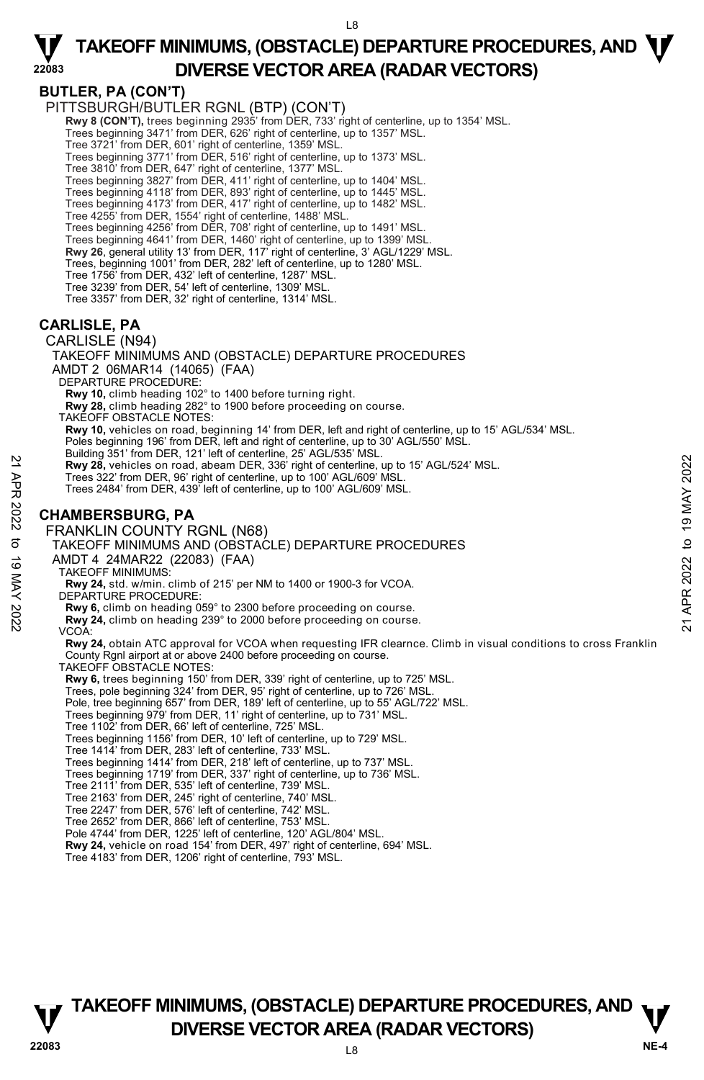

**22083** 

**BUTLER, PA (CON'T)**  PITTSBURGH/BUTLER RGNL (BTP) (CON'T) **Rwy 8 (CON'T),** trees beginning 2935' from DER, 733' right of centerline, up to 1354' MSL. Trees beginning 3471' from DER, 626' right of centerline, up to 1357' MSL. Tree 3721' from DER, 601' right of centerline, 1359' MSL. Trees beginning 3771' from DER, 516' right of centerline, up to 1373' MSL. Tree 3810' from DER, 647' right of centerline, 1377' MSL. Trees beginning 3827' from DER, 411' right of centerline, up to 1404' MSL. Trees beginning 4118' from DER, 893' right of centerline, up to 1445' MSL. Trees beginning 4173' from DER, 417' right of centerline, up to 1482' MSL. Tree 4255' from DER, 1554' right of centerline, 1488' MSL. Trees beginning 4256' from DER, 708' right of centerline, up to 1491' MSL. Trees beginning 4641' from DER, 1460' right of centerline, up to 1399' MSL. **Rwy 26**, general utility 13' from DER, 117' right of centerline, 3' AGL/1229' MSL. Trees, beginning 1001' from DER, 282' left of centerline, up to 1280' MSL. Tree 1756' from DER, 432' left of centerline, 1287' MSL. Tree 3239' from DER, 54' left of centerline, 1309' MSL. Tree 3357' from DER, 32' right of centerline, 1314' MSL. **CARLISLE, PA**  CARLISLE (N94) TAKEOFF MINIMUMS AND (OBSTACLE) DEPARTURE PROCEDURES AMDT 2 06MAR14 (14065) (FAA) DEPARTURE PROCEDURE: **Rwy 10,** climb heading 102° to 1400 before turning right. **Rwy 28,** climb heading 282° to 1900 before proceeding on course. TAKEOFF OBSTACLE NOTES: **Rwy 10,** vehicles on road, beginning 14' from DER, left and right of centerline, up to 15' AGL/534' MSL. Poles beginning 196' from DER, left and right of centerline, up to 30' AGL/550' MSL. Building 351' from DER, 121' left of centerline, 25' AGL/535' MSL. **Rwy 28,** vehicles on road, abeam DER, 336' right of centerline, up to 15' AGL/524' MSL. Trees 322' from DER, 96' right of centerline, up to 100' AGL/609' MSL. Trees 2484' from DER, 439' left of centerline, up to 100' AGL/609' MSL. **CHAMBERSBURG, PA**  FRANKLIN COUNTY RGNL (N68) TAKEOFF MINIMUMS AND (OBSTACLE) DEPARTURE PROCEDURES AMDT 4 24MAR22 (22083) (FAA) TAKEOFF MINIMUMS: **Rwy 24,** std. w/min. climb of 215' per NM to 1400 or 1900-3 for VCOA. DEPARTURE PROCEDURE: **Rwy 6,** climb on heading 059° to 2300 before proceeding on course.  **Rwy 24,** climb on heading 239° to 2000 before proceeding on course. VCOA: **Rwy 24,** obtain ATC approval for VCOA when requesting IFR clearnce. Climb in visual conditions to cross Franklin County Rgnl airport at or above 2400 before proceeding on course. TAKEOFF OBSTACLE NOTES: **Rwy 6,** trees beginning 150' from DER, 339' right of centerline, up to 725' MSL. Trees, pole beginning 324' from DER, 95' right of centerline, up to 726' MSL. Pole, tree beginning 657' from DER, 189' left of centerline, up to 55' AGL/722' MSL. Trees beginning 979' from DER, 11' right of centerline, up to 731' MSL. Tree 1102' from DER, 66' left of centerline, 725' MSL. Trees beginning 1156' from DER, 10' left of centerline, up to 729' MSL. Tree 1414' from DER, 283' left of centerline, 733' MSL. Trees beginning 1414' from DER, 218' left of centerline, up to 737' MSL. Trees beginning 1719' from DER, 337' right of centerline, up to 736' MSL. Tree 2111' from DER, 535' left of centerline, 739' MSL. Tree 2163' from DER, 245' right of centerline, 740' MSL. Tree 2247' from DER, 576' left of centerline, 742' MSL. Tree 2652' from DER, 866' left of centerline, 753' MSL. Pole 4744' from DER, 1225' left of centerline, 120' AGL/804' MSL. **Rwy 24,** vehicle on road 154' from DER, 497' right of centerline, 694' MSL. Tree 4183' from DER, 1206' right of centerline, 793' MSL. 22 Bay 28, vehicles on road, abeam DER, 336 right of centerline, up to 15' AGL/524' MSL.<br>
Trees 322' from DER, 96' right of centerline, up to 100' AGL/609' MSL.<br>
Trees 2484' from DER, 439' left of centerline, up to 100' A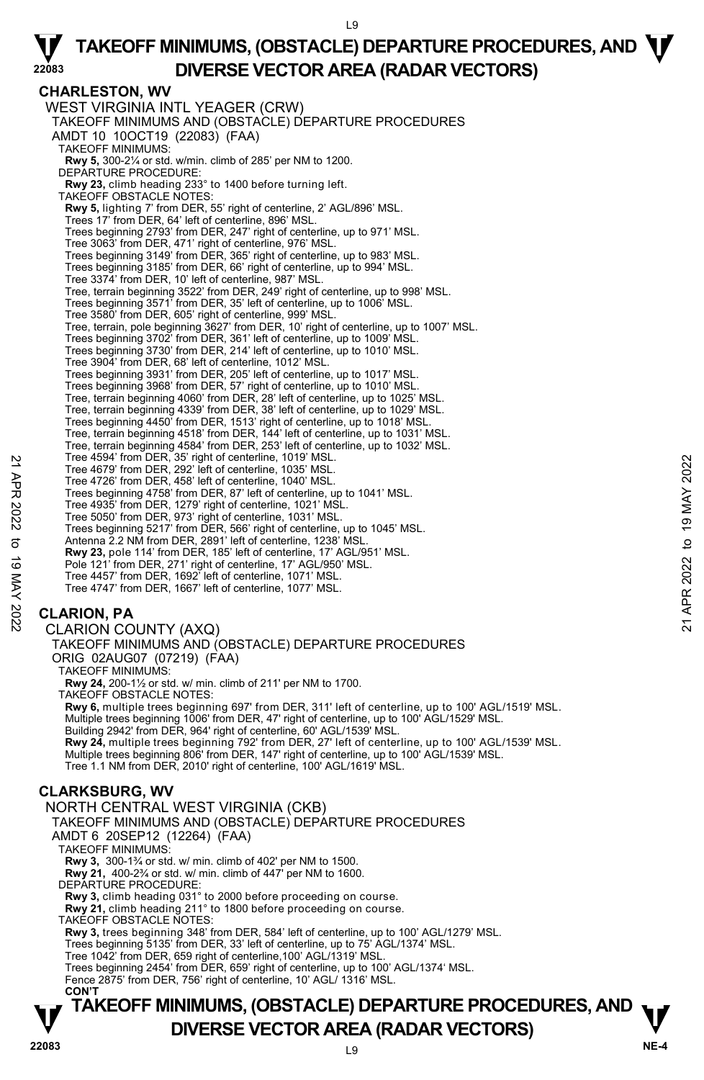#### **TAKEOFF MINIMUMS, (OBSTACLE) DEPARTURE PROCEDURES, AND**  $\mathbf{\nabla}$ **V** DIVERSE VECTOR AREA (RADAR VECTORS) **V**<br>22083 **CHARLESTON, WV**  WEST VIRGINIA INTL YEAGER (CRW) TAKEOFF MINIMUMS AND (OBSTACLE) DEPARTURE PROCEDURES AMDT 10 10OCT19 (22083) (FAA) TAKEOFF MINIMUMS: **Rwy 5,** 300-2¼ or std. w/min. climb of 285' per NM to 1200. DEPARTURE PROCEDURE: **Rwy 23,** climb heading 233° to 1400 before turning left. TAKEOFF OBSTACLE NOTES: **Rwy 5,** lighting 7' from DER, 55' right of centerline, 2' AGL/896' MSL.<br>Trees 17' from DER, 64' left of centerline, 896' MSL. Trees beginning 2793' from DER, 247' right of centerline, up to 971' MSL. Tree 3063' from DER, 471' right of centerline, 976' MSL. Trees beginning 3149' from DER, 365' right of centerline, up to 983' MSL. Trees beginning 3185' from DER, 66' right of centerline, up to 994' MSL. Tree 3374' from DER, 10' left of centerline, 987' MSL. Tree, terrain beginning 3522' from DER, 249' right of centerline, up to 998' MSL. Trees beginning 3571' from DER, 35' left of centerline, up to 1006' MSL. Tree 3580' from DER, 605' right of centerline, 999' MSL. Tree, terrain, pole beginning 3627' from DER, 10' right of centerline, up to 1007' MSL.<br>Trees beginning 3702' from DER, 361' left of centerline, up to 1009' MSL.<br>Trees beginning 3730' from DER, 214' left of centerline, up Tree 3904' from DER, 68' left of centerline, 1012' MSL. Trees beginning 3931' from DER, 205' left of centerline, up to 1017' MSL. Trees beginning 3968' from DER, 57' right of centerline, up to 1010' MSL. Tree, terrain beginning 4060' from DER, 28' left of centerline, up to 1025' MSL. Tree, terrain beginning 4339' from DER, 38' left of centerline, up to 1029' MSL. Trees beginning 4450' from DER, 1513' right of centerline, up to 1018' MSL. Tree, terrain beginning 4518' from DER, 144' left of centerline, up to 1031' MSL. Tree, terrain beginning 4584' from DER, 253' left of centerline, up to 1032' MSL. Tree 4594' from DER, 35' right of centerline, 1019' MSL. Tree 4679' from DER, 292' left of centerline, 1035' MSL. Tree 4726' from DER, 458' left of centerline, 1040' MSL. Trees beginning 4758' from DER, 87' left of centerline, up to 1041' MSL. Tree 4935' from DER, 1279' right of centerline, 1021' MSL. Tree 5050' from DER, 973' right of centerline, 1031' MSL. Trees beginning 5217' from DER, 566' right of centerline, up to 1045' MSL. Antenna 2.2 NM from DER, 2891' left of centerline, 1238' MSL. **Rwy 23,** pole 114' from DER, 185' left of centerline, 17' AGL/951' MSL. Pole 121' from DER, 271' right of centerline, 17' AGL/950' MSL. Tree 4457' from DER, 1692' left of centerline, 1071' MSL. Tree 4747' from DER, 1667' left of centerline, 1077' MSL. **CLARION, PA**  CLARION COUNTY (AXQ) TAKEOFF MINIMUMS AND (OBSTACLE) DEPARTURE PROCEDURES ORIG 02AUG07 (07219) (FAA) TAKEOFF MINIMUMS: **Rwy 24,** 200-1½ or std. w/ min. climb of 211' per NM to 1700. TAKEOFF OBSTACLE NOTES: **Rwy 6,** multiple trees beginning 697' from DER, 311' left of centerline, up to 100' AGL/1519' MSL. Multiple trees beginning 1006' from DER, 47' right of centerline, up to 100' AGL/1529' MSL. Building 2942' from DER, 964' right of centerline, 60' AGL/1539' MSL **Rwy 24,** multiple trees beginning 792' from DER, 27' left of centerline, up to 100' AGL/1539' MSL. Multiple trees beginning 806' from DER, 147' right of centerline, up to 100' AGL/1539' MSL. Tree 1.1 NM from DER, 2010' right of centerline, 100' AGL/1619' MSL. **CLARKSBURG, WV**  NORTH CENTRAL WEST VIRGINIA (CKB) TAKEOFF MINIMUMS AND (OBSTACLE) DEPARTURE PROCEDURES AMDT 6 20SEP12 (12264) (FAA) TAKEOFF MINIMUMS: **Rwy 3,** 300-1¾ or std. w/ min. climb of 402' per NM to 1500. **Rwy 21,** 400-2¾ or std. w/ min. climb of 447' per NM to 1600. DEPARTURE PROCEDURE **Rwy 3,** climb heading 031° to 2000 before proceeding on course. **Rwy 21,** climb heading 211° to 1800 before proceeding on course. TAKEOFF OBSTACLE NOTES: **Rwy 3,** trees beginning 348' from DER, 584' left of centerline, up to 100' AGL/1279' MSL.<br>Trees beginning 5135' from DER, 33' left of centerline, up to 75' AGL/1374' MSL. Tree 1042' from DER, 659 right of centerline,100' AGL/1319' MSL. Trees beginning 2454' from DER, 659' right of centerline, up to 100' AGL/1374' MSL. Fence 2875' from DER, 756' right of centerline, 10' AGL/ 1316' MSL. **CON'T**  Tree 4947 from DER, 39 right of centerline, 1019 MSL.<br>
Tree 4679 from DER, 292' left of centerline, 1040' MSL.<br>
Tree kerginning 4758' from DER, 87' left of centerline, 1040' MSL.<br>
Tree sheginning 4758' from DER, 1279' rig

**22083**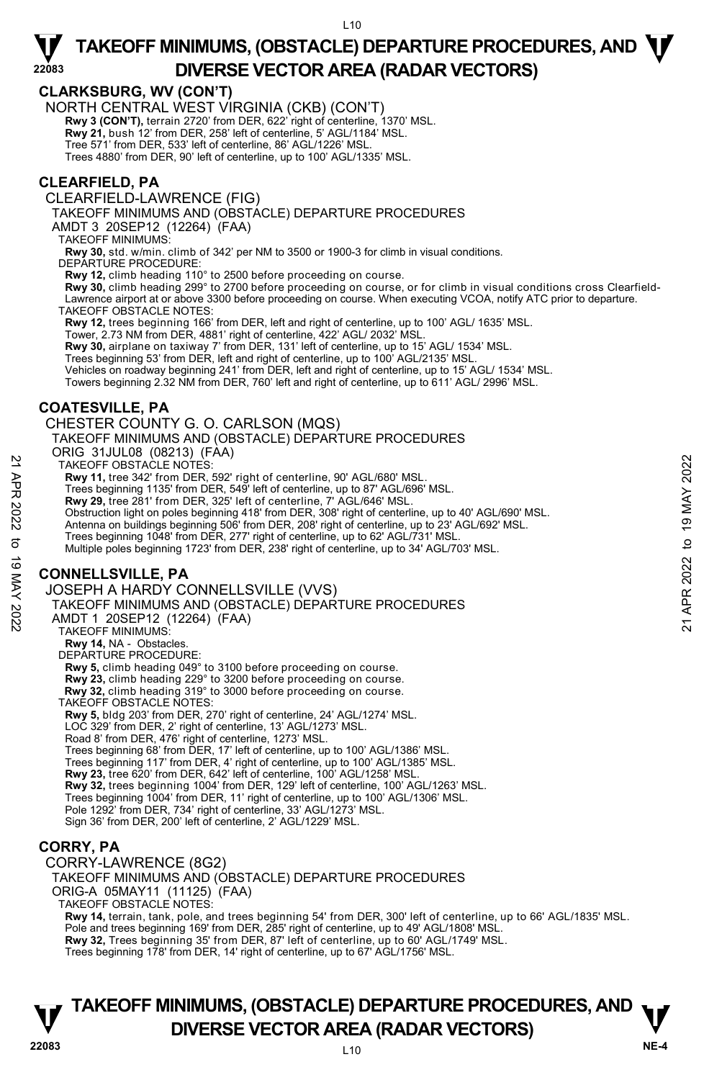#### **CLARKSBURG, WV (CON'T)**

NORTH CENTRAL WEST VIRGINIA (CKB) (CON'T)

**Rwy 3 (CON'T),** terrain 2720' from DER, 622' right of centerline, 1370' MSL.<br>**Rwy 21,** bush 12' from DER, 258' left of centerline, 5' AGL/1184' MSL.

Tree 571' from DER, 533' left of centerline, 86' AGL/1226' MSL.

Trees 4880' from DER, 90' left of centerline, up to 100' AGL/1335' MSL.

#### **CLEARFIELD, PA**

**22083** 

CLEARFIELD-LAWRENCE (FIG)

TAKEOFF MINIMUMS AND (OBSTACLE) DEPARTURE PROCEDURES

AMDT 3 20SEP12 (12264) (FAA)

TAKEOFF MINIMUMS:

**Rwy 30,** std. w/min. climb of 342' per NM to 3500 or 1900-3 for climb in visual conditions.

DEPARTURE PROCEDURE:

**Rwy 12,** climb heading 110° to 2500 before proceeding on course.

**Rwy 30,** climb heading 299° to 2700 before proceeding on course, or for climb in visual conditions cross Clearfield-<br>Lawrence airport at or above 3300 before proceeding on course. When executing VCOA, notify ATC prior to

TAKEOFF OBSTACLE NOTES:

**Rwy 12,** trees beginning 166' from DER, left and right of centerline, up to 100' AGL/ 1635' MSL.

Tower, 2.73 NM from DER, 4881' right of centerline, 422' AGL/ 2032' MSL.

**Rwy 30,** airplane on taxiway 7' from DER, 131' left of centerline, up to 15' AGL/ 1534' MSL.

Trees beginning 53' from DER, left and right of centerline, up to 100' AGL/2135' MSL.

Vehicles on roadway beginning 241' from DER, left and right of centerline, up to 15' AGL/ 1534' MSL.

Towers beginning 2.32 NM from DER, 760' left and right of centerline, up to 611' AGL/ 2996' MSL.

#### **COATESVILLE, PA**

CHESTER COUNTY G. O. CARLSON (MQS)

TAKEOFF MINIMUMS AND (OBSTACLE) DEPARTURE PROCEDURES

ORIG 31JUL08 (08213) (FAA)

TAKEOFF OBSTACLE NOTES:

**Rwy 11,** tree 342' from DER, 592' right of centerline, 90' AGL/680' MSL.

Trees beginning 1135' from DER, 549' left of centerline, up to 87' AGL/696' MSL. **Rwy 29,** tree 281' from DER, 325' left of centerline, 7' AGL/646' MSL.

Obstruction light on poles beginning 418' from DER, 308' right of centerline, up to 40' AGL/690' MSL. TAKEOFF OBSTACLE NOTES:<br>
THE 342 from DER, 592 right of centerline, 90' AGL/680' MSL.<br>
Trees beginning 1135' from DER, 325' left of centerline, up to 87' AGL/696' MSL.<br>
The beginning 1135' from DER, 325' left of centerline

Antenna on buildings beginning 506' from DER, 208' right of centerline, up to 23' AGL/692' MSL.

Trees beginning 1048' from DER, 277' right of centerline, up to 62' AGL/731' MSL.

Multiple poles beginning 1723' from DER, 238' right of centerline, up to 34' AGL/703' MSL.

#### **CONNELLSVILLE, PA**

#### JOSEPH A HARDY CONNELLSVILLE (VVS)

TAKEOFF MINIMUMS AND (OBSTACLE) DEPARTURE PROCEDURES

AMDT 1 20SEP12 (12264) (FAA)

TAKEOFF MINIMUMS:

**Rwy 14,** NA - Obstacles. DEPARTURE PROCEDURE:

**Rwy 5,** climb heading 049° to 3100 before proceeding on course.

**Rwy 23,** climb heading 229° to 3200 before proceeding on course.

**Rwy 32,** climb heading 319° to 3000 before proceeding on course. TAKEOFF OBSTACLE NOTES:

**Rwy 5,** bldg 203' from DER, 270' right of centerline, 24' AGL/1274' MSL.

LOC 329' from DER, 2' right of centerline, 13' AGL/1273' MSL. Road 8' from DER, 476' right of centerline, 1273' MSL.

Trees beginning 68' from DER, 17' left of centerline, up to 100' AGL/1386' MSL.

Trees beginning 117' from DER, 4' right of centerline, up to 100' AGL/1385' MSL.

**Rwy 23,** tree 620' from DER, 642' left of centerline, 100' AGL/1258' MSL.

**Rwy 32,** trees beginning 1004' from DER, 129' left of centerline, 100' AGL/1263' MSL.

Trees beginning 1004' from DER, 11' right of centerline, up to 100' AGL/1306' MSL.

Pole 1292' from DER, 734' right of centerline, 33' AGL/1273' MSL.

Sign 36' from DER, 200' left of centerline, 2' AGL/1229' MSL.

### **CORRY, PA**

CORRY-LAWRENCE (8G2) TAKEOFF MINIMUMS AND (OBSTACLE) DEPARTURE PROCEDURES ORIG-A 05MAY11 (11125) (FAA) TAKEOFF OBSTACLE NOTES: **Rwy 14,** terrain, tank, pole, and trees beginning 54' from DER, 300' left of centerline, up to 66' AGL/1835' MSL.

Pole and trees beginning 169' from DER, 285' right of centerline, up to 49' AGL/1808' MSL. **Rwy 32,** Trees beginning 35' from DER, 87' left of centerline, up to 60' AGL/1749' MSL.

Trees beginning 178' from DER, 14' right of centerline, up to 67' AGL/1756' MSL.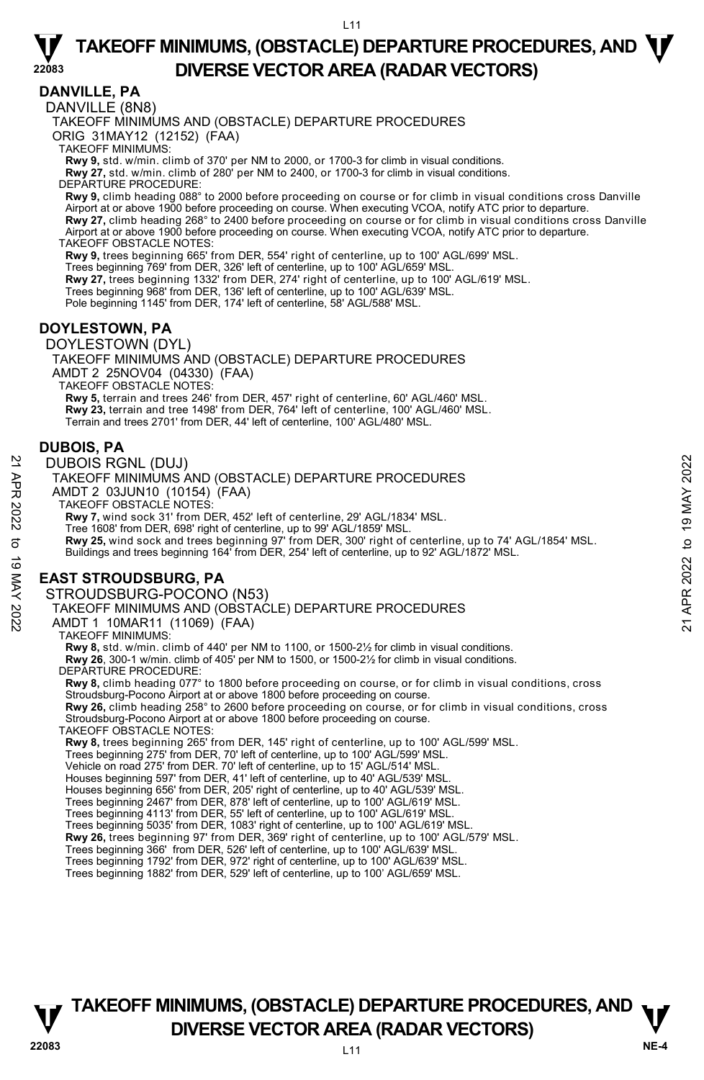#### **DANVILLE, PA**

**22083** 

DANVILLE (8N8)

TAKEOFF MINIMUMS AND (OBSTACLE) DEPARTURE PROCEDURES

ORIG 31MAY12 (12152) (FAA)

TAKEOFF MINIMUMS:

**Rwy 9,** std. w/min. climb of 370' per NM to 2000, or 1700-3 for climb in visual conditions. **Rwy 27,** std. w/min. climb of 280' per NM to 2400, or 1700-3 for climb in visual conditions.

DEPARTURE PROCEDURE:

**Rwy 9,** climb heading 088° to 2000 before proceeding on course or for climb in visual conditions cross Danville Airport at or above 1900 before proceeding on course. When executing VCOA, notify ATC prior to departure. **Rwy 27,** climb heading 268° to 2400 before proceeding on course or for climb in visual conditions cross Danville Airport at or above 1900 before proceeding on course. When executing VCOA, notify ATC prior to departure. TAKEOFF OBSTACLE NOTES:

**Rwy 9,** trees beginning 665' from DER, 554' right of centerline, up to 100' AGL/699' MSL.

Trees beginning 769' from DER, 326' left of centerline, up to 100' AGL/659' MSL. **Rwy 27,** trees beginning 1332' from DER, 274' right of centerline, up to 100' AGL/619' MSL. Trees beginning 968' from DER, 136' left of centerline, up to 100' AGL/639' MSL. Pole beginning 1145' from DER, 174' left of centerline, 58' AGL/588' MSL.

#### **DOYLESTOWN, PA**

DOYLESTOWN (DYL)

TAKEOFF MINIMUMS AND (OBSTACLE) DEPARTURE PROCEDURES AMDT 2 25NOV04 (04330) (FAA) TAKEOFF OBSTACLE NOTES: **Rwy 5,** terrain and trees 246' from DER, 457' right of centerline, 60' AGL/460' MSL.

**Rwy 23,** terrain and tree 1498' from DER, 764' left of centerline, 100' AGL/460' MSL. Terrain and trees 2701' from DER, 44' left of centerline, 100' AGL/480' MSL.

#### **DUBOIS, PA**

#### DUBOIS RGNL (DUJ)

TAKEOFF MINIMUMS AND (OBSTACLE) DEPARTURE PROCEDURES AMDT 2 03JUN10 (10154) (FAA) TAKEOFF OBSTACLE NOTES: **Rwy 7,** wind sock 31' from DER, 452' left of centerline, 29' AGL/1834' MSL. Tree 1608' from DER, 698' right of centerline, up to 99' AGL/1859' MSL.<br>**Rwy 25,** wind sock and trees beginning 97' from DER, 300' right of centerline, up to 74' AGL/1854' MSL. Buildings and trees beginning 164' from DER, 254' left of centerline, up to 92' AGL/1872' MSL. **EAST STROUDSBURG, PA**  STROUDSBURG-POCONO (N53) 22 DUBOIS RGNL (DUJ)<br>
22 TAKEOFF MINIMUMS AND (OBSTACLE) DEPARTURE PROCEDURES<br>
22 AMDT 2 03JUN10 (10154) (FAA)<br>
23 AMDT 2 OSJUN10 (10154) (FAA)<br>
22 TAKEOFF OBSTACLE NOTES:<br>
22 TAKEOFF OBSTACLE NOTES:<br>
22 TAKEOFF OBSTACLE

TAKEOFF MINIMUMS AND (OBSTACLE) DEPARTURE PROCEDURES

AMDT 1 10MAR11 (11069) (FAA)

TAKEOFF MINIMUMS:

**Rwy 8,** std. w/min. climb of 440' per NM to 1100, or 1500-2½ for climb in visual conditions. **Rwy 26**, 300-1 w/min. climb of 405' per NM to 1500, or 1500-2½ for climb in visual conditions.

DEPARTURE PROCEDURE:

**Rwy 8,** climb heading 077° to 1800 before proceeding on course, or for climb in visual conditions, cross Stroudsburg-Pocono Airport at or above 1800 before proceeding on course.

**Rwy 26,** climb heading 258° to 2600 before proceeding on course, or for climb in visual conditions, cross Stroudsburg-Pocono Airport at or above 1800 before proceeding on course.

TAKEOFF OBSTACLE NOTES:

**Rwy 8,** trees beginning 265' from DER, 145' right of centerline, up to 100' AGL/599' MSL.

Trees beginning 275' from DER, 70' left of centerline, up to 100' AGL/599' MSL.

Vehicle on road 275' from DER. 70' left of centerline, up to 15' AGL/514' MSL.

Houses beginning 597' from DER, 41' left of centerline, up to 40' AGL/539' MSL. Houses beginning 656' from DER, 205' right of centerline, up to 40' AGL/539' MSL.

Trees beginning 2467' from DER, 878' left of centerline, up to 100' AGL/619' MSL.

Trees beginning 4113' from DER, 55' left of centerline, up to 100' AGL/619' MSL. Trees beginning 5035' from DER, 1083' right of centerline, up to 100' AGL/619' MSL.

**Rwy 26,** trees beginning 97' from DER, 369' right of centerline, up to 100' AGL/579' MSL.

Trees beginning 366' from DER, 526' left of centerline, up to 100' AGL/639' MSL. Trees beginning 1792' from DER, 972' right of centerline, up to 100' AGL/639' MSL.

Trees beginning 1882' from DER, 529' left of centerline, up to 100' AGL/659' MSL.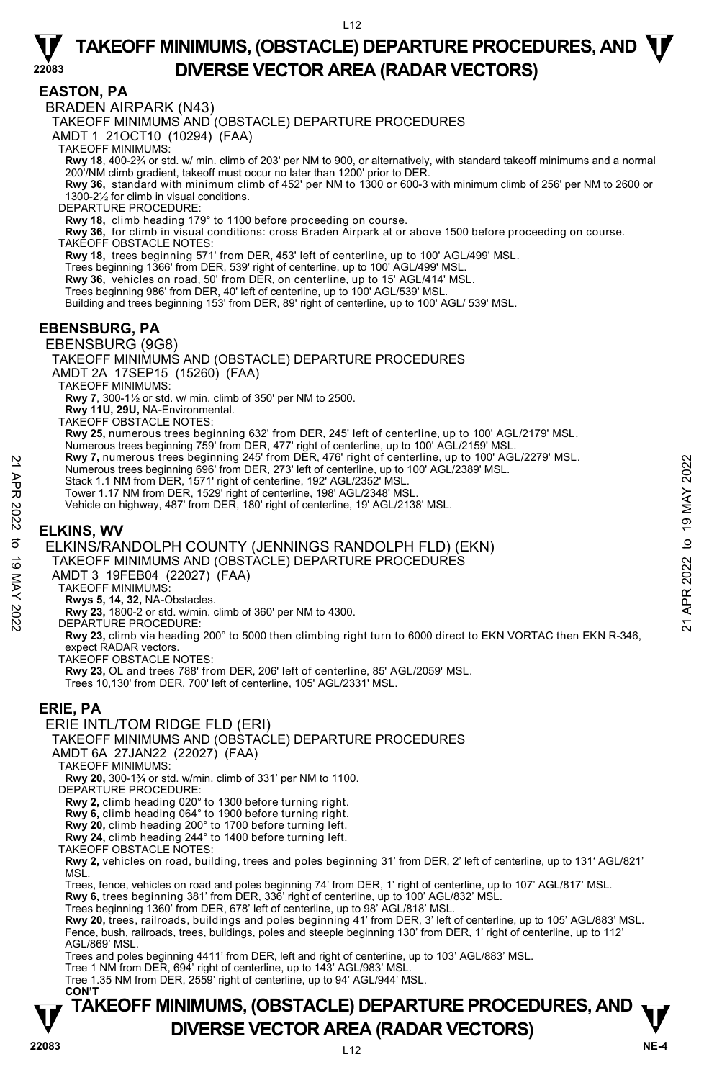#### **EASTON, PA**

**22083** 

BRADEN AIRPARK (N43)

TAKEOFF MINIMUMS AND (OBSTACLE) DEPARTURE PROCEDURES

AMDT 1 21OCT10 (10294) (FAA)

TAKEOFF MINIMUMS:

**Rwy 18**, 400-2¾ or std. w/ min. climb of 203' per NM to 900, or alternatively, with standard takeoff minimums and a normal<br>200'/NM climb gradient, takeoff must occur no later than 1200' prior to DER.

**Rwy 36,** standard with minimum climb of 452' per NM to 1300 or 600-3 with minimum climb of 256' per NM to 2600 or 1300-2½ for climb in visual conditions.

DEPARTURE PROCEDURE:

**Rwy 18,** climb heading 179° to 1100 before proceeding on course.

**Rwy 36,** for climb in visual conditions: cross Braden Airpark at or above 1500 before proceeding on course. TAKEOFF OBSTACLE NOTES:

**Rwy 18,** trees beginning 571' from DER, 453' left of centerline, up to 100' AGL/499' MSL.

Trees beginning 1366' from DER, 539' right of centerline, up to 100' AGL/499' MSL.

**Rwy 36,** vehicles on road, 50' from DER, on centerline, up to 15' AGL/414' MSL.

Trees beginning 986' from DER, 40' left of centerline, up to 100' AGL/539' MSL.

Building and trees beginning 153' from DER, 89' right of centerline, up to 100' AGL/ 539' MSL.

#### **EBENSBURG, PA**

#### EBENSBURG (9G8)

TAKEOFF MINIMUMS AND (OBSTACLE) DEPARTURE PROCEDURES AMDT 2A 17SEP15 (15260) (FAA)

TAKEOFF MINIMUMS:

**Rwy 7**, 300-1½ or std. w/ min. climb of 350' per NM to 2500.

**Rwy 11U, 29U,** NA-Environmental. TAKEOFF OBSTACLE NOTES:

**Rwy 25,** numerous trees beginning 632' from DER, 245' left of centerline, up to 100' AGL/2179' MSL.

- Numerous trees beginning 759' from DER, 477' right of centerline, up to 100' AGL/2159' MSL.<br>**Rwy 7,** numerous trees beginning 245' from DER, 476' right of centerline, up to 100' AGL/2279' MSL.
- Numerous trees beginning 696' from DER, 273' left of centerline, up to 100' AGL/2389' MSL.
- Stack 1.1 NM from DER, 1571' right of centerline, 192' AGL/2352' MSL.
- Tower 1.17 NM from DER, 1529' right of centerline, 198' AGL/2348' MSL

Vehicle on highway, 487' from DER, 180' right of centerline, 19' AGL/2138' MSL.

### **ELKINS, WV**

ELKINS/RANDOLPH COUNTY (JENNINGS RANDOLPH FLD) (EKN) X AMM 7, numerous trees beginning 243' Trom DER, 273' left of centerline, up to 100' AGL/2389' MSL.<br>
22 Stack 1.1 NM from DER, 1571' right of centerline, 192' AGL/2352' MSL.<br>
22 Stack 1.1 NM from DER, 1529' right of cente

TAKEOFF MINIMUMS AND (OBSTACLE) DEPARTURE PROCEDURES

- AMDT 3 19FEB04 (22027) (FAA)
- TAKEOFF MINIMUMS:
- **Rwys 5, 14, 32,** NA-Obstacles.
- 

**Rwy 23,** 1800-2 or std. w/min. climb of 360' per NM to 4300. DEPARTURE PROCEDURE:

**Rwy 23,** climb via heading 200° to 5000 then climbing right turn to 6000 direct to EKN VORTAC then EKN R-346, expect RADAR vectors.

TAKEOFF OBSTACLE NOTES:

**Rwy 23,** OL and trees 788' from DER, 206' left of centerline, 85' AGL/2059' MSL.

Trees 10,130' from DER, 700' left of centerline, 105' AGL/2331' MSL.

#### **ERIE, PA**

#### ERIE INTL/TOM RIDGE FLD (ERI)

TAKEOFF MINIMUMS AND (OBSTACLE) DEPARTURE PROCEDURES

AMDT 6A 27JAN22 (22027) (FAA)

TAKEOFF MINIMUMS:

**Rwy 20,** 300-1¾ or std. w/min. climb of 331' per NM to 1100.

DEPARTURE PROCEDURE:

**Rwy 2,** climb heading 020° to 1300 before turning right.

**Rwy 6,** climb heading 064° to 1900 before turning right.

**Rwy 20,** climb heading 200° to 1700 before turning left.

**Rwy 24,** climb heading 244° to 1400 before turning left.

TAKEOFF OBSTACLE NOTES:

**Rwy 2,** vehicles on road, building, trees and poles beginning 31' from DER, 2' left of centerline, up to 131' AGL/821' MSL.

Trees, fence, vehicles on road and poles beginning 74' from DER, 1' right of centerline, up to 107' AGL/817' MSL.<br>**Rwy 6,** trees beginning 381' from DER, 336' right of centerline, up to 100' AGL/832' MSL.

Trees beginning 1360' from DER, 678' left of centerline, up to 98' AGL/818' MSL.

**Rwy 20,** trees, railroads, buildings and poles beginning 41' from DER, 3' left of centerline, up to 105' AGL/883' MSL. Fence, bush, railroads, trees, buildings, poles and steeple beginning 130' from DER, 1' right of centerline, up to 112' AGL/869' MSL.

Trees and poles beginning 4411' from DER, left and right of centerline, up to 103' AGL/883' MSL.

Tree 1 NM from DER, 694' right of centerline, up to 143' AGL/983' MSL. Tree 1.35 NM from DER, 2559' right of centerline, up to 94' AGL/944' MSL.

#### $112$ **TAKEOFF MINIMUMS, (OBSTACLE) DEPARTURE PROCEDURES, AND**  $\mathbf{\nabla}$ **DIVERSE VECTOR AREA (RADAR VECTORS) PREMIX AREA (RADAR VECTORS) CON'T**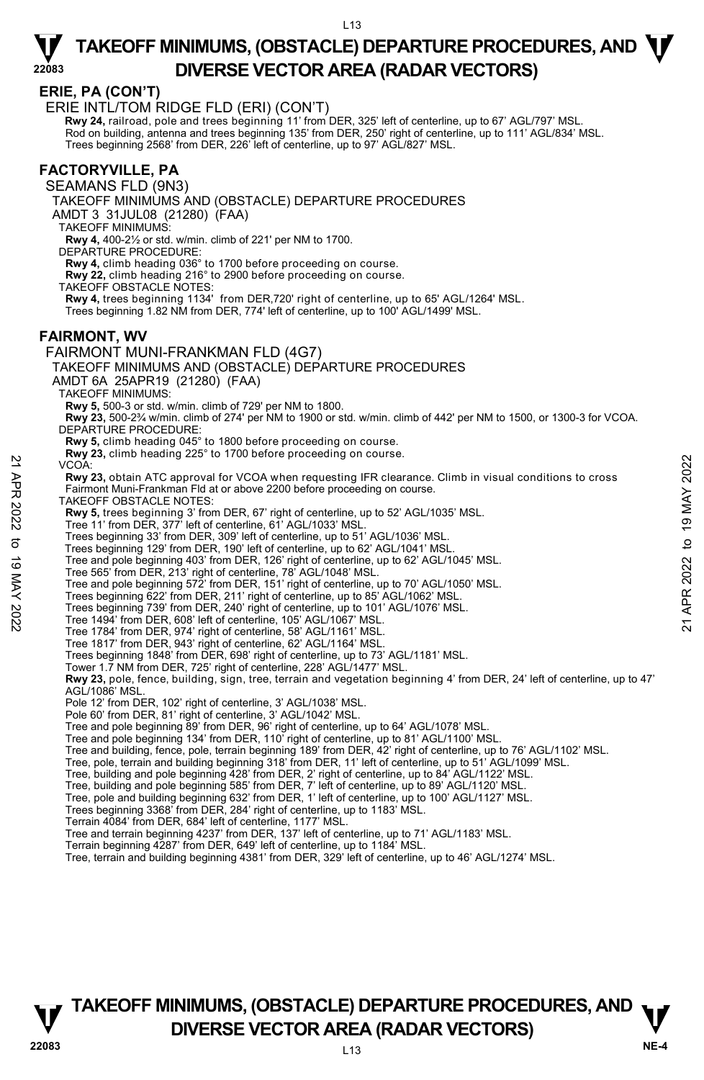#### **ERIE, PA (CON'T)**

**22083** 

ERIE INTL/TOM RIDGE FLD (ERI) (CON'T)

**Rwy 24,** railroad, pole and trees beginning 11' from DER, 325' left of centerline, up to 67' AGL/797' MSL. Rod on building, antenna and trees beginning 135' from DER, 250' right of centerline, up to 111' AGL/834' MSL. Trees beginning 2568' from DER, 226' left of centerline, up to 97' AGL/827' MSL.

#### **FACTORYVILLE, PA**

SEAMANS FLD (9N3)

TAKEOFF MINIMUMS AND (OBSTACLE) DEPARTURE PROCEDURES

AMDT 3 31JUL08 (21280) (FAA)

TAKEOFF MINIMUMS:

**Rwy 4,** 400-2½ or std. w/min. climb of 221' per NM to 1700. DEPARTURE PROCEDURE:

**Rwy 4,** climb heading 036° to 1700 before proceeding on course.

**Rwy 22,** climb heading 216° to 2900 before proceeding on course.

TAKEOFF OBSTACLE NOTES:

**Rwy 4,** trees beginning 1134' from DER,720' right of centerline, up to 65' AGL/1264' MSL.

Trees beginning 1.82 NM from DER, 774' left of centerline, up to 100' AGL/1499' MSL.

#### **FAIRMONT, WV**  FAIRMONT MUNI-FRANKMAN FLD (4G7)

TAKEOFF MINIMUMS AND (OBSTACLE) DEPARTURE PROCEDURES AMDT 6A 25APR19 (21280) (FAA) TAKEOFF MINIMUMS: **Rwy 5,** 500-3 or std. w/min. climb of 729' per NM to 1800. **Rwy 23,** 500-2¾ w/min. climb of 274' per NM to 1900 or std. w/min. climb of 442' per NM to 1500, or 1300-3 for VCOA. DEPARTURE PROCEDURE: **Rwy 5,** climb heading 045° to 1800 before proceeding on course. **Rwy 23,** climb heading 225° to 1700 before proceeding on course. VCOA: **Rwy 23,** obtain ATC approval for VCOA when requesting IFR clearance. Climb in visual conditions to cross Fairmont Muni-Frankman Fld at or above 2200 before proceeding on course. TAKEOFF OBSTACLE NOTES: **Rwy 5,** trees beginning 3' from DER, 67' right of centerline, up to 52' AGL/1035' MSL. Tree 11' from DER, 377' left of centerline, 61' AGL/1033' MSL. Trees beginning 33' from DER, 309' left of centerline, up to 51' AGL/1036' MSL. Trees beginning 129' from DER, 190' left of centerline, up to 62' AGL/1041' MSL. Tree and pole beginning 403' from DER, 126' right of centerline, up to 62' AGL/1045' MSL. Tree 565' from DER, 213' right of centerline, 78' AGL/1048' MSL. Tree and pole beginning 572' from DER, 151' right of centerline, up to 70' AGL/1050' MSL. Trees beginning 622' from DER, 211' right of centerline, up to 85' AGL/1062' MSL. Trees beginning 739' from DER, 240' right of centerline, up to 101' AGL/1076' MSL. Tree 1494' from DER, 608' left of centerline, 105' AGL/1067' MSL. Tree 1784' from DER, 974' right of centerline, 58' AGL/1161' MSL. Tree 1817' from DER, 943' right of centerline, 62' AGL/1164' MSL. Trees beginning 1848' from DER, 698' right of centerline, up to 73' AGL/1181' MSL. Tower 1.7 NM from DER, 725' right of centerline, 228' AGL/1477' MSL. **Rwy 23,** pole, fence, building, sign, tree, terrain and vegetation beginning 4' from DER, 24' left of centerline, up to 47' AGL/1086' MSL. Pole 12' from DER, 102' right of centerline, 3' AGL/1038' MSL. Pole 60' from DER, 81' right of centerline, 3' AGL/1042' MSL. Tree and pole beginning 89' from DER, 96' right of centerline, up to 64' AGL/1078' MSL. Tree and pole beginning 134' from DER, 110' right of centerline, up to 81' AGL/1100' MSL. Tree and building, fence, pole, terrain beginning 189' from DER, 42' right of centerline, up to 76' AGL/1102' MSL. Tree, pole, terrain and building beginning 318' from DER, 11' left of centerline, up to 51' AGL/1099' MSL. Tree, building and pole beginning 428' from DER, 2' right of centerline, up to 84' AGL/1122' MSL.<br>Tree, building and pole beginning 585' from DER, 7' left of centerline, up to 89' AGL/1120' MSL.<br>Tree, pole and building beg 22 VCOA:<br>
22 YCOA:<br>
22 YCOA:<br>
22 APR 2022 to 19 May 21 of 19 May 2022 to 19 May 21 and contains to cross<br>
22 ABM 2012 Taiwind Mini-Frankman Fld at or above 2200 before proceeding on course.<br>
22 TAKEOFF OBSTACLE NOTES:<br>
22

Trees beginning 3368' from DER, 284' right of centerline, up to 1183' MSL.

Terrain 4084' from DER, 684' left of centerline, 1177' MSL.

Tree and terrain beginning 4237' from DER, 137' left of centerline, up to 71' AGL/1183' MSL.

Terrain beginning 4287' from DER, 649' left of centerline, up to 1184' MSL.

Tree, terrain and building beginning 4381' from DER, 329' left of centerline, up to 46' AGL/1274' MSL.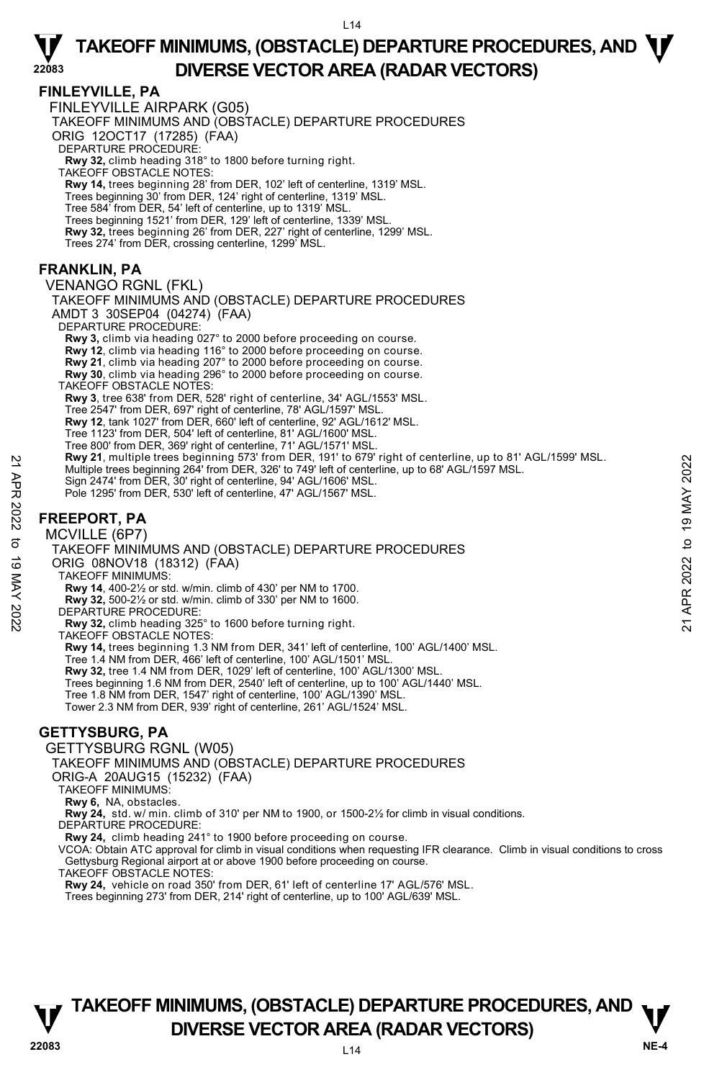#### **FINLEYVILLE, PA**

**22083** 

 FINLEYVILLE AIRPARK (G05) TAKEOFF MINIMUMS AND (OBSTACLE) DEPARTURE PROCEDURES ORIG 12OCT17 (17285) (FAA) DEPARTURE PROCEDURE: **Rwy 32,** climb heading 318° to 1800 before turning right. TAKEOFF OBSTACLE NOTES: **Rwy 14,** trees beginning 28' from DER, 102' left of centerline, 1319' MSL. Trees beginning 30' from DER, 124' right of centerline, 1319' MSL. Tree 584' from DER, 54' left of centerline, up to 1319' MSL. Trees beginning 1521' from DER, 129' left of centerline, 1339' MSL. **Rwy 32,** trees beginning 26' from DER, 227' right of centerline, 1299' MSL. Trees 274' from DER, crossing centerline, 1299' MSL.

#### **FRANKLIN, PA**

VENANGO RGNL (FKL) TAKEOFF MINIMUMS AND (OBSTACLE) DEPARTURE PROCEDURES AMDT 3 30SEP04 (04274) (FAA) DEPARTURE PROCEDURE: **Rwy 3,** climb via heading 027° to 2000 before proceeding on course. **Rwy 12**, climb via heading 116° to 2000 before proceeding on course. **Rwy 21**, climb via heading 207° to 2000 before proceeding on course. **Rwy 30**, climb via heading 296° to 2000 before proceeding on course. TAKEOFF OBSTACLE NOTES: **Rwy 3**, tree 638' from DER, 528' right of centerline, 34' AGL/1553' MSL. Tree 2547' from DER, 697' right of centerline, 78' AGL/1597' MSL. **Rwy 12**, tank 1027' from DER, 660' left of centerline, 92' AGL/1612' MSL. Tree 1123' from DER, 504' left of centerline, 81' AGL/1600' MSL. Tree 800' from DER, 369' right of centerline, 71' AGL/1571' MSL. **Rwy 21**, multiple trees beginning 573' from DER, 191' to 679' right of centerline, up to 81' AGL/1599' MSL. Multiple trees beginning 264' from DER, 326' to 749' left of centerline, up to 68' AGL/1597 MSL. Sign 2474' from DER, 30' right of centerline, 94' AGL/1606' MSL. Pole 1295' from DER, 530' left of centerline, 47' AGL/1567' MSL. 22 MW 21, multiple tress beginning 363<sup>4</sup> from DER, 326' to 749' left of centerline, up to 88' AGL/1597 MSL.<br>
Sign 2474' from DER, 30' right of centerline, 94' AGL/1567' MSL.<br>
Sign 2474' from DER, 530' left of centerline,

### **FREEPORT, PA**

MCVILLE (6P7)

TAKEOFF MINIMUMS AND (OBSTACLE) DEPARTURE PROCEDURES ORIG 08NOV18 (18312) (FAA) TAKEOFF MINIMUMS: **Rwy 14**, 400-2½ or std. w/min. climb of 430' per NM to 1700.

**Rwy 32,** 500-2½ or std. w/min. climb of 330' per NM to 1600.

DEPARTURE PROCEDURE:

**Rwy 32,** climb heading 325° to 1600 before turning right.

TAKEOFF OBSTACLE NOTES:

**Rwy 14,** trees beginning 1.3 NM from DER, 341' left of centerline, 100' AGL/1400' MSL.<br>Tree 1.4 NM from DER, 466' left of centerline, 100' AGL/1501' MSL.

**Rwy 32,** tree 1.4 NM from DER, 1029' left of centerline, 100' AGL/1300' MSL.

Trees beginning 1.6 NM from DER, 2540' left of centerline, up to 100' AGL/1440' MSL.

Tree 1.8 NM from DER, 1547' right of centerline, 100' AGL/1390' MSL.

Tower 2.3 NM from DER, 939' right of centerline, 261' AGL/1524' MSL.

#### **GETTYSBURG, PA**

GETTYSBURG RGNL (W05)

TAKEOFF MINIMUMS AND (OBSTACLE) DEPARTURE PROCEDURES

ORIG-A 20AUG15 (15232) (FAA)

TAKEOFF MINIMUMS:

**Rwy 6,** NA, obstacles.

**Rwy 24,** std. w/ min. climb of 310' per NM to 1900, or 1500-2½ for climb in visual conditions. DEPARTURE PROCEDURE:

**Rwy 24,** climb heading 241° to 1900 before proceeding on course.

VCOA: Obtain ATC approval for climb in visual conditions when requesting IFR clearance. Climb in visual conditions to cross Gettysburg Regional airport at or above 1900 before proceeding on course.

TAKEOFF OBSTACLE NOTES:

**Rwy 24,** vehicle on road 350' from DER, 61' left of centerline 17' AGL/576' MSL. Trees beginning 273' from DER, 214' right of centerline, up to 100' AGL/639' MSL.

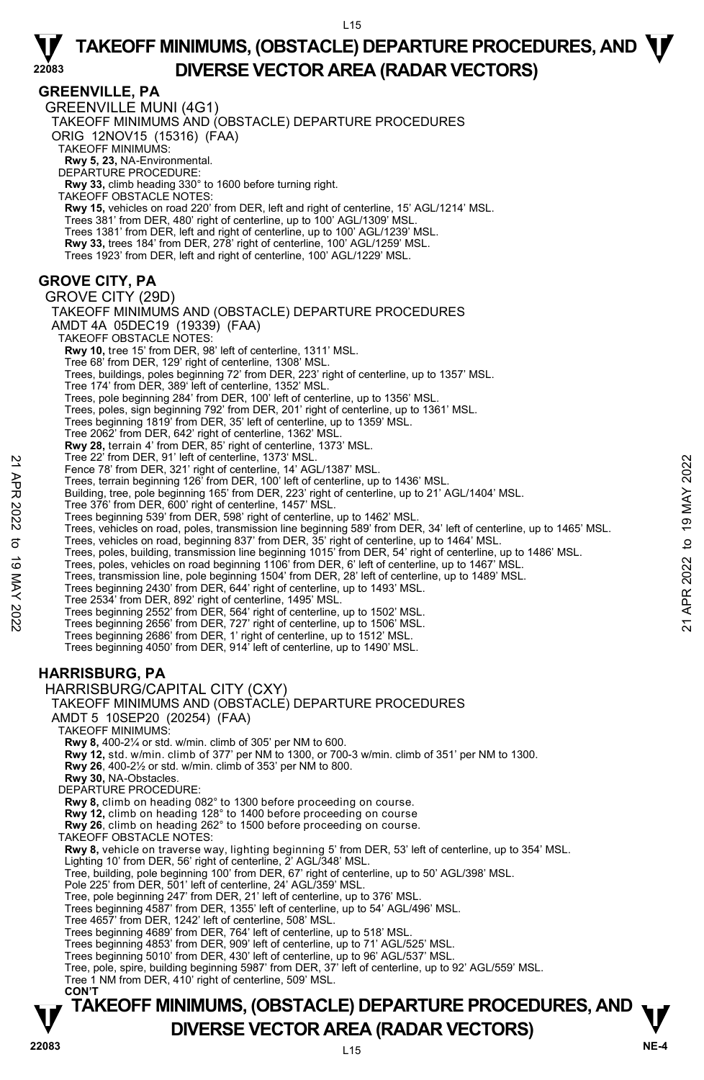**GREENVILLE, PA** 

**22083** 

**TAKEOFF MINIMUMS, (OBSTACLE) DEPARTURE PROCEDURES, AND**  $\mathbf{\nabla}$ GREENVILLE MUNI (4G1) TAKEOFF MINIMUMS AND (OBSTACLE) DEPARTURE PROCEDURES ORIG 12NOV15 (15316) (FAA) TAKEOFF MINIMUMS: **Rwy 5, 23,** NA-Environmental. DEPARTURE PROCEDURE: **Rwy 33,** climb heading 330° to 1600 before turning right. TAKEOFF OBSTACLE NOTES: **Rwy 15,** vehicles on road 220' from DER, left and right of centerline, 15' AGL/1214' MSL.<br>Trees 381' from DER, 480' right of centerline, up to 100' AGL/1309' MSL. Trees 1381' from DER, left and right of centerline, up to 100' AGL/1239' MSL. **Rwy 33,** trees 184' from DER, 278' right of centerline, 100' AGL/1259' MSL. Trees 1923' from DER, left and right of centerline, 100' AGL/1229' MSL. **GROVE CITY, PA**  GROVE CITY (29D) TAKEOFF MINIMUMS AND (OBSTACLE) DEPARTURE PROCEDURES AMDT 4A 05DEC19 (19339) (FAA) TAKEOFF OBSTACLE NOTES: **Rwy 10,** tree 15' from DER, 98' left of centerline, 1311' MSL. Tree 68' from DER, 129' right of centerline, 1308' MSL. Trees, buildings, poles beginning 72' from DER, 223' right of centerline, up to 1357' MSL. Tree 174' from DER, 389' left of centerline, 1352' MSL. Trees, pole beginning 284' from DER, 100' left of centerline, up to 1356' MSL. Trees, poles, sign beginning 792' from DER, 201' right of centerline, up to 1361' MSL. Trees beginning 1819' from DER, 35' left of centerline, up to 1359' MSL. Tree 2062' from DER, 642' right of centerline, 1362' MSL. **Rwy 28,** terrain 4' from DER, 85' right of centerline, 1373' MSL.<br>Tree 22' from DER, 91' left of centerline, 1373' MSL. Fence 78' from DER, 321' right of centerline, 14' AGL/1387' MSL. Trees, terrain beginning 126' from DER, 100' left of centerline, up to 1436' MSL. Building, tree, pole beginning 165' from DER, 223' right of centerline, up to 21' AGL/1404' MSL. Tree 376' from DER, 600' right of centerline, 1457' MSL. Trees beginning 539' from DER, 598' right of centerline, up to 1462' MSL. Trees, vehicles on road, poles, transmission line beginning 589' from DER, 34' left of centerline, up to 1465' MSL.<br>Trees, vehicles on road, beginning 837' from DER, 35' right of centerline, up to 1464' MSL.<br>Trees, poles, Trees, poles, vehicles on road beginning 1106' from DER, 6' left of centerline, up to 1467' MSL. Trees, transmission line, pole beginning 1504' from DER, 28' left of centerline, up to 1489' MSL.<br>Trees beginning 2430' from DER, 644' right of centerline, up to 1493' MSL. Tree 2534' from DER, 892' right of centerline, 1495' MSL. Trees beginning 2552' from DER, 564' right of centerline, up to 1502' MSL. Trees beginning 2656' from DER, 727' right of centerline, up to 1506' MSL. Trees beginning 2686' from DER, 1' right of centerline, up to 1512' MSL. Trees beginning 4050' from DER, 914' left of centerline, up to 1490' MSL. **HARRISBURG, PA**  HARRISBURG/CAPITAL CITY (CXY) TAKEOFF MINIMUMS AND (OBSTACLE) DEPARTURE PROCEDURES AMDT 5 10SEP20 (20254) (FAA) TAKEOFF MINIMUMS: **Rwy 8,** 400-2¼ or std. w/min. climb of 305' per NM to 600. **Rwy 12,** std. w/min. climb of 377' per NM to 1300, or 700-3 w/min. climb of 351' per NM to 1300. **Rwy 26**, 400-2½ or std. w/min. climb of 353' per NM to 800. **Rwy 30,** NA-Obstacles. DEPARTURE PROCEDURE: **Rwy 8,** climb on heading 082° to 1300 before proceeding on course. **Rwy 12,** climb on heading 128° to 1400 before proceeding on course **Rwy 26**, climb on heading 262° to 1500 before proceeding on course. TAKEOFF OBSTACLE NOTES: **Rwy 8,** vehicle on traverse way, lighting beginning 5' from DER, 53' left of centerline, up to 354' MSL.<br>Lighting 10' from DER, 56' right of centerline, 2' AGL/348' MSL. Tree, building, pole beginning 100' from DER, 67' right of centerline, up to 50' AGL/398' MSL. Pole 225' from DER, 501' left of centerline, 24' AGL/359' MSL. Tree, pole beginning 247' from DER, 21' left of centerline, up to 376' MSL. Trees beginning 4587' from DER, 1355' left of centerline, up to 54' AGL/496' MSL. Tree 4657' from DER, 1242' left of centerline, 508' MSL. Trees beginning 4689' from DER, 764' left of centerline, up to 518' MSL. Trees beginning 4853' from DER, 909' left of centerline, up to 71' AGL/525' MSL. Trees beginning 5010' from DER, 430' left of centerline, up to 96' AGL/537' MSL. Tree, pole, spire, building beginning 5987' from DER, 37' left of centerline, up to 92' AGL/559' MSL. Tree 1 NM from DER, 410' right of centerline, 509' MSL.  **CON'T** 1 Fee 22 Trom DER, 32 1 lent of centerine, 1373 MSL.<br>
Tence 78' from DER, 321' right of centerline, 14' AGL/1387' MSL.<br>
Trees, terrain beginning 126' from DER, 100' left of centerline, up to 1436' MSL.<br>
Building, tree, po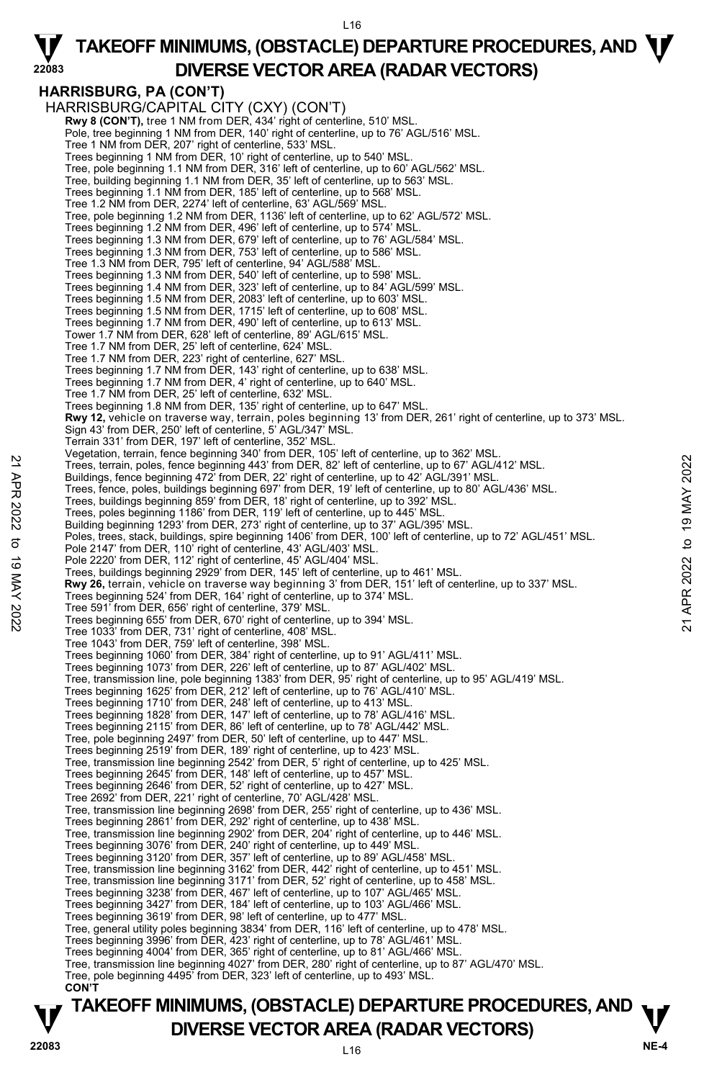### **HARRISBURG, PA (CON'T)**

**22083** 

HARRISBURG/CAPITAL CITY (CXY) (CON'T) **Rwy 8 (CON'T),** tree 1 NM from DER, 434' right of centerline, 510' MSL. Pole, tree beginning 1 NM from DER, 140' right of centerline, up to 76' AGL/516' MSL. Tree 1 NM from DER, 207' right of centerline, 533' MSL. Trees beginning 1 NM from DER, 10' right of centerline, up to 540' MSL. Tree, pole beginning 1.1 NM from DER, 316' left of centerline, up to 60' AGL/562' MSL. Tree, building beginning 1.1 NM from DER, 35' left of centerline, up to 563' MSL. Trees beginning 1.1 NM from DER, 185' left of centerline, up to 568' MSL. Tree 1.2 NM from DER, 2274' left of centerline, 63' AGL/569' MSL. Tree, pole beginning 1.2 NM from DER, 1136' left of centerline, up to 62' AGL/572' MSL. Trees beginning 1.2 NM from DER, 496' left of centerline, up to 574' MSL. Trees beginning 1.3 NM from DER, 679' left of centerline, up to 76' AGL/584' MSL. Trees beginning 1.3 NM from DER, 753' left of centerline, up to 586' MSL. Tree 1.3 NM from DER, 795' left of centerline, 94' AGL/588' MSL. Trees beginning 1.3 NM from DER, 540' left of centerline, up to 598' MSL. Trees beginning 1.4 NM from DER, 323' left of centerline, up to 84' AGL/599' MSL. Trees beginning 1.5 NM from DER, 2083' left of centerline, up to 603' MSL. Trees beginning 1.5 NM from DER, 1715' left of centerline, up to 608' MSL. Trees beginning 1.7 NM from DER, 490' left of centerline, up to 613' MSL. Tower 1.7 NM from DER, 628' left of centerline, 89' AGL/615' MSL. Tree 1.7 NM from DER, 25' left of centerline, 624' MSL. Tree 1.7 NM from DER, 223' right of centerline, 627' MSL. Trees beginning 1.7 NM from DER, 143' right of centerline, up to 638' MSL. Trees beginning 1.7 NM from DER, 4' right of centerline, up to 640' MSL. Tree 1.7 NM from DER, 25' left of centerline, 632' MSL. Trees beginning 1.8 NM from DER, 135' right of centerline, up to 647' MSL. **Rwy 12,** vehicle on traverse way, terrain, poles beginning 13' from DER, 261' right of centerline, up to 373' MSL.<br>Sign 43' from DER, 250' left of centerline, 5' AGL/347' MSL. Terrain 331' from DER, 197' left of centerline, 352' MSI Vegetation, terrain, fence beginning 340' from DER, 105' left of centerline, up to 362' MSL. Trees, terrain, poles, fence beginning 443' from DER, 82' left of centerline, up to 67' AGL/412' MSL. Buildings, fence beginning 472' from DER, 22' right of centerline, up to 42' AGL/391' MSL. Trees, fence, poles, buildings beginning 697' from DER, 19' left of centerline, up to 80' AGL/436' MSL.<br>Trees, buildings beginning 859' from DER, 18' right of centerline, up to 392' MSL. Trees, poles beginning 1186' from DER, 119' left of centerline, up to 445' MSL. Building beginning 1293' from DER, 273' right of centerline, up to 37' AGL/395' MSL.<br>Poles, trees, stack, buildings, spire beginning 1406' from DER, 100' left of centerline, up to 72' AGL/451' MSL. Pole 2147' from DER, 110' right of centerline, 43' AGL/403' MSL. Pole 2220' from DER, 112' right of centerline, 45' AGL/404' MSL. Trees, buildings beginning 2929' from DER, 145' left of centerline, up to 461' MSL. **Rwy 26,** terrain, vehicle on traverse way beginning 3' from DER, 151' left of centerline, up to 337' MSL. Trees beginning 524' from DER, 164' right of centerline, up to 374' MSL. Tree 591' from DER, 656' right of centerline, 379' MSL. Trees beginning 655' from DER, 670' right of centerline, up to 394' MSL. Tree 1033' from DER, 731' right of centerline, 408' MSL. Tree 1043' from DER, 759' left of centerline, 398' MSL. Trees beginning 1060' from DER, 384' right of centerline, up to 91' AGL/411' MSL. Trees beginning 1073' from DER, 226' left of centerline, up to 87' AGL/402' MSL. Tree, transmission line, pole beginning 1383' from DER, 95' right of centerline, up to 95' AGL/419' MSL.<br>Trees beginning 1625' from DER, 212' left of centerline, up to 76' AGL/410' MSL.<br>Trees beginning 1710' from DER, 248' Trees beginning 1828' from DER, 147' left of centerline, up to 78' AGL/416' MSL. Trees beginning 2115' from DER, 86' left of centerline, up to 78' AGL/442' MSL. Tree, pole beginning 2497' from DER, 50' left of centerline, up to 447' MSL. Trees beginning 2519' from DER, 189' right of centerline, up to 423' MSL. Tree, transmission line beginning 2542' from DER, 5' right of centerline, up to 425' MSL. Trees beginning 2645' from DER, 148' left of centerline, up to 457' MSL. Trees beginning 2646' from DER, 52' right of centerline, up to 427' MSL. Tree 2692' from DER, 221' right of centerline, 70' AGL/428' MSL. Tree, transmission line beginning 2698' from DER, 255' right of centerline, up to 436' MSL. Trees beginning 2861' from DER, 292' right of centerline, up to 438' MSL. Tree, transmission line beginning 2902' from DER, 204' right of centerline, up to 446' MSL. Trees beginning 3076' from DER, 240' right of centerline, up to 449' MSL. Trees beginning 3120' from DER, 357' left of centerline, up to 89' AGL/458' MSL. Tree, transmission line beginning 3162' from DER, 442' right of centerline, up to 451' MSL. Tree, transmission line beginning 3171' from DER, 52' right of centerline, up to 458' MSL. Trees beginning 3238' from DER, 467' left of centerline, up to 107' AGL/465' MSL. Trees beginning 3427' from DER, 184' left of centerline, up to 103' AGL/466' MSL. Trees beginning 3619' from DER, 98' left of centerline, up to 477' MSL. Tree, general utility poles beginning 3834' from DER, 116' left of centerline, up to 478' MSL. Trees beginning 3996' from DER, 423' right of centerline, up to 78' AGL/461' MSL. Trees beginning 4004' from DER, 365' right of centerline, up to 81' AGL/466' MSL. Tree, transmission line beginning 4027' from DER, 280' right of centerline, up to 87' AGL/470' MSL. Tree, pole beginning 4495' from DER, 323' left of centerline, up to 493' MSL.  **CON'T** 22 Creas, terrain, poles, fence beginning 343 from DER, 82' left of centerline, up to 67' AGL/412' MSL.<br>
21 Trees, terrain, poles, buildings beginning 443 from DER, 82' left of centerline, up to 42' AGL/391' MSL.<br>
22 Trees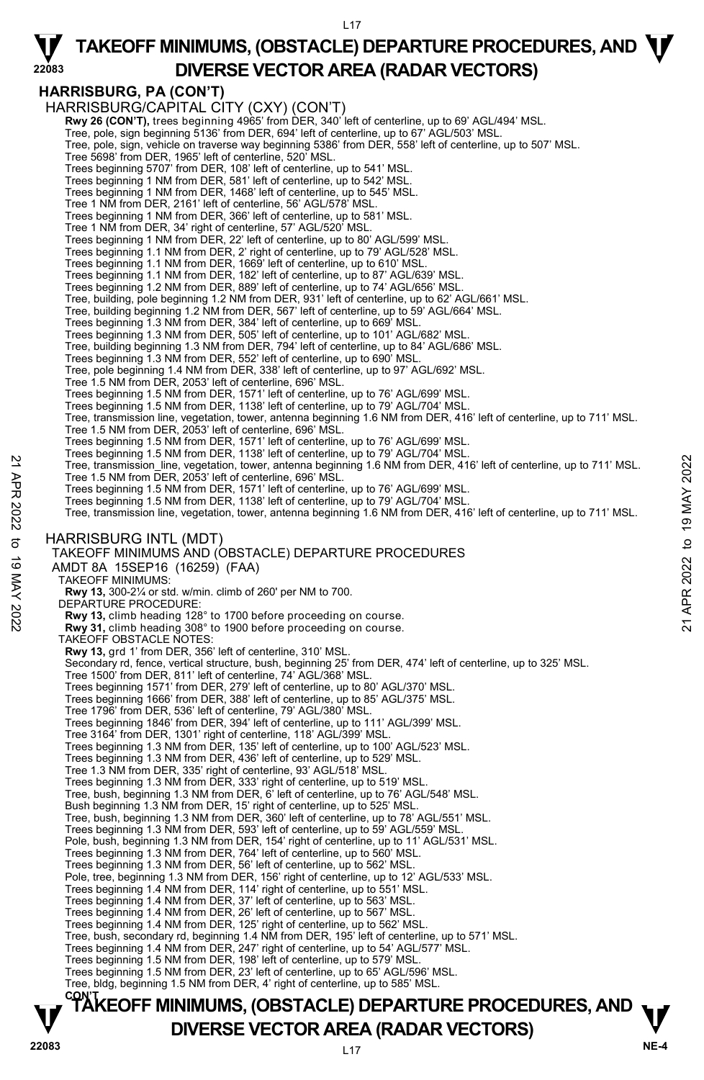### **HARRISBURG, PA (CON'T)**

**22083** 

HARRISBURG/CAPITAL CITY (CXY) (CON'T) **Rwy 26 (CON'T),** trees beginning 4965' from DER, 340' left of centerline, up to 69' AGL/494' MSL. Tree, pole, sign beginning 5136' from DER, 694' left of centerline, up to 67' AGL/503' MSL. Tree, pole, sign, vehicle on traverse way beginning 5386' from DER, 558' left of centerline, up to 507' MSL. Tree 5698' from DER, 1965' left of centerline, 520' MSL. Trees beginning 5707' from DER, 108' left of centerline, up to 541' MSL. Trees beginning 1 NM from DER, 581' left of centerline, up to 542' MSL. Trees beginning 1 NM from DER, 1468' left of centerline, up to 545' MSL. Tree 1 NM from DER, 2161' left of centerline, 56' AGL/578' MSL. Trees beginning 1 NM from DER, 366' left of centerline, up to 581' MSL. Tree 1 NM from DER, 34' right of centerline, 57' AGL/520' MSL. Trees beginning 1 NM from DER, 22' left of centerline, up to 80' AGL/599' MSL. Trees beginning 1.1 NM from DER, 2' right of centerline, up to 79' AGL/528' MSL. Trees beginning 1.1 NM from DER, 1669' left of centerline, up to 610' MSL. Trees beginning 1.1 NM from DER, 182' left of centerline, up to 87' AGL/639' MSL. Trees beginning 1.2 NM from DER, 889' left of centerline, up to 74' AGL/656' MSL. Tree, building, pole beginning 1.2 NM from DER, 931' left of centerline, up to 62' AGL/661' MSL. Tree, building beginning 1.2 NM from DER, 567' left of centerline, up to 59' AGL/664' MSL. Trees beginning 1.3 NM from DER, 384' left of centerline, up to 669' MSL. Trees beginning 1.3 NM from DER, 505' left of centerline, up to 101' AGL/682' MSL. Tree, building beginning 1.3 NM from DER, 794' left of centerline, up to 84' AGL/686' MSL. Trees beginning 1.3 NM from DER, 552' left of centerline, up to 690' MSL. Tree, pole beginning 1.4 NM from DER, 338' left of centerline, up to 97' AGL/692' MSL. Tree 1.5 NM from DER, 2053' left of centerline, 696' MSL. Trees beginning 1.5 NM from DER, 1571' left of centerline, up to 76' AGL/699' MSL. Trees beginning 1.5 NM from DER, 1138' left of centerline, up to 79' AGL/704' MSL. Tree, transmission line, vegetation, tower, antenna beginning 1.6 NM from DER, 416' left of centerline, up to 711' MSL. Tree 1.5 NM from DER, 2053' left of centerline, 696' MSL. Trees beginning 1.5 NM from DER, 1571' left of centerline, up to 76' AGL/699' MSL. Trees beginning 1.5 NM from DER, 1138' left of centerline, up to 79' AGL/704' MSL. Tree, transmission\_line, vegetation, tower, antenna beginning 1.6 NM from DER, 416' left of centerline, up to 711' MSL.<br>Tree 1.5 NM from DER, 2053' left of centerline, 696' MSL. Trees beginning 1.5 NM from DER, 1571' left of centerline, up to 76' AGL/699' MSL. Trees beginning 1.5 NM from DER, 1138' left of centerline, up to 79' AGL/704' MSL. Tree, transmission line, vegetation, tower, antenna beginning 1.6 NM from DER, 416' left of centerline, up to 711' MSL. HARRISBURG INTL (MDT) TAKEOFF MINIMUMS AND (OBSTACLE) DEPARTURE PROCEDURES AMDT 8A 15SEP16 (16259) (FAA) TAKEOFF MINIMUMS: **Rwy 13,** 300-2¼ or std. w/min. climb of 260' per NM to 700. DEPARTURE PROCEDURE **Rwy 13,** climb heading 128° to 1700 before proceeding on course. **Rwy 31,** climb heading 308° to 1900 before proceeding on course. TAKEOFF OBSTACLE NOTES: **Rwy 13,** grd 1' from DER, 356' left of centerline, 310' MSL. Secondary rd, fence, vertical structure, bush, beginning 25' from DER, 474' left of centerline, up to 325' MSL. Tree 1500' from DER, 811' left of centerline, 74' AGL/368' MSL. Trees beginning 1571' from DER, 279' left of centerline, up to 80' AGL/370' MSL. Trees beginning 1666' from DER, 388' left of centerline, up to 85' AGL/375' MSL. Tree 1796' from DER, 536' left of centerline, 79' AGL/380' MSL. Trees beginning 1846' from DER, 394' left of centerline, up to 111' AGL/399' MSL. Tree 3164' from DER, 1301' right of centerline, 118' AGL/399' MSL. Trees beginning 1.3 NM from DER, 135' left of centerline, up to 100' AGL/523' MSL. Trees beginning 1.3 NM from DER, 436' left of centerline, up to 529' MSL. Tree 1.3 NM from DER, 335' right of centerline, 93' AGL/518' MSL. Trees beginning 1.3 NM from DER, 333' right of centerline, up to 519' MSL. Tree, bush, beginning 1.3 NM from DER, 6' left of centerline, up to 76' AGL/548' MSL. Bush beginning 1.3 NM from DER, 15' right of centerline, up to 525' MSL. Tree, bush, beginning 1.3 NM from DER, 360' left of centerline, up to 78' AGL/551' MSL. Trees beginning 1.3 NM from DER, 593' left of centerline, up to 59' AGL/559' MSL. Pole, bush, beginning 1.3 NM from DER, 154' right of centerline, up to 11' AGL/531' MSL. Trees beginning 1.3 NM from DER, 764' left of centerline, up to 560' MSL. Trees beginning 1.3 NM from DER, 56' left of centerline, up to 562' MSL. Pole, tree, beginning 1.3 NM from DER, 156' right of centerline, up to 12' AGL/533' MSL. Trees beginning 1.4 NM from DER, 114' right of centerline, up to 551' MSL. Trees beginning 1.4 NM from DER, 37' left of centerline, up to 563' MSL. Trees beginning 1.4 NM from DER, 26' left of centerline, up to 567' MSL. Trees beginning 1.4 NM from DER, 125' right of centerline, up to 562' MSL. Tree, bush, secondary rd, beginning 1.4 NM from DER, 195' left of centerline, up to 571' MSL.<br>Trees beginning 1.4 NM from DER, 247' right of centerline, up to 54' AGL/577' MSL. Trees beginning 1.5 NM from DER, 198' left of centerline, up to 579' MSL. Trees beginning 1.5 NM from DER, 23' left of centerline, up to 65' AGL/596' MSL. Tree, bldg, beginning 1.5 NM from DER, 4' right of centerline, up to 585' MSL. 22 Tree, transmission line, vegetation, tower, antenna beginning 1.6 NM from DER, 416' left of centerline, up to 711' MSL.<br>
Tree beginning 1.5 NM from DER, 1053' left of centerline, 696' MSL.<br>
Trees beginning 1.5 NM from

# **TAKEOFF MINIMUMS, (OBSTACLE) DEPARTURE PROCEDURES, AND <b>W**<br>DIVERSE VECTOR AREA (RADAR VECTORS) **V** DIVERSE VECTOR AREA (RADAR VECTORS) V<br>22083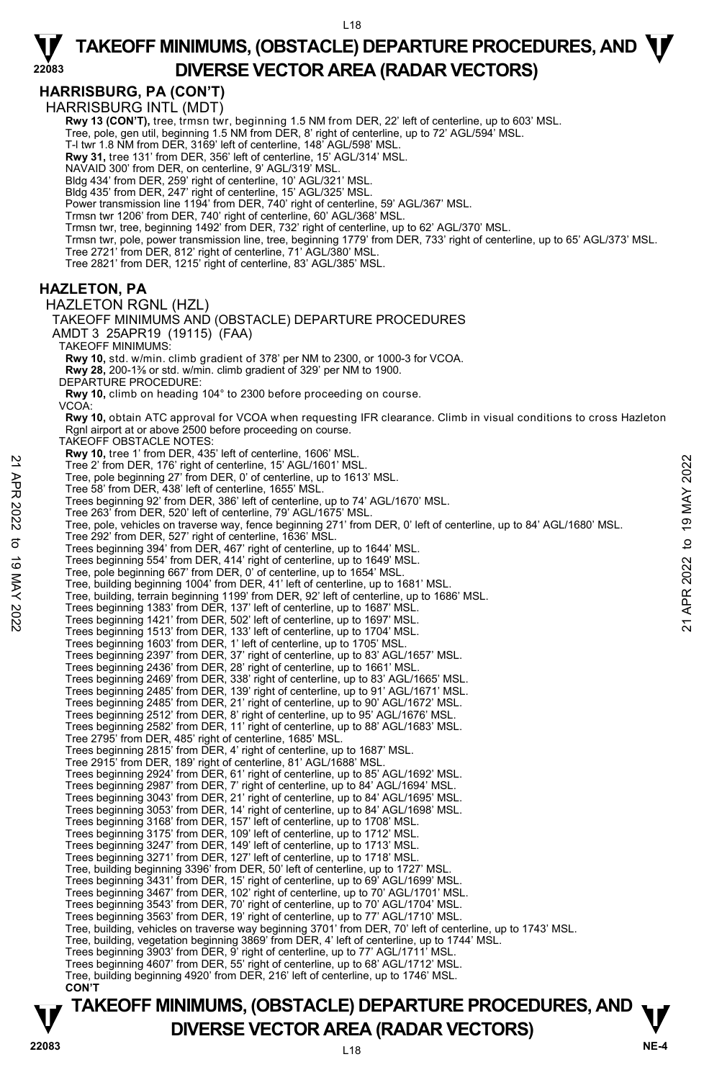**HARRISBURG, PA (CON'T)** 

**22083** 

HARRISBURG INTL (MDT) **Rwy 13 (CON'T),** tree, trmsn twr, beginning 1.5 NM from DER, 22' left of centerline, up to 603' MSL. Tree, pole, gen util, beginning 1.5 NM from DER, 8' right of centerline, up to 72' AGL/594' MSL. T-l twr 1.8 NM from DER, 3169' left of centerline, 148' AGL/598' MSL. **Rwy 31,** tree 131' from DER, 356' left of centerline, 15' AGL/314' MSL. NAVAID 300' from DER, on centerline, 9' AGL/319' MSL. Bldg 434' from DER, 259' right of centerline, 10' AGL/321' MSL. Bldg 435' from DER, 247' right of centerline, 15' AGL/325' MSL. Power transmission line 1194' from DER, 740' right of centerline, 59' AGL/367' MSL. Trmsn twr 1206' from DER, 740' right of centerline, 60' AGL/368' MSL. Trmsn twr, tree, beginning 1492' from DER, 732' right of centerline, up to 62' AGL/370' MSL. Trmsn twr, pole, power transmission line, tree, beginning 1779' from DER, 733' right of centerline, up to 65' AGL/373' MSL.<br>Tree 2721' from DER, 812' right of centerline, 71' AGL/380' MSL. Tree 2821' from DER, 1215' right of centerline, 83' AGL/385' MSL. **HAZLETON, PA**  HAZLETON RGNL (HZL) TAKEOFF MINIMUMS AND (OBSTACLE) DEPARTURE PROCEDURES AMDT 3 25APR19 (19115) (FAA) TAKEOFF MINIMUMS: **Rwy 10,** std. w/min. climb gradient of 378' per NM to 2300, or 1000-3 for VCOA. **Rwy 28,** 200-1⅜ or std. w/min. climb gradient of 329' per NM to 1900. DEPARTURE PROCEDURE: **Rwy 10,** climb on heading 104° to 2300 before proceeding on course. VCOA: **Rwy 10,** obtain ATC approval for VCOA when requesting IFR clearance. Climb in visual conditions to cross Hazleton Rgnl airport at or above 2500 before proceeding on course. TAKEOFF OBSTACLE NOTES: **Rwy 10,** tree 1' from DER, 435' left of centerline, 1606' MSL. Tree 2' from DER, 176' right of centerline, 15' AGL/1601' MSL. Tree, pole beginning 27' from DER, 0' of centerline, up to 1613' MSL. Tree 58' from DER, 438' left of centerline, 1655' MSL. Trees beginning 92' from DER, 386' left of centerline, up to 74' AGL/1670' MSL. Tree 263' from DER, 520' left of centerline, 79' AGL/1675' MSL. Tree, pole, vehicles on traverse way, fence beginning 271' from DER, 0' left of centerline, up to 84' AGL/1680' MSL.<br>Tree 292' from DER, 527' right of centerline, 1636' MSL. Trees beginning 394' from DER, 467' right of centerline, up to 1644' MSL. Trees beginning 554' from DER, 414' right of centerline, up to 1649' MSL. Tree, pole beginning 667' from DER, 0' of centerline, up to 1654' MSL. Tree, building beginning 1004' from DER, 41' left of centerline, up to 1681' MSL. Tree, building, terrain beginning 1199' from DER, 92' left of centerline, up to 1686' MSL. Trees beginning 1383' from DER, 137' left of centerline, up to 1687' MSL.<br>Trees beginning 1421' from DER, 502' left of centerline, up to 1697' MSL.<br>Trees beginning 1513' from DER, 133' left of centerline, up to 1704' MSL. Trees beginning 1603' from DER, 1' left of centerline, up to 1705' MSL.<br>Trees beginning 2397' from DER, 37' right of centerline, up to 83' AGL/1657' MSL.<br>Trees beginning 2436' from DER, 28' right of centerline, up to 1661' Trees beginning 2469' from DER, 338' right of centerline, up to 83' AGL/1665' MSL. Trees beginning 2485' from DER, 139' right of centerline, up to 91' AGL/1671' MSL. Trees beginning 2485' from DER, 21' right of centerline, up to 90' AGL/1672' MSL. Trees beginning 2512' from DER, 8' right of centerline, up to 95' AGL/1676' MSL. Trees beginning 2582' from DER, 11' right of centerline, up to 88' AGL/1683' MSL. Tree 2795' from DER, 485' right of centerline, 1685' MSL. Trees beginning 2815' from DER, 4' right of centerline, up to 1687' MSL. Tree 2915' from DER, 189' right of centerline, 81' AGL/1688' MSL. Trees beginning 2924' from DER, 61' right of centerline, up to 85' AGL/1692' MSL. Trees beginning 2987' from DER, 7' right of centerline, up to 84' AGL/1694' MSL. Trees beginning 3043' from DER, 21' right of centerline, up to 84' AGL/1695' MSL. Trees beginning 3053' from DER, 14' right of centerline, up to 84' AGL/1698' MSL. Trees beginning 3168' from DER, 157' left of centerline, up to 1708' MSL. Trees beginning 3175' from DER, 109' left of centerline, up to 1712' MSL. Trees beginning 3247' from DER, 149' left of centerline, up to 1713' MSL. Trees beginning 3271' from DER, 127' left of centerline, up to 1718' MSL. Tree, building beginning 3396' from DER, 50' left of centerline, up to 1727' MSL. Trees beginning 3431' from DER, 15' right of centerline, up to 69' AGL/1699' MSL. Trees beginning 3467' from DER, 102' right of centerline, up to 70' AGL/1701' MSL. Trees beginning 3543' from DER, 70' right of centerline, up to 70' AGL/1704' MSL. Trees beginning 3563' from DER, 19' right of centerline, up to 77' AGL/1710' MSL. Tree, building, vehicles on traverse way beginning 3701' from DER, 70' left of centerline, up to 1743' MSL.<br>Tree, building, vegetation beginning 3869' from DER, 4' left of centerline, up to 1744' MSL. Trees beginning 3903' from DER, 9' right of centerline, up to 77' AGL/1711' MSL. Trees beginning 4607' from DER, 55' right of centerline, up to 68' AGL/1712' MSL. Tree, building beginning 4920' from DER, 216' left of centerline, up to 1746' MSL.  **CON'T**  22 Tree 2022 from DER, 176' right of centerline, 15' AGL/1601' MSL.<br>
Tree 21 from DER, 176' right of centerline, 15' AGL/1601' MSL.<br>
Tree 58' from DER, 178' right of centerline, 1655' MSL.<br>
Tree 58' from DER, 520' left of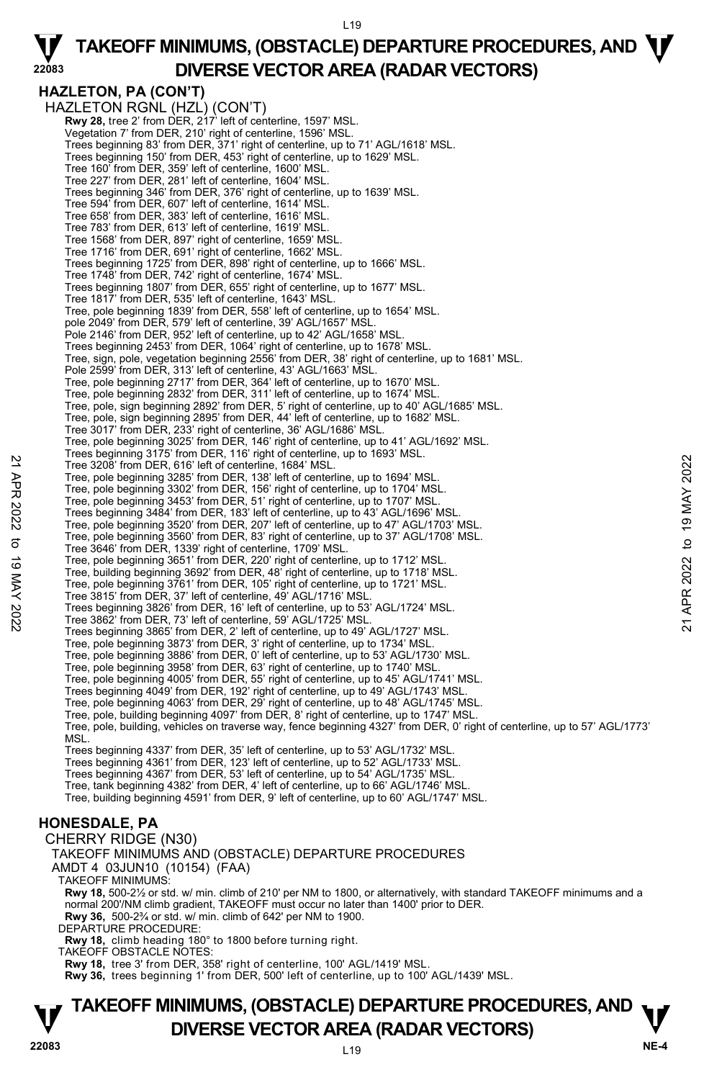L19

**HAZLETON, PA (CON'T)**  HAZLETON RGNL (HZL) (CON'T) **Rwy 28,** tree 2' from DER, 217' left of centerline, 1597' MSL. Vegetation 7' from DER, 210' right of centerline, 1596' MSL. Trees beginning 83' from DER, 371' right of centerline, up to 71' AGL/1618' MSL. Trees beginning 150' from DER, 453' right of centerline, up to 1629' MSL. Tree 160' from DER, 359' left of centerline, 1600' MSL. Tree 227' from DER, 281' left of centerline, 1604' MSL. Trees beginning 346' from DER, 376' right of centerline, up to 1639' MSL. Tree 594' from DER, 607' left of centerline, 1614' MSL. Tree 658' from DER, 383' left of centerline, 1616' MSL. Tree 783' from DER, 613' left of centerline, 1619' MSL. Tree 1568' from DER, 897' right of centerline, 1659' MSL. Tree 1716' from DER, 691' right of centerline, 1662' MSL. Trees beginning 1725' from DER, 898' right of centerline, up to 1666' MSL. Tree 1748' from DER, 742' right of centerline, 1674' MSL. Trees beginning 1807' from DER, 655' right of centerline, up to 1677' MSL. Tree 1817' from DER, 535' left of centerline, 1643' MSL. Tree, pole beginning 1839' from DER, 558' left of centerline, up to 1654' MSL. pole 2049' from DER, 579' left of centerline, 39' AGL/1657' MSI Pole 2146' from DER, 952' left of centerline, up to 42' AGL/1658' MSL. Trees beginning 2453' from DER, 1064' right of centerline, up to 1678' MSL. Tree, sign, pole, vegetation beginning 2556' from DER, 38' right of centerline, up to 1681' MSL. Pole 2599' from DER, 313' left of centerline, 43' AGL/1663' MSL. Tree, pole beginning 2717' from DER, 364' left of centerline, up to 1670' MSL. Tree, pole beginning 2832' from DER, 311' left of centerline, up to 1674' MSL. Tree, pole, sign beginning 2892' from DER, 5' right of centerline, up to 40' AGL/1685' MSL.<br>Tree, pole, sign beginning 2895' from DER, 44' left of centerline, up to 1682' MSL.<br>Tree 3017' from DER, 233' right of centerline, Tree, pole beginning 3025' from DER, 146' right of centerline, up to 41' AGL/1692' MSL. Trees beginning 3175' from DER, 116' right of centerline, up to 1693' MSL. Tree 3208' from DER, 616' left of centerline, 1684' MSL. Tree, pole beginning 3285' from DER, 138' left of centerline, up to 1694' MSL. Tree, pole beginning 3302' from DER, 156' right of centerline, up to 1704' MSL. Tree, pole beginning 3453' from DER, 51' right of centerline, up to 1707' MSL. Trees beginning 3484' from DER, 183' left of centerline, up to 43' AGL/1696' MSL. Tree, pole beginning 3520' from DER, 207' left of centerline, up to 47' AGL/1703' MSL. Tree, pole beginning 3560' from DER, 83' right of centerline, up to 37' AGL/1708' MSL. Tree 3646' from DER, 1339' right of centerline, 1709' MSL. Tree, pole beginning 3651' from DER, 220' right of centerline, up to 1712' MSI Tree, building beginning 3692' from DER, 48' right of centerline, up to 1718' MSL. Tree, pole beginning 3761' from DER, 105' right of centerline, up to 1721' MSL. Tree 3815' from DER, 37' left of centerline, 49' AGL/1716' MSL. Trees beginning 3826' from DER, 16' left of centerline, up to 53' AGL/1724' MSL. Tree 3862' from DER, 73' left of centerline, 59' AGL/1725' MSL. Trees beginning 3865' from DER, 2' left of centerline, up to 49' AGL/1727' MSL. Tree, pole beginning 3873' from DER, 3' right of centerline, up to 1734' MSL. Tree, pole beginning 3886' from DER, 0' left of centerline, up to 53' AGL/1730' MSL. Tree, pole beginning 3958' from DER, 63' right of centerline, up to 1740' MSL. Tree, pole beginning 4005' from DER, 55' right of centerline, up to 45' AGL/1741' MSL. Trees beginning 4049' from DER, 192' right of centerline, up to 49' AGL/1743' MSL. Tree, pole beginning 4063' from DER, 29' right of centerline, up to 48' AGL/1745' MSL. Tree, pole, building beginning 4097' from DER, 8' right of centerline, up to 1747' MSL. Tree, pole, building, vehicles on traverse way, fence beginning 4327' from DER, 0' right of centerline, up to 57' AGL/1773' MSL. Trees beginning 4337' from DER, 35' left of centerline, up to 53' AGL/1732' MSL. Trees beginning 4361' from DER, 123' left of centerline, up to 52' AGL/1733' MSL. Trees beginning 4367' from DER, 53' left of centerline, up to 54' AGL/1735' MSL. Tree, tank beginning 4382' from DER, 4' left of centerline, up to 66' AGL/1746' MSL. Tree, building beginning 4591' from DER, 9' left of centerline, up to 60' AGL/1747' MSL. 22 Tree 3048' from DER, 616' left of centerline, 1684 MSL.<br>
Tree 3208' from DER, 616' left of centerine, 1684 MSL.<br>
Tree, pole beginning 3282' from DER, 136' left of centerline, up to 1704' MSL.<br>
Tree, pole beginning 3483'

### **HONESDALE, PA**

CHERRY RIDGE (N30)

TAKEOFF MINIMUMS AND (OBSTACLE) DEPARTURE PROCEDURES

AMDT 4 03JUN10 (10154) (FAA)

TAKEOFF MINIMUMS:

**Rwy 18,** 500-2½ or std. w/ min. climb of 210' per NM to 1800, or alternatively, with standard TAKEOFF minimums and a<br>normal 200'/NM climb gradient, TAKEOFF must occur no later than 1400' prior to DER. **Rwy 36,** 500-2¾ or std. w/ min. climb of 642' per NM to 1900.

DEPARTURE PROCEDURE:

**Rwy 18,** climb heading 180° to 1800 before turning right.

TAKEOFF OBSTACLE NOTES:

**Rwy 18,** tree 3' from DER, 358' right of centerline, 100' AGL/1419' MSL.

**Rwy 36,** trees beginning 1' from DER, 500' left of centerline, up to 100' AGL/1439' MSL.

## **TAKEOFF MINIMUMS, (OBSTACLE) DEPARTURE PROCEDURES, AND**  $\mathbf{\nabla}$ **DIVERSE VECTOR AREA (RADAR VECTORS)** 22083

**22083**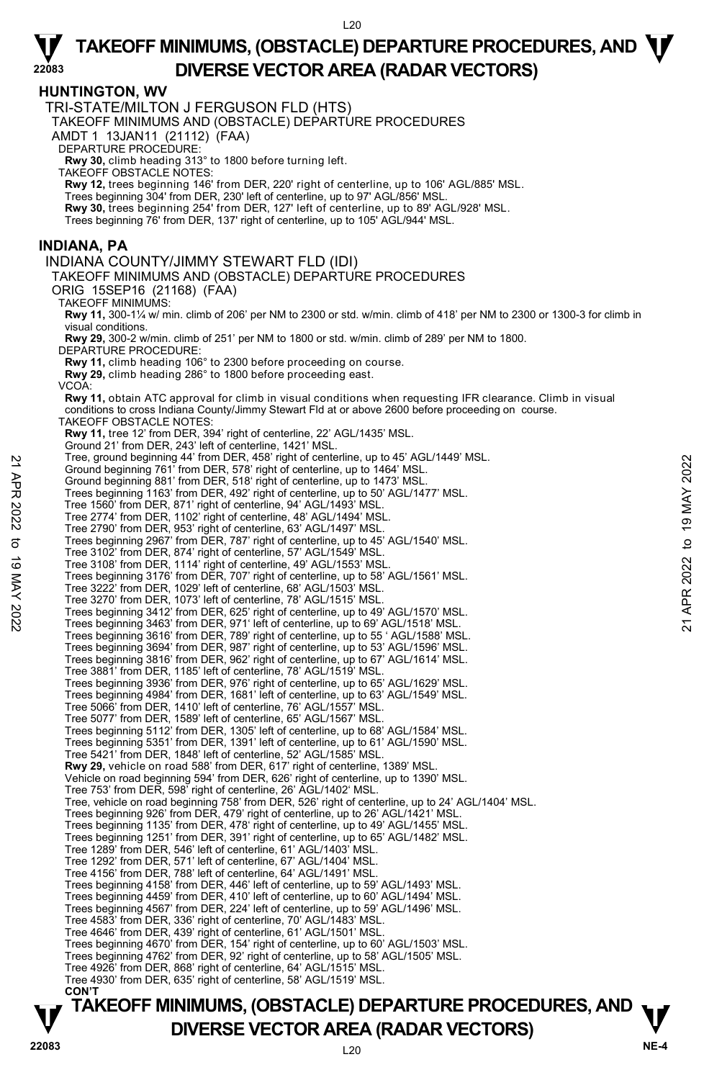#### **HUNTINGTON, WV**

**22083** 

TRI-STATE/MILTON J FERGUSON FLD (HTS) TAKEOFF MINIMUMS AND (OBSTACLE) DEPARTURE PROCEDURES AMDT 1 13JAN11 (21112) (FAA) DEPARTURE PROCEDURE: **Rwy 30,** climb heading 313° to 1800 before turning left. TAKEOFF OBSTACLE NOTES: **Rwy 12,** trees beginning 146' from DER, 220' right of centerline, up to 106' AGL/885' MSL. Trees beginning 304' from DER, 230' left of centerline, up to 97' AGL/856' MSL. **Rwy 30,** trees beginning 254' from DER, 127' left of centerline, up to 89' AGL/928' MSL. Trees beginning 76' from DER, 137' right of centerline, up to 105' AGL/944' MSL. **INDIANA, PA**  INDIANA COUNTY/JIMMY STEWART FLD (IDI) TAKEOFF MINIMUMS AND (OBSTACLE) DEPARTURE PROCEDURES ORIG 15SEP16 (21168) (FAA) TAKEOFF MINIMUMS: **Rwy 11,** 300-1¼ w/ min. climb of 206' per NM to 2300 or std. w/min. climb of 418' per NM to 2300 or 1300-3 for climb in visual conditions. **Rwy 29,** 300-2 w/min. climb of 251' per NM to 1800 or std. w/min. climb of 289' per NM to 1800. DEPARTURE PROCEDURE: **Rwy 11,** climb heading 106° to 2300 before proceeding on course. **Rwy 29,** climb heading 286° to 1800 before proceeding east. VCOA: **Rwy 11,** obtain ATC approval for climb in visual conditions when requesting IFR clearance. Climb in visual conditions to cross Indiana County/Jimmy Stewart Fld at or above 2600 before proceeding on course. TAKEOFF OBSTACLE NOTES: **Rwy 11,** tree 12' from DER, 394' right of centerline, 22' AGL/1435' MSL. Ground 21' from DER, 243' left of centerline, 1421' MSL. Tree, ground beginning 44' from DER, 458' right of centerline, up to 45' AGL/1449' MSL. Ground beginning 761' from DER, 578' right of centerline, up to 1464' MSL. Ground beginning 881' from DER, 518' right of centerline, up to 1473' MSL. Trees beginning 1163' from DER, 492' right of centerline, up to 50' AGL/1477' MSL. Tree 1560' from DER, 871' right of centerline, 94' AGL/1493' MSL. Tree 2774' from DER, 1102' right of centerline, 48' AGL/1494' MSL. Tree 2790' from DER, 953' right of centerline, 63' AGL/1497' MSL. Trees beginning 2967' from DER, 787' right of centerline, up to 45' AGL/1540' MSL. Tree 3102' from DER, 874' right of centerline, 57' AGL/1549' MSL. Tree 3108' from DER, 1114' right of centerline, 49' AGL/1553' MSL.<br>Trees beginning 3176' from DER, 707' right of centerline, up to 58' AGL/1561' MSL. Tree 3222' from DER, 1029' left of centerline, 68' AGL/1503' MSL. Tree 3270' from DER, 1073' left of centerline, 78' AGL/1515' MSL. Trees beginning 3412' from DER, 625' right of centerline, up to 49' AGL/1570' MSL. Trees beginning 3463' from DER, 971' left of centerline, up to 69' AGL/1518' MSL. Trees beginning 3616' from DER, 789' right of centerline, up to 55 ' AGL/1588' MSL. Trees beginning 3694' from DER, 987' right of centerline, up to 53' AGL/1596' MSL. Trees beginning 3816' from DER, 962' right of centerline, up to 67' AGL/1614' MSL. Tree 3881' from DER, 1185' left of centerline, 78' AGL/1519' MSL. Trees beginning 3936' from DER, 976' right of centerline, up to 65' AGL/1629' MSL. Trees beginning 4984' from DER, 1681' left of centerline, up to 63' AGL/1549' MSL. Tree 5066' from DER, 1410' left of centerline, 76' AGL/1557' MSL. Tree 5077' from DER, 1589' left of centerline, 65' AGL/1567' MSL. Trees beginning 5112' from DER, 1305' left of centerline, up to 68' AGL/1584' MSL. Trees beginning 5351' from DER, 1391' left of centerline, up to 61' AGL/1590' MSL. Tree 5421' from DER, 1848' left of centerline, 52' AGL/1585' MSL. **Rwy 29,** vehicle on road 588' from DER, 617' right of centerline, 1389' MSL. Vehicle on road beginning 594' from DER, 626' right of centerline, up to 1390' MSL. Tree 753' from DER, 598' right of centerline, 26' AGL/1402' MSL. Tree, vehicle on road beginning 758' from DER, 526' right of centerline, up to 24' AGL/1404' MSL. Trees beginning 926' from DER, 479' right of centerline, up to 26' AGL/1421' MSL. Trees beginning 1135' from DER, 478' right of centerline, up to 49' AGL/1455' MSL. Trees beginning 1251' from DER, 391' right of centerline, up to 65' AGL/1482' MSL. Tree 1289' from DER, 546' left of centerline, 61' AGL/1403' MSL. Tree 1292' from DER, 571' left of centerline, 67' AGL/1404' MSL. Tree 4156' from DER, 788' left of centerline, 64' AGL/1491' MSL. Trees beginning 4158' from DER, 446' left of centerline, up to 59' AGL/1493' MSL. Trees beginning 4459' from DER, 410' left of centerline, up to 60' AGL/1494' MSL. Trees beginning 4567' from DER, 224' left of centerline, up to 59' AGL/1496' MSL. Tree 4583' from DER, 336' right of centerline, 70' AGL/1483' MSL. Tree 4646' from DER, 439' right of centerline, 61' AGL/1501' MSL. Trees beginning 4670' from DER, 154' right of centerline, up to 60' AGL/1503' MSL. Trees beginning 4762' from DER, 92' right of centerline, up to 58' AGL/1505' MSL. Tree 4926' from DER, 868' right of centerline, 64' AGL/1515' MSL. Tree 4930' from DER, 635' right of centerline, 58' AGL/1519' MSL. **CON'T**  21 Tree, ground beginning 44 from DER, 578' right of centerline, up to 454' AGL/1449' MSL.<br>
26 Ground beginning 761' from DER, 578' right of centerline, up to 1464' MSL.<br>
Trees beginning 1633' from DER, 492' right of cent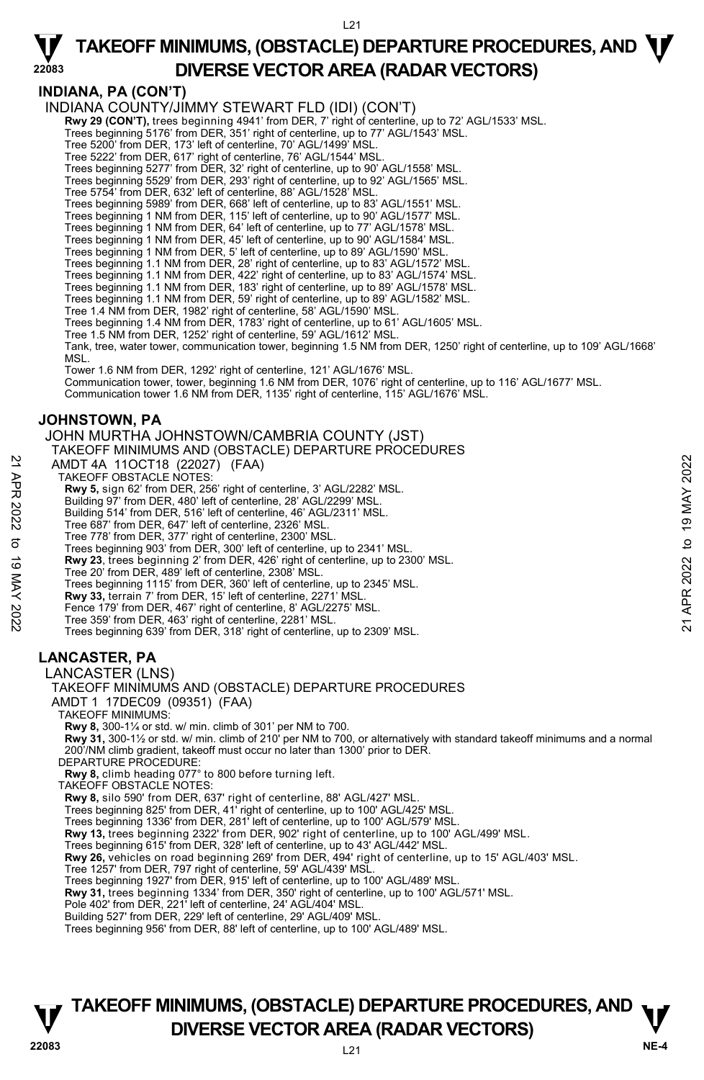**INDIANA, PA (CON'T)** 

**22083** 

INDIANA COUNTY/JIMMY STEWART FLD (IDI) (CON'T)

**Rwy 29 (CON'T),** trees beginning 4941' from DER, 7' right of centerline, up to 72' AGL/1533' MSL.<br>Trees beginning 5176' from DER, 351' right of centerline, up to 77' AGL/1543' MSL.

Tree 5200' from DER, 173' left of centerline, 70' AGL/1499' MSL.

Tree 5222' from DER, 617' right of centerline, 76' AGL/1544' MSL. Trees beginning 5277' from DER, 32' right of centerline, up to 90' AGL/1558' MSL.

Trees beginning 5529' from DER, 293' right of centerline, up to 92' AGL/1565' MSL.

Tree 5754' from DER, 632' left of centerline, 88' AGL/1528' MSL.

Trees beginning 5989' from DER, 668' left of centerline, up to 83' AGL/1551' MSL. Trees beginning 1 NM from DER, 115' left of centerline, up to 90' AGL/1577' MSL.

Trees beginning 1 NM from DER, 64' left of centerline, up to 77' AGL/1578' MSL.

Trees beginning 1 NM from DER, 45' left of centerline, up to 90' AGL/1584' MSL. Trees beginning 1 NM from DER, 5' left of centerline, up to 89' AGL/1590' MSL.

Trees beginning 1.1 NM from DER, 28' right of centerline, up to 83' AGL/1572' MSL.

Trees beginning 1.1 NM from DER, 422' right of centerline, up to 83' AGL/1574' MSL.

Trees beginning 1.1 NM from DER, 183' right of centerline, up to 89' AGL/1578' MSL. Trees beginning 1.1 NM from DER, 59' right of centerline, up to 89' AGL/1582' MSL.

Tree 1.4 NM from DER, 1982' right of centerline, 58' AGL/1590' MSL.

Trees beginning 1.4 NM from DER, 1783' right of centerline, up to 61' AGL/1605' MSL.

Tree 1.5 NM from DER, 1252' right of centerline, 59' AGL/1612' MSL.

Tank, tree, water tower, communication tower, beginning 1.5 NM from DER, 1250' right of centerline, up to 109' AGL/1668' MSL.

Tower 1.6 NM from DER, 1292' right of centerline, 121' AGL/1676' MSL.

Communication tower, tower, beginning 1.6 NM from DER, 1076' right of centerline, up to 116' AGL/1677' MSL. Communication tower 1.6 NM from DER, 1135' right of centerline, 115' AGL/1676' MSL.

#### **JOHNSTOWN, PA**

JOHN MURTHA JOHNSTOWN/CAMBRIA COUNTY (JST)

TAKEOFF MINIMUMS AND (OBSTACLE) DEPARTURE PROCEDURES

AMDT 4A 11OCT18 (22027) (FAA)

TAKEOFF OBSTACLE NOTES:

**Rwy 5,** sign 62' from DER, 256' right of centerline, 3' AGL/2282' MSL. Building 97' from DER, 480' left of centerline, 28' AGL/2299' MSL.

Building 514' from DER, 516' left of centerline, 46' AGL/2311' MSL.

Tree 687' from DER, 647' left of centerline, 2326' MSL. Tree 778' from DER, 377' right of centerline, 2300' MSL.

Trees beginning 903' from DER, 300' left of centerline, up to 2341' MSL.

**Rwy 23**, trees beginning 2' from DER, 426' right of centerline, up to 2300' MSL. Tree 20' from DER, 489' left of centerline, 2308' MSL. AMDT 4A 11OCT18 (22027) (FAA)<br>
TAKEOFF OBSTACLE NOTES:<br>
TRAWS 5, sign 62' from DER, 256' right of centerline, 3' AGL/2282' MSL.<br>
Building 57' from DER, 480' left of centerline, 46' AGL/2299' MSL.<br>
Building 514' from DER,

Trees beginning 1115' from DER, 360' left of centerline, up to 2345' MSL.

**Rwy 33,** terrain 7' from DER, 15' left of centerline, 2271' MSL.

Fence 179' from DER, 467' right of centerline, 8' AGL/2275' MSL.

Tree 359' from DER, 463' right of centerline, 2281' MSL.

Trees beginning 639' from DER, 318' right of centerline, up to 2309' MSL.

### **LANCASTER, PA**

LANCASTER (LNS)

### TAKEOFF MINIMUMS AND (OBSTACLE) DEPARTURE PROCEDURES

AMDT 1 17DEC09 (09351) (FAA)

TAKEOFF MINIMUMS:

**Rwy 8,** 300-1¼ or std. w/ min. climb of 301' per NM to 700.  **Rwy 31,** 300-1½ or std. w/ min. climb of 210' per NM to 700, or alternatively with standard takeoff minimums and a normal 200'/NM climb gradient, takeoff must occur no later than 1300' prior to DER. DEPARTURE PROCEDURE:

**Rwy 8,** climb heading 077° to 800 before turning left. TAKEOFF OBSTACLE NOTES:

**Rwy 8,** silo 590' from DER, 637' right of centerline, 88' AGL/427' MSL.

Trees beginning 825' from DER, 41' right of centerline, up to 100' AGL/425' MSL. Trees beginning 1336' from DER, 281' left of centerline, up to 100' AGL/579' MSL.

**Rwy 13,** trees beginning 2322' from DER, 902' right of centerline, up to 100' AGL/499' MSL.

Trees beginning 615' from DER, 328' left of centerline, up to 43' AGL/442' MSL.

**Rwy 26,** vehicles on road beginning 269' from DER, 494' right of centerline, up to 15' AGL/403' MSL.

Tree 1257' from DER, 797 right of centerline, 59' AGL/439' MSI

Trees beginning 1927' from DER, 915' left of centerline, up to 100' AGL/489' MSL.

**Rwy 31,** trees beginning 1334' from DER, 350' right of centerline, up to 100' AGL/571' MSL.<br>Pole 402' from DER, 221' left of centerline, 24' AGL/404' MSL.

Building 527' from DER, 229' left of centerline, 29' AGL/409' MSL.

Trees beginning 956' from DER, 88' left of centerline, up to 100' AGL/489' MSL.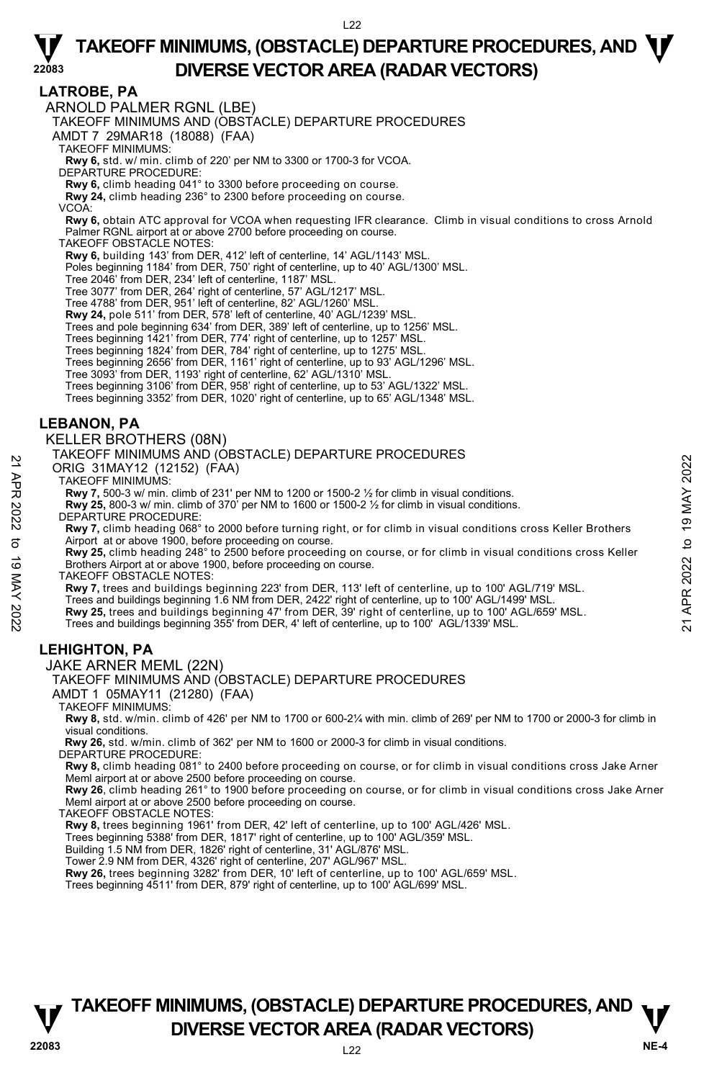#### **LATROBE, PA**

ARNOLD PALMER RGNL (LBE)

TAKEOFF MINIMUMS AND (OBSTACLE) DEPARTURE PROCEDURES

AMDT 7 29MAR18 (18088) (FAA)

TAKEOFF MINIMUMS:

**Rwy 6,** std. w/ min. climb of 220' per NM to 3300 or 1700-3 for VCOA. DEPARTURE PROCEDURE:

**Rwy 6,** climb heading 041° to 3300 before proceeding on course.

**Rwy 24,** climb heading 236° to 2300 before proceeding on course.

VCOA:

**Rwy 6,** obtain ATC approval for VCOA when requesting IFR clearance. Climb in visual conditions to cross Arnold Palmer RGNL airport at or above 2700 before proceeding on course.

TAKEOFF OBSTACLE NOTES:

**Rwy 6,** building 143' from DER, 412' left of centerline, 14' AGL/1143' MSL.

Poles beginning 1184' from DER, 750' right of centerline, up to 40' AGL/1300' MSL.

Tree 2046' from DER, 234' left of centerline, 1187' MSL. Tree 3077' from DER, 264' right of centerline, 57' AGL/1217' MSL.

Tree 4788' from DER, 951' left of centerline, 82' AGL/1260' MSL.

**Rwy 24,** pole 511' from DER, 578' left of centerline, 40' AGL/1239' MSL.

Trees and pole beginning 634' from DER, 389' left of centerline, up to 1256' MSL.

Trees beginning 1421' from DER, 774' right of centerline, up to 1257' MSL. Trees beginning 1824' from DER, 784' right of centerline, up to 1275' MSL.

Trees beginning 2656' from DER, 1161' right of centerline, up to 93' AGL/1296' MSL.

Tree 3093' from DER, 1193' right of centerline, 62' AGL/1310' MSL.

Trees beginning 3106' from DER, 958' right of centerline, up to 53' AGL/1322' MSL.

Trees beginning 3352' from DER, 1020' right of centerline, up to 65' AGL/1348' MSL.

#### **LEBANON, PA**

#### KELLER BROTHERS (08N)

TAKEOFF MINIMUMS AND (OBSTACLE) DEPARTURE PROCEDURES

ORIG 31MAY12 (12152) (FAA)

TAKEOFF MINIMUMS:

**Rwy 7,** 500-3 w/ min. climb of 231' per NM to 1200 or 1500-2 ½ for climb in visual conditions.

**Rwy 25,** 800-3 w/ min. climb of 370' per NM to 1600 or 1500-2 ½ for climb in visual conditions.

DEPARTURE PROCEDURE:

**Rwy 7,** climb heading 068° to 2000 before turning right, or for climb in visual conditions cross Keller Brothers<br>Airport at or above 1900, before proceeding on course. 21 ANKEOFF MINIMUMS:<br>
22 TAKEOFF MINIMUMS:<br>
22 TAKEOFF MINIMUMS:<br>
22 TAKEOFF MINIMUMS:<br>
22 TAKEOFF MINIMUMS:<br>
22 TAKEOFF MINIMUMS:<br>
22 TAKEOFF MINIMUMS:<br>
22 TAKEOFF MINIMUMS:<br>
22 TARTURE PROCEDURE:<br>
22 TARTURE PROCEDURE:<br>

**Rwy 25,** climb heading 248° to 2500 before proceeding on course, or for climb in visual conditions cross Keller Brothers Airport at or above 1900, before proceeding on course.

TAKEOFF OBSTACLE NOTES:

**Rwy 7,** trees and buildings beginning 223' from DER, 113' left of centerline, up to 100' AGL/719' MSL.

Trees and buildings beginning 1.6 NM from DER, 2422' right of centerline, up to 100' AGL/1499' MSL.

**Rwy 25,** trees and buildings beginning 47' from DER, 39' right of centerline, up to 100' AGL/659' MSL.<br>Trees and buildings beginning 355' from DER, 4' left of centerline, up to 100' AGL/1339' MSL.

### **LEHIGHTON, PA**

#### JAKE ARNER MEML (22N)

TAKEOFF MINIMUMS AND (OBSTACLE) DEPARTURE PROCEDURES

AMDT 1 05MAY11 (21280) (FAA)

TAKEOFF MINIMUMS:

**Rwy 8,** std. w/min. climb of 426' per NM to 1700 or 600-2¼ with min. climb of 269' per NM to 1700 or 2000-3 for climb in visual conditions.

 **Rwy 26,** std. w/min. climb of 362' per NM to 1600 or 2000-3 for climb in visual conditions. DEPARTURE PROCEDURE:

**Rwy 8,** climb heading 081° to 2400 before proceeding on course, or for climb in visual conditions cross Jake Arner Meml airport at or above 2500 before proceeding on course.

**Rwy 26**, climb heading 261° to 1900 before proceeding on course, or for climb in visual conditions cross Jake Arner Meml airport at or above 2500 before proceeding on course.

TAKEOFF OBSTACLE NOTES:

**Rwy 8,** trees beginning 1961' from DER, 42' left of centerline, up to 100' AGL/426' MSL.

Trees beginning 5388' from DER, 1817' right of centerline, up to 100' AGL/359' MSL.

Building 1.5 NM from DER, 1826' right of centerline, 31' AGL/876' MSL. Tower 2.9 NM from DER, 4326' right of centerline, 207' AGL/967' MSL.

**Rwy 26,** trees beginning 3282' from DER, 10' left of centerline, up to 100' AGL/659' MSL.

Trees beginning 4511' from DER, 879' right of centerline, up to 100' AGL/699' MSL.

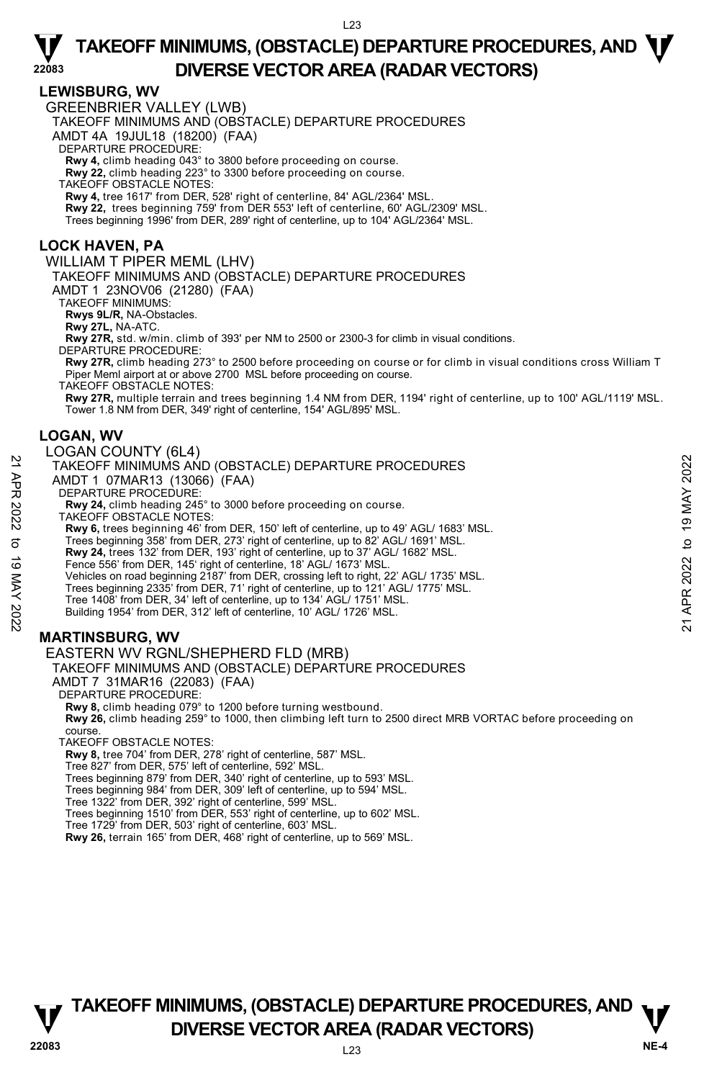#### **LEWISBURG, WV**

**22083** 

GREENBRIER VALLEY (LWB)

TAKEOFF MINIMUMS AND (OBSTACLE) DEPARTURE PROCEDURES

AMDT 4A 19JUL18 (18200) (FAA)

DEPARTURE PROCEDURE:

**Rwy 4,** climb heading 043° to 3800 before proceeding on course. **Rwy 22,** climb heading 223° to 3300 before proceeding on course.

TAKEOFF OBSTACLE NOTES:

**Rwy 4,** tree 1617' from DER, 528' right of centerline, 84' AGL/2364' MSL. **Rwy 22,** trees beginning 759' from DER 553' left of centerline, 60' AGL/2309' MSL.

Trees beginning 1996' from DER, 289' right of centerline, up to 104' AGL/2364' MSL.

#### **LOCK HAVEN, PA**

WILLIAM T PIPER MEML (LHV)

TAKEOFF MINIMUMS AND (OBSTACLE) DEPARTURE PROCEDURES AMDT 1 23NOV06 (21280) (FAA)

TAKEOFF MINIMUMS:

**Rwys 9L/R,** NA-Obstacles.

**Rwy 27L,** NA-ATC. **Rwy 27R,** std. w/min. climb of 393' per NM to 2500 or 2300-3 for climb in visual conditions.

DEPARTURE PROCEDURE:

**Rwy 27R,** climb heading 273° to 2500 before proceeding on course or for climb in visual conditions cross William T Piper Meml airport at or above 2700 MSL before proceeding on course.

TAKEOFF OBSTACLE NOTES:

**Rwy 27R,** multiple terrain and trees beginning 1.4 NM from DER, 1194' right of centerline, up to 100' AGL/1119' MSL. Tower 1.8 NM from DER, 349' right of centerline, 154' AGL/895' MSL.

#### **LOGAN, WV**

#### LOGAN COUNTY (6L4)

TAKEOFF MINIMUMS AND (OBSTACLE) DEPARTURE PROCEDURES AMDT 1 07MAR13 (13066) (FAA) DEPARTURE PROCEDURE: 22 TAKEOFF MINIMUMS AND (OBSTACLE) DEPARTURE PROCEDURES<br>
22 TAKEOFF MINIMUMS AND (OBSTACLE) DEPARTURE PROCEDURES<br>
22 DEPARTURE PROCEDURE:<br>
22 NAW 6, trees beginning 245° to 3000 before proceeding on course.<br>
7 NAW 6, tree

**Rwy 24,** climb heading 245° to 3000 before proceeding on course.

TAKEOFF OBSTACLE NOTES:

**Rwy 6,** trees beginning 46' from DER, 150' left of centerline, up to 49' AGL/ 1683' MSL.<br>Trees beginning 358' from DER, 273' right of centerline, up to 82' AGL/ 1691' MSL.

**Rwy 24,** trees 132' from DER, 193' right of centerline, up to 37' AGL/ 1682' MSL.

Fence 556' from DER, 145' right of centerline, 18' AGL/ 1673' MSL

Vehicles on road beginning 2187' from DER, crossing left to right, 22' AGL/ 1735' MSL.

Trees beginning 2335' from DER, 71' right of centerline, up to 121' AGL/ 1775' MSL.

Tree 1408' from DER, 34' left of centerline, up to 134' AGL/ 1751' MSL.

Building 1954' from DER, 312' left of centerline, 10' AGL/ 1726' MSL.

### **MARTINSBURG, WV**

EASTERN WV RGNL/SHEPHERD FLD (MRB)

TAKEOFF MINIMUMS AND (OBSTACLE) DEPARTURE PROCEDURES

AMDT 7 31MAR16 (22083) (FAA)

DEPARTURE PROCEDURE

**Rwy 8,** climb heading 079° to 1200 before turning westbound.

**Rwy 26,** climb heading 259° to 1000, then climbing left turn to 2500 direct MRB VORTAC before proceeding on course.

TAKEOFF OBSTACLE NOTES:

**Rwy 8,** tree 704' from DER, 278' right of centerline, 587' MSL.

Tree 827' from DER, 575' left of centerline, 592' MSL.

Trees beginning 879' from DER, 340' right of centerline, up to 593' MSL. Trees beginning 984' from DER, 309' left of centerline, up to 594' MSL.

Tree 1322' from DER, 392' right of centerline, 599' MSL.

Trees beginning 1510' from DER, 553' right of centerline, up to 602' MSL. Tree 1729' from DER, 503' right of centerline, 603' MSL.

**Rwy 26,** terrain 165' from DER, 468' right of centerline, up to 569' MSL.

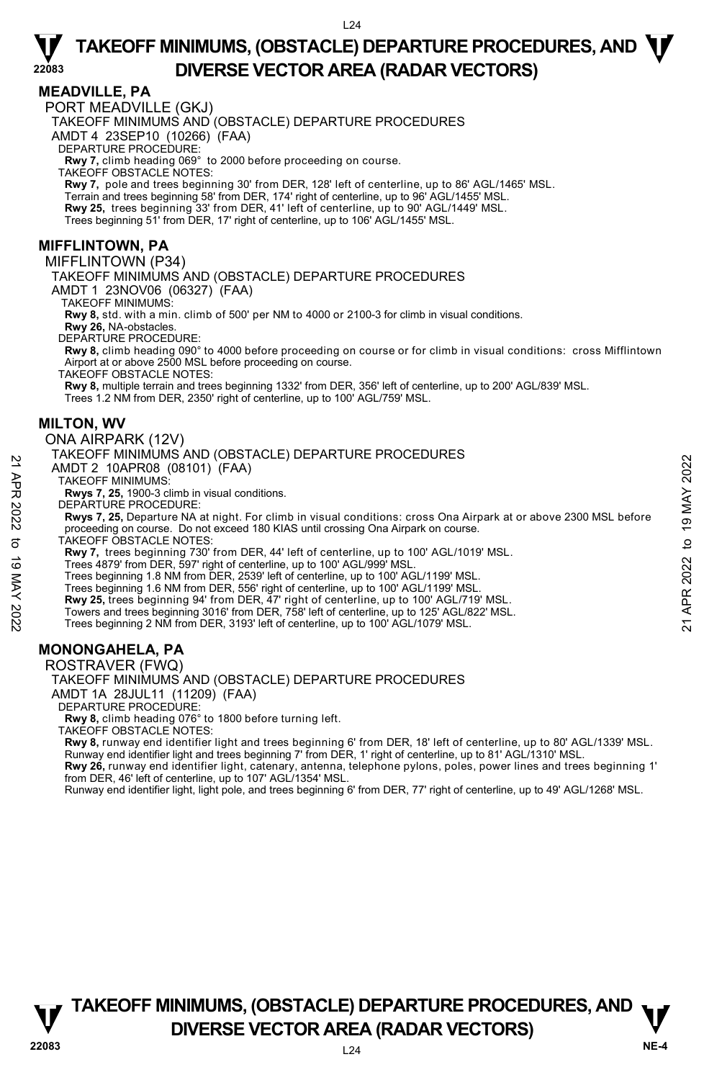#### **MEADVILLE, PA**

**22083** 

PORT MEADVILLE (GKJ)

TAKEOFF MINIMUMS AND (OBSTACLE) DEPARTURE PROCEDURES

AMDT 4 23SEP10 (10266) (FAA)

DEPARTURE PROCEDURE:

**Rwy 7,** climb heading 069° to 2000 before proceeding on course.

TAKEOFF OBSTACLE NOTES:

**Rwy 7,** pole and trees beginning 30' from DER, 128' left of centerline, up to 86' AGL/1465' MSL.

Terrain and trees beginning 58' from DER, 174' right of centerline, up to 96' AGL/1455' MSL.

**Rwy 25,** trees beginning 33' from DER, 41' left of centerline, up to 90' AGL/1449' MSL.<br>Trees beginning 51' from DER, 17' right of centerline, up to 106' AGL/1455' MSL.

#### **MIFFLINTOWN, PA**

MIFFLINTOWN (P34)

TAKEOFF MINIMUMS AND (OBSTACLE) DEPARTURE PROCEDURES

AMDT 1 23NOV06 (06327) (FAA)

TAKEOFF MINIMUMS:

**Rwy 8,** std. with a min. climb of 500' per NM to 4000 or 2100-3 for climb in visual conditions.

**Rwy 26,** NA-obstacles. DEPARTURE PROCEDURE:

**Rwy 8,** climb heading 090° to 4000 before proceeding on course or for climb in visual conditions: cross Mifflintown Airport at or above 2500 MSL before proceeding on course.

TAKEOFF OBSTACLE NOTES:

**Rwy 8,** multiple terrain and trees beginning 1332' from DER, 356' left of centerline, up to 200' AGL/839' MSL. Trees 1.2 NM from DER, 2350' right of centerline, up to 100' AGL/759' MSL.

#### **MILTON, WV**

#### ONA AIRPARK (12V)

#### TAKEOFF MINIMUMS AND (OBSTACLE) DEPARTURE PROCEDURES

AMDT 2 10APR08 (08101) (FAA)

TAKEOFF MINIMUMS:

**Rwys 7, 25,** 1900-3 climb in visual conditions.

DEPARTURE PROCEDURE:

**Rwys 7, 25,** Departure NA at night. For climb in visual conditions: cross Ona Airpark at or above 2300 MSL before proceeding on course. Do not exceed 180 KIAS until crossing Ona Airpark on course. AMIDT 2 10APR08 (08101) (FAA)<br>
TAKEOFF MINIMUMS:<br>
TAKEOFF MINIMUMS:<br>
RWYS 7, 25, 1900-3 climb in visual conditions.<br>
RWYS 7, 25, Departure NA at night. For climb in visual conditions: cross Ona Airpark at or above 2300 MSL

TAKEOFF OBSTACLE NOTES:

**Rwy 7,** trees beginning 730' from DER, 44' left of centerline, up to 100' AGL/1019' MSL.

Trees 4879' from DER, 597' right of centerline, up to 100' AGL/999' MSL.<br>Trees beginning 1.8 NM from DER, 2539' left of centerline, up to 100' AGL/1199' MSL.

Trees beginning 1.6 NM from DER, 556' right of centerline, up to 100' AGL/1199' MSL.

**Rwy 25,** trees beginning 94' from DER, 47' right of centerline, up to 100' AGL/719' MSL.

Towers and trees beginning 3016' from DER, 758' left of centerline, up to 125' AGL/822' MSL.

Trees beginning 2 NM from DER, 3193' left of centerline, up to 100' AGL/1079' MSL.

### **MONONGAHELA, PA**

ROSTRAVER (FWQ)

TAKEOFF MINIMUMS AND (OBSTACLE) DEPARTURE PROCEDURES AMDT 1A 28JUL11 (11209) (FAA) DEPARTURE PROCEDURE:

**Rwy 8,** climb heading 076° to 1800 before turning left.

TAKEOFF OBSTACLE NOTES:

**Rwy 8,** runway end identifier light and trees beginning 6' from DER, 18' left of centerline, up to 80' AGL/1339' MSL. Runway end identifier light and trees beginning 7' from DER, 1' right of centerline, up to 81' AGL/1310' MSL.

**Rwy 26,** runway end identifier light, catenary, antenna, telephone pylons, poles, power lines and trees beginning 1'<br>from DER, 46' left of centerline, up to 107' AGL/1354' MSL.

Runway end identifier light, light pole, and trees beginning 6' from DER, 77' right of centerline, up to 49' AGL/1268' MSL.

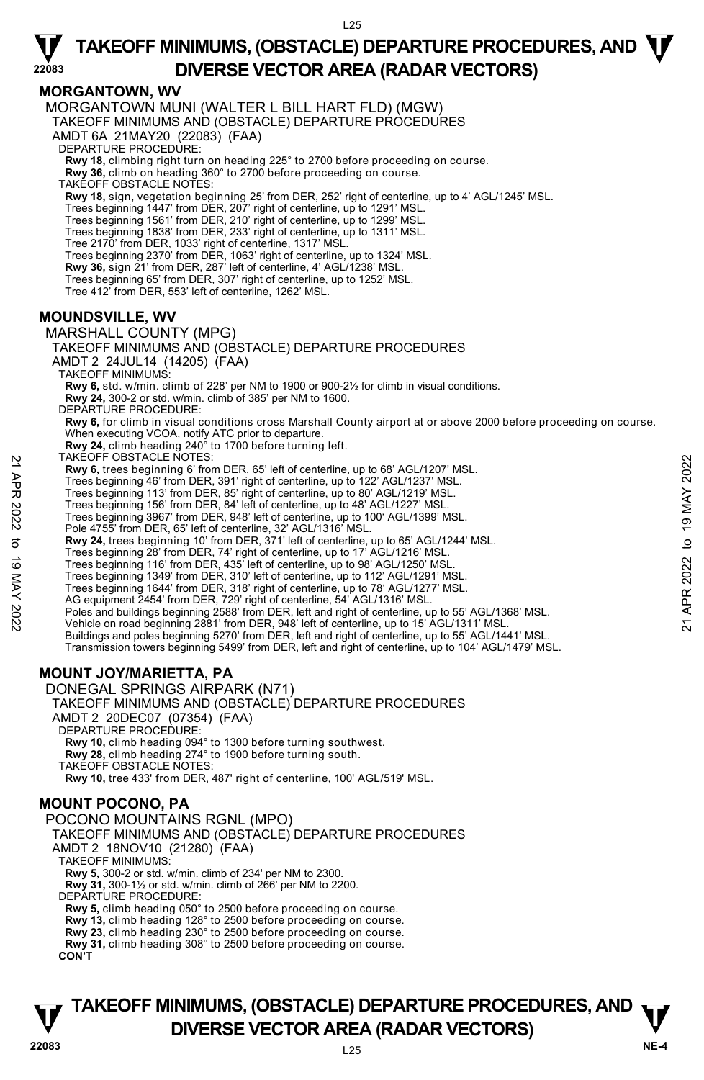

**MORGANTOWN, WV**  MORGANTOWN MUNI (WALTER L BILL HART FLD) (MGW) TAKEOFF MINIMUMS AND (OBSTACLE) DEPARTURE PROCEDURES AMDT 6A 21MAY20 (22083) (FAA) DEPARTURE PROCEDURE: **Rwy 18,** climbing right turn on heading 225° to 2700 before proceeding on course. **Rwy 36,** climb on heading 360° to 2700 before proceeding on course. TAKEOFF OBSTACLE NOTES: **Rwy 18,** sign, vegetation beginning 25' from DER, 252' right of centerline, up to 4' AGL/1245' MSL. Trees beginning 1447' from DER, 207' right of centerline, up to 1291' MSL. Trees beginning 1561' from DER, 210' right of centerline, up to 1299' MSL. Trees beginning 1838' from DER, 233' right of centerline, up to 1311' MSL. Tree 2170' from DER, 1033' right of centerline, 1317' MSL. Trees beginning 2370' from DER, 1063' right of centerline, up to 1324' MSL. **Rwy 36,** sign 21' from DER, 287' left of centerline, 4' AGL/1238' MSL. Trees beginning 65' from DER, 307' right of centerline, up to 1252' MSL. Tree 412' from DER, 553' left of centerline, 1262' MSL. **MOUNDSVILLE, WV**  MARSHALL COUNTY (MPG) TAKEOFF MINIMUMS AND (OBSTACLE) DEPARTURE PROCEDURES AMDT 2 24JUL14 (14205) (FAA) TAKEOFF MINIMUMS: **Rwy 6,** std. w/min. climb of 228' per NM to 1900 or 900-2½ for climb in visual conditions. **Rwy 24,** 300-2 or std. w/min. climb of 385' per NM to 1600. DEPARTURE PROCEDURE: **Rwy 6,** for climb in visual conditions cross Marshall County airport at or above 2000 before proceeding on course. When executing VCOA, notify ATC prior to departure. **Rwy 24,** climb heading 240° to 1700 before turning left. TAKEOFF OBSTACLE NOTES: **Rwy 6,** trees beginning 6' from DER, 65' left of centerline, up to 68' AGL/1207' MSL. Trees beginning 46' from DER, 391' right of centerline, up to 122' AGL/1237' MSL. Trees beginning 113' from DER, 85' right of centerline, up to 80' AGL/1219' MSL. Trees beginning 156' from DER, 84' left of centerline, up to 48' AGL/1227' MSL. Trees beginning 3967' from DER, 948' left of centerline, up to 100' AGL/1399' MSL. Pole 4755' from DER, 65' left of centerline, 32' AGL/1316' MSL. **Rwy 24,** trees beginning 10' from DER, 371' left of centerline, up to 65' AGL/1244' MSL.<br>Trees beginning 28' from DER, 74' right of centerline, up to 17' AGL/1216' MSL. Trees beginning 116' from DER, 435' left of centerline, up to 98' AGL/1250' MSL. Trees beginning 1349' from DER, 310' left of centerline, up to 112' AGL/1291' MSL. Trees beginning 1644' from DER, 318' right of centerline, up to 78' AGL/1277' MSL. AG equipment 2454' from DER, 729' right of centerline, 54' AGL/1316' MSL. NAK-UY- USSIACLE NOIES:<br>
Trees beginning 6' from DER, 65' left of centerline, up to 68' AGL/1207' MSL.<br>
Trees beginning 46' from DER, 391' right of centerline, up to 122' AGL/1237' MSL.<br>
Trees beginning 16' from DER, 84' Buildings and poles beginning 5270' from DER, left and right of centerline, up to 55' AGL/1441' MSL. Transmission towers beginning 5499' from DER, left and right of centerline, up to 104' AGL/1479' MSL. **MOUNT JOY/MARIETTA, PA**  DONEGAL SPRINGS AIRPARK (N71) TAKEOFF MINIMUMS AND (OBSTACLE) DEPARTURE PROCEDURES AMDT 2 20DEC07 (07354) (FAA) DEPARTURE PROCEDURE **Rwy 10,** climb heading 094° to 1300 before turning southwest. **Rwy 28,** climb heading 274° to 1900 before turning south. TAKEOFF OBSTACLE NOTES: **Rwy 10,** tree 433' from DER, 487' right of centerline, 100' AGL/519' MSL. **MOUNT POCONO, PA**  POCONO MOUNTAINS RGNL (MPO) TAKEOFF MINIMUMS AND (OBSTACLE) DEPARTURE PROCEDURES AMDT 2 18NOV10 (21280) (FAA) TAKEOFF MINIMUMS: **Rwy 5,** 300-2 or std. w/min. climb of 234' per NM to 2300. **Rwy 31,** 300-1½ or std. w/min. climb of 266' per NM to 2200. DEPARTURE PROCEDURE:

**Rwy 5,** climb heading 050° to 2500 before proceeding on course.

**Rwy 13,** climb heading 128° to 2500 before proceeding on course.

**Rwy 23,** climb heading 230° to 2500 before proceeding on course. **Rwy 31,** climb heading 308° to 2500 before proceeding on course.

**CON'T** 



**22083**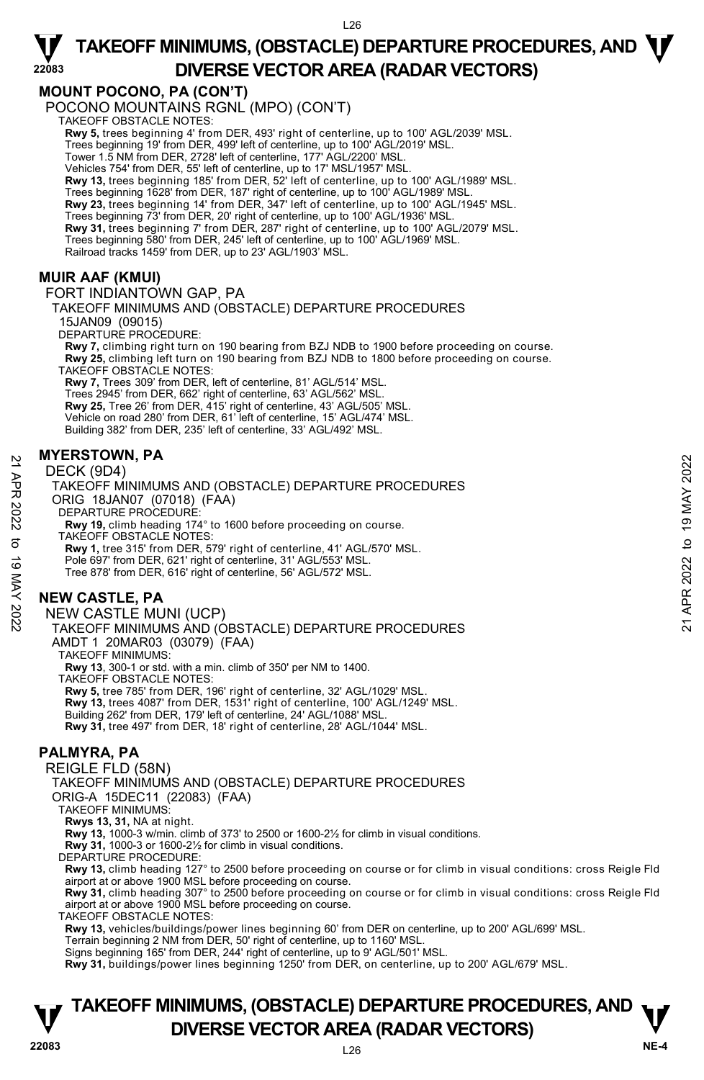### **MOUNT POCONO, PA (CON'T)**

POCONO MOUNTAINS RGNL (MPO) (CON'T) TAKEOFF OBSTACLE NOTES:

**Rwy 5,** trees beginning 4' from DER, 493' right of centerline, up to 100' AGL/2039' MSL. Trees beginning 19' from DER, 499' left of centerline, up to 100' AGL/2019' MSL. Tower 1.5 NM from DER, 2728' left of centerline, 177' AGL/2200' MSL. Vehicles 754' from DER, 55' left of centerline, up to 17' MSL/1957' MSL. **Rwy 13,** trees beginning 185' from DER, 52' left of centerline, up to 100' AGL/1989' MSL.

Trees beginning 1628' from DER, 187' right of centerline, up to 100' AGL/1989' MSL. **Rwy 23,** trees beginning 14' from DER, 347' left of centerline, up to 100' AGL/1945' MSL.

Trees beginning 73' from DER, 20' right of centerline, up to 100' AGL/1936' MSL.

**Rwy 31,** trees beginning 7' from DER, 287' right of centerline, up to 100' AGL/2079' MSL.

Trees beginning 580' from DER, 245' left of centerline, up to 100' AGL/1969' MSL.

Railroad tracks 1459' from DER, up to 23' AGL/1903' MSL.

### **MUIR AAF (KMUI)**

**22083** 

FORT INDIANTOWN GAP, PA

### TAKEOFF MINIMUMS AND (OBSTACLE) DEPARTURE PROCEDURES

15JAN09 (09015)

DEPARTURE PROCEDURE:

**Rwy 7,** climbing right turn on 190 bearing from BZJ NDB to 1900 before proceeding on course. **Rwy 25,** climbing left turn on 190 bearing from BZJ NDB to 1800 before proceeding on course. TAKEOFF OBSTACLE NOTES:

**Rwy 7,** Trees 309' from DER, left of centerline, 81' AGL/514' MSL. Trees 2945' from DER, 662' right of centerline, 63' AGL/562' MSL. **Rwy 25,** Tree 26' from DER, 415' right of centerline, 43' AGL/505' MSL. Vehicle on road 280' from DER, 61' left of centerline, 15' AGL/474' MSL. Building 382' from DER, 235' left of centerline, 33' AGL/492' MSL.

#### **MYERSTOWN, PA**

#### DECK (9D4)

TAKEOFF MINIMUMS AND (OBSTACLE) DEPARTURE PROCEDURES ORIG 18JAN07 (07018) (FAA) DEPARTURE PROCEDURE: **Rwy 19,** climb heading 174° to 1600 before proceeding on course. TAKEOFF OBSTACLE NOTES: **Rwy 1,** tree 315' from DER, 579' right of centerline, 41' AGL/570' MSL. Pole 697' from DER, 621' right of centerline, 31' AGL/553' MSL. Tree 878' from DER, 616' right of centerline, 56' AGL/572' MSL. WITERSTOWN, PA<br>
DECK (9D4)<br>
TAKEOFF MINIMUMS AND (OBSTACLE) DEPARTURE PROCEDURES<br>
ORIG 18JAN07 (07018) (FAA)<br>
DEPARTURE PROCEDURE:<br>
RWY 1, tree 315 from DER, 579' right of centerline, 41' AGL/570' MSL.<br>
TAKEOFF OBSTACLE N

### **NEW CASTLE, PA**

NEW CASTLE MUNI (UCP)

TAKEOFF MINIMUMS AND (OBSTACLE) DEPARTURE PROCEDURES AMDT 1 20MAR03 (03079) (FAA)

TAKEOFF MINIMUMS:

**Rwy 13**, 300-1 or std. with a min. climb of 350' per NM to 1400.

TAKEOFF OBSTACLE NOTES:

**Rwy 5,** tree 785' from DER, 196' right of centerline, 32' AGL/1029' MSL. **Rwy 13,** trees 4087' from DER, 1531' right of centerline, 100' AGL/1249' MSL.

Building 262' from DER, 179' left of centerline, 24' AGL/1088' MSL.

**Rwy 31,** tree 497' from DER, 18' right of centerline, 28' AGL/1044' MSL.

### **PALMYRA, PA**

REIGLE FLD (58N)

TAKEOFF MINIMUMS AND (OBSTACLE) DEPARTURE PROCEDURES ORIG-A 15DEC11 (22083) (FAA)

TAKEOFF MINIMUMS:

**Rwys 13, 31,** NA at night.

**Rwy 13,** 1000-3 w/min. climb of 373' to 2500 or 1600-2½ for climb in visual conditions.

**Rwy 31,** 1000-3 or 1600-2½ for climb in visual conditions.

DEPARTURE PROCEDURE:

**Rwy 13,** climb heading 127° to 2500 before proceeding on course or for climb in visual conditions: cross Reigle Fld airport at or above 1900 MSL before proceeding on course.

**Rwy 31,** climb heading 307° to 2500 before proceeding on course or for climb in visual conditions: cross Reigle Fld<br>airport at or above 1900 MSL before proceeding on course.

TAKEOFF OBSTACLE NOTES:

**Rwy 13,** vehicles/buildings/power lines beginning 60' from DER on centerline, up to 200' AGL/699' MSL.<br>Terrain beginning 2 NM from DER, 50' right of centerline, up to 1160' MSL.

Signs beginning 165' from DER, 244' right of centerline, up to 9' AGL/501' MSL. **Rwy 31,** buildings/power lines beginning 1250' from DER, on centerline, up to 200' AGL/679' MSL.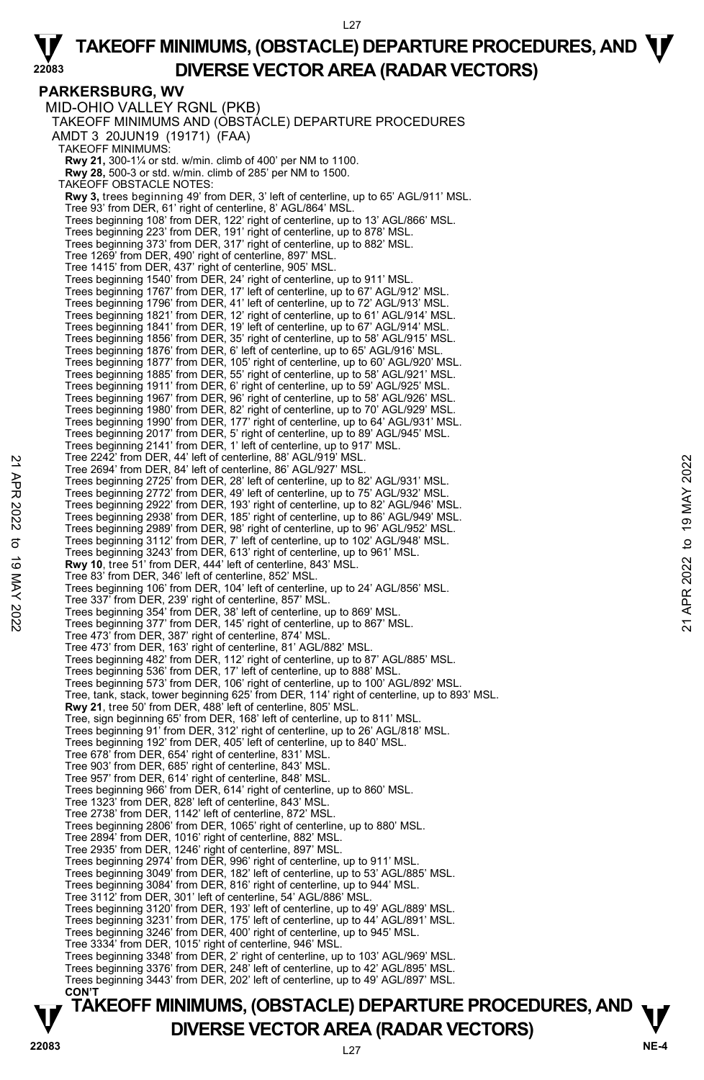L27

#### **PARKERSBURG, WV**  MID-OHIO VALLEY RGNL (PKB) TAKEOFF MINIMUMS AND (OBSTACLE) DEPARTURE PROCEDURES AMDT 3 20JUN19 (19171) (FAA) TAKEOFF MINIMUMS: **Rwy 21,** 300-1¼ or std. w/min. climb of 400' per NM to 1100. **Rwy 28,** 500-3 or std. w/min. climb of 285' per NM to 1500. TAKEOFF OBSTACLE NOTES: **Rwy 3,** trees beginning 49' from DER, 3' left of centerline, up to 65' AGL/911' MSL. Tree 93' from DER, 61' right of centerline, 8' AGL/864' MSL. Trees beginning 108' from DER, 122' right of centerline, up to 13' AGL/866' MSL. Trees beginning 223' from DER, 191' right of centerline, up to 878' MSL. Trees beginning 373' from DER, 317' right of centerline, up to 882' MSL. Tree 1269' from DER, 490' right of centerline, 897' MSL. Tree 1415' from DER, 437' right of centerline, 905' MSL. Trees beginning 1540' from DER, 24' right of centerline, up to 911' MSL. Trees beginning 1767' from DER, 17' left of centerline, up to 67' AGL/912' MSL. Trees beginning 1796' from DER, 41' left of centerline, up to 72' AGL/913' MSL. Trees beginning 1821' from DER, 12' right of centerline, up to 61' AGL/914' MSL. Trees beginning 1841' from DER, 19' left of centerline, up to 67' AGL/914' MSL. Trees beginning 1856' from DER, 35' right of centerline, up to 58' AGL/915' MSL. Trees beginning 1876' from DER, 6' left of centerline, up to 65' AGL/916' MSL. Trees beginning 1877' from DER, 105' right of centerline, up to 60' AGL/920' MSL. Trees beginning 1885' from DER, 55' right of centerline, up to 58' AGL/921' MSL. Trees beginning 1911' from DER, 6' right of centerline, up to 59' AGL/925' MSL. Trees beginning 1967' from DER, 96' right of centerline, up to 58' AGL/926' MSL. Trees beginning 1980' from DER, 82' right of centerline, up to 70' AGL/929' MSL. Trees beginning 1990' from DER, 177' right of centerline, up to 64' AGL/931' MSL. Trees beginning 2017' from DER, 5' right of centerline, up to 89' AGL/945' MSL. Trees beginning 2141' from DER, 1' left of centerline, up to 917' MSL. Tree 2242' from DER, 44' left of centerline, 88' AGL/919' MSL. Tree 2694' from DER, 84' left of centerline, 86' AGL/927' MSL. Trees beginning 2725' from DER, 28' left of centerline, up to 82' AGL/931' MSL. Trees beginning 2772' from DER, 49' left of centerline, up to 75' AGL/932' MSL. Trees beginning 2922' from DER, 193' right of centerline, up to 82' AGL/946' MSL. Trees beginning 2938' from DER, 185' right of centerline, up to 86' AGL/949' MSL. Trees beginning 2989' from DER, 98' right of centerline, up to 96' AGL/952' MSL. Trees beginning 3112' from DER, 7' left of centerline, up to 102' AGL/948' MSL. Trees beginning 3243' from DER, 613' right of centerline, up to 961' MSL. **Rwy 10**, tree 51' from DER, 444' left of centerline, 843' MSL. Tree 83' from DER, 346' left of centerline, 852' MSL. Trees beginning 106' from DER, 104' left of centerline, up to 24' AGL/856' MSL. Tree 337' from DER, 239' right of centerline, 857' MSL. Trees beginning 354' from DER, 38' left of centerline, up to 869' MSL. Trees beginning 377' from DER, 145' right of centerline, up to 867' MSL. Tree 473' from DER, 387' right of centerline, 874' MSL. Tree 473' from DER, 163' right of centerline, 81' AGL/882' MSL. Trees beginning 482' from DER, 112' right of centerline, up to 87' AGL/885' MSL. Trees beginning 536' from DER, 17' left of centerline, up to 888' MSL. Trees beginning 573' from DER, 106' right of centerline, up to 100' AGL/892' MSL. Tree, tank, stack, tower beginning 625' from DER, 114' right of centerline, up to 893' MSL. **Rwy 21**, tree 50' from DER, 488' left of centerline, 805' MSL. Tree, sign beginning 65' from DER, 168' left of centerline, up to 811' MSL. Trees beginning 91' from DER, 312' right of centerline, up to 26' AGL/818' MSL. Trees beginning 192' from DER, 405' left of centerline, up to 840' MSL. Tree 678' from DER, 654' right of centerline, 831' MSL. Tree 903' from DER, 685' right of centerline, 843' MSL. Tree 957' from DER, 614' right of centerline, 848' MSL. Trees beginning 966' from DER, 614' right of centerline, up to 860' MSL. Tree 1323' from DER, 828' left of centerline, 843' MSL. Tree 2738' from DER, 1142' left of centerline, 872' MSL. Trees beginning 2806' from DER, 1065' right of centerline, up to 880' MSL. Tree 2894' from DER, 1016' right of centerline, 882' MSL. Tree 2935' from DER, 1246' right of centerline, 897' MSL. Trees beginning 2974' from DER, 996' right of centerline, up to 911' MSL. Trees beginning 3049' from DER, 182' left of centerline, up to 53' AGL/885' MSL. Trees beginning 3084' from DER, 816' right of centerline, up to 944' MSL. Tree 3112' from DER, 301' left of centerline, 54' AGL/886' MSL. Trees beginning 3120' from DER, 193' left of centerline, up to 49' AGL/889' MSL. Trees beginning 3231' from DER, 175' left of centerline, up to 44' AGL/891' MSL. Trees beginning 3246' from DER, 400' right of centerline, up to 945' MSL. Tree 3334' from DER, 1015' right of centerline, 946' MSL. Trees beginning 3348' from DER, 2' right of centerline, up to 103' AGL/969' MSL. Trees beginning 3376' from DER, 248' left of centerline, up to 42' AGL/895' MSL. Trees beginning 3443' from DER, 202' left of centerline, up to 49' AGL/897' MSL. **CON'T**  Tree 2242 from DER, 44' lett of centerline, 86' AGL/937' MSL.<br>
Tree 2694' from DER, 84' lett of centerline, 86' AGL/927' MSL.<br>
Trees beginning 2722' from DER, 49' left of centerline, up to 82' AGL/931' MSL.<br>
Trees beginni

# **TAKEOFF MINIMUMS, (OBSTACLE) DEPARTURE PROCEDURES, AND**  $\mathbf{\nabla}$ **DIVERSE VECTOR AREA (RADAR VECTORS) PREMIX AREA (RADAR VECTORS)** NE-4 **NE-4**

**22083**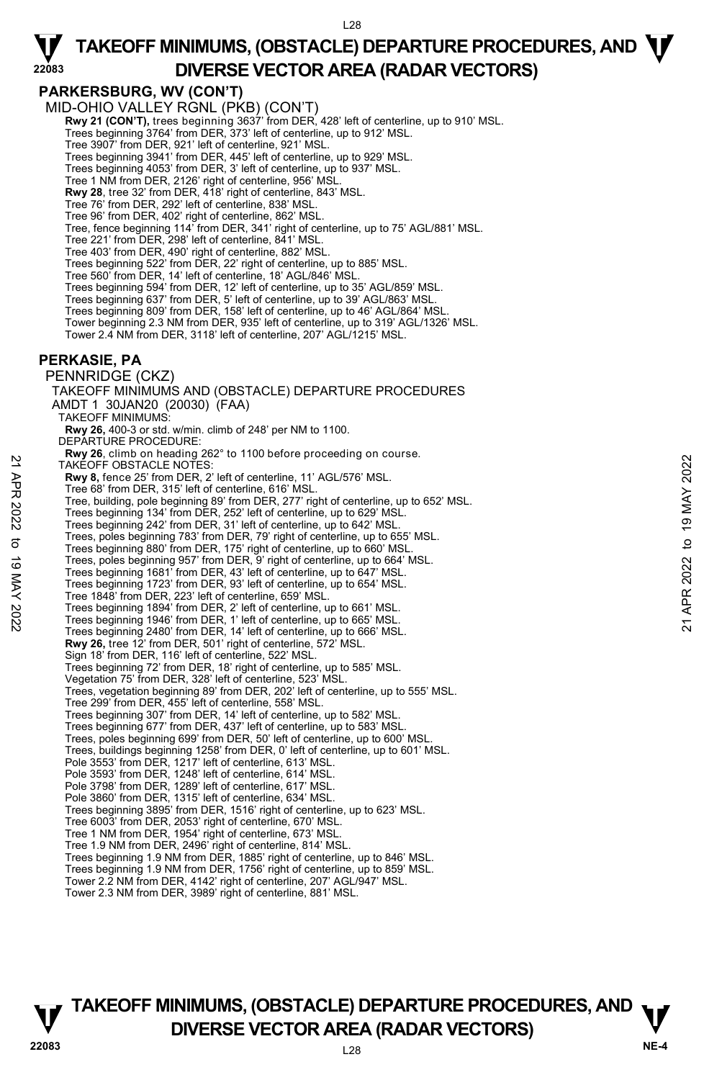#### **PARKERSBURG, WV (CON'T)**

**22083** 

MID-OHIO VALLEY RGNL (PKB) (CON'T)

**Rwy 21 (CON'T),** trees beginning 3637' from DER, 428' left of centerline, up to 910' MSL.<br>Trees beginning 3764' from DER, 373' left of centerline, up to 912' MSL.

Tree 3907' from DER, 921' left of centerline, 921' MSL.

- Trees beginning 3941' from DER, 445' left of centerline, up to 929' MSL. Trees beginning 4053' from DER, 3' left of centerline, up to 937' MSL.
- 
- Tree 1 NM from DER, 2126' right of centerline, 956' MSL.

**Rwy 28**, tree 32' from DER, 418' right of centerline, 843' MSL.

- Tree 76' from DER, 292' left of centerline, 838' MSL.
- Tree 96' from DER, 402' right of centerline, 862' MSL.

Tree, fence beginning 114' from DER, 341' right of centerline, up to 75' AGL/881' MSL.

- Tree 221' from DER, 298' left of centerline, 841' MSL.
- Tree 403' from DER, 490' right of centerline, 882' MSL.
- Trees beginning 522' from DER, 22' right of centerline, up to 885' MSL.
- Tree 560' from DER, 14' left of centerline, 18' AGL/846' MSL.
- 
- Trees beginning 594' from DER, 12' left of centerline, up to 35' AGL/859' MSL. Trees beginning 637' from DER, 5' left of centerline, up to 39' AGL/863' MSL.
- Trees beginning 809' from DER, 158' left of centerline, up to 46' AGL/864' MSL.
- Tower beginning 2.3 NM from DER, 935' left of centerline, up to 319' AGL/1326' MSL. Tower 2.4 NM from DER, 3118' left of centerline, 207' AGL/1215' MSL.

#### **PERKASIE, PA**

PENNRIDGE (CKZ) TAKEOFF MINIMUMS AND (OBSTACLE) DEPARTURE PROCEDURES AMDT 1 30JAN20 (20030) (FAA) TAKEOFF MINIMUMS: **Rwy 26,** 400-3 or std. w/min. climb of 248' per NM to 1100. DEPARTURE PROCEDURE: **Rwy 26**, climb on heading 262° to 1100 before proceeding on course. TAKEOFF OBSTACLE NOTES: **Rwy 8,** fence 25' from DER, 2' left of centerline, 11' AGL/576' MSL. Tree 68' from DER, 315' left of centerline, 616' MSL. Tree, building, pole beginning 89' from DER, 277' right of centerline, up to 652' MSL. Trees beginning 134' from DER, 252' left of centerline, up to 629' MSL. Trees beginning 242' from DER, 31' left of centerline, up to 642' MSL. Trees, poles beginning 783' from DER, 79' right of centerline, up to 655' MSL. Trees beginning 880' from DER, 175' right of centerline, up to 660' MSL. Trees, poles beginning 957' from DER, 9' right of centerline, up to 664' MSL. Trees beginning 1681' from DER, 43' left of centerline, up to 647' MSL. Trees beginning 1723' from DER, 93' left of centerline, up to 654' MSL. Tree 1848' from DER, 223' left of centerline, 659' MSL. Trees beginning 1894' from DER, 2' left of centerline, up to 661' MSL. Trees beginning 1946' from DER, 1' left of centerline, up to 665' MSL. Trees beginning 2480' from DER, 14' left of centerline, up to 666' MSL. **Rwy 26,** tree 12' from DER, 501' right of centerline, 572' MSL. Sign 18' from DER, 116' left of centerline, 522' MSL. Trees beginning 72' from DER, 18' right of centerline, up to 585' MSL. Vegetation 75' from DER, 328' left of centerline, 523' MSL. Trees, vegetation beginning 89' from DER, 202' left of centerline, up to 555' MSL. Tree 299' from DER, 455' left of centerline, 558' MSL. Trees beginning 307' from DER, 14' left of centerline, up to 582' MSL. Trees beginning 677' from DER, 437' left of centerline, up to 583' MSI Trees, poles beginning 699' from DER, 50' left of centerline, up to 600' MSL. Trees, buildings beginning 1258' from DER, 0' left of centerline, up to 601' MSL. Pole 3553' from DER, 1217' left of centerline, 613' MSL. Pole 3593' from DER, 1248' left of centerline, 614' MSL. Pole 3798' from DER, 1289' left of centerline, 617' MSL. Pole 3860' from DER, 1315' left of centerline, 634' MSL. Trees beginning 3895' from DER, 1516' right of centerline, up to 623' MSL. Tree 6003' from DER, 2053' right of centerline, 670' MSL. Tree 1 NM from DER, 1954' right of centerline, 673' MSL. Tree 1.9 NM from DER, 2496' right of centerline, 814' MSL. Trees beginning 1.9 NM from DER, 1885' right of centerline, up to 846' MSL. Trees beginning 1.9 NM from DER, 1756' right of centerline, up to 859' MSL. Tower 2.2 NM from DER, 4142' right of centerline, 207' AGL/947' MSL. Tower 2.3 NM from DER, 3989' right of centerline, 881' MSL. 22 TAKE OFF OBSTACLE NOTES:<br>
THE 68' from DER, 2' left of centerine, 11' AGL/576' MSL.<br>
Tree 68' from DER, 315' left of centerine, 16' MSL.<br>
Tree beginning and the model of centerine, up to 652' MSL.<br>
Trees beginning 134'

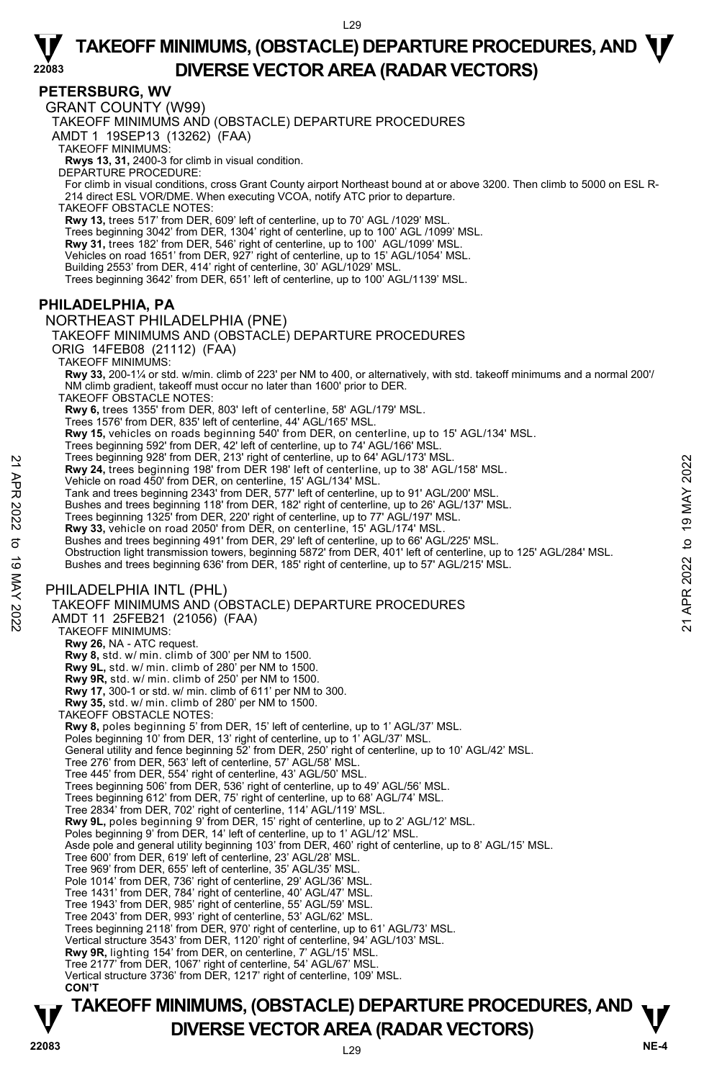#### **PETERSBURG, WV**

**22083** 

GRANT COUNTY (W99)

TAKEOFF MINIMUMS AND (OBSTACLE) DEPARTURE PROCEDURES

AMDT 1 19SEP13 (13262) (FAA)

TAKEOFF MINIMUMS:

**Rwys 13, 31,** 2400-3 for climb in visual condition. DEPARTURE PROCEDURE:

For climb in visual conditions, cross Grant County airport Northeast bound at or above 3200. Then climb to 5000 on ESL R-214 direct ESL VOR/DME. When executing VCOA, notify ATC prior to departure.

TAKEOFF OBSTACLE NOTES:

**Rwy 13,** trees 517' from DER, 609' left of centerline, up to 70' AGL /1029' MSL.

Trees beginning 3042' from DER, 1304' right of centerline, up to 100' AGL /1099' MSL.

**Rwy 31,** trees 182' from DER, 546' right of centerline, up to 100' AGL/1099' MSL.<br>Vehicles on road 1651' from DER, 927' right of centerline, up to 15' AGL/1054' MSL.

Building 2553' from DER, 414' right of centerline, 30' AGL/1029' MSL.

Trees beginning 3642' from DER, 651' left of centerline, up to 100' AGL/1139' MSL.

#### **PHILADELPHIA, PA**

#### NORTHEAST PHILADELPHIA (PNE)

TAKEOFF MINIMUMS AND (OBSTACLE) DEPARTURE PROCEDURES ORIG 14FEB08 (21112) (FAA)

TAKEOFF MINIMUMS:

**Rwy 33,** 200-1¼ or std. w/min. climb of 223' per NM to 400, or alternatively, with std. takeoff minimums and a normal 200'/ NM climb gradient, takeoff must occur no later than 1600' prior to DER.

TAKEOFF OBSTACLE NOTES:

**Rwy 6,** trees 1355' from DER, 803' left of centerline, 58' AGL/179' MSL. Trees 1576' from DER, 835' left of centerline, 44' AGL/165' MSL.

**Rwy 15,** vehicles on roads beginning 540' from DER, on centerline, up to 15' AGL/134' MSL.

Trees beginning 592' from DER, 42' left of centerline, up to 74' AGL/166' MSL. Trees beginning 928' from DER, 213' right of centerline, up to 64' AGL/173' MSL.

**Rwy 24,** trees beginning 198' from DER 198' left of centerline, up to 38' AGL/158' MSL.

Vehicle on road 450' from DER, on centerline, 15' AGL/134' MSL. Tank and trees beginning 2343' from DER, 577' left of centerline, up to 91' AGL/200' MSL.

Bushes and trees beginning 118' from DER, 182' right of centerline, up to 26' AGL/137' MSL.

Trees beginning 1325' from DER, 220' right of centerline, up to 77' AGL/197' MSL.

**Rwy 33,** vehicle on road 2050' from DER, on centerline, 15' AGL/174' MSL. Bushes and trees beginning 491' from DER, 29' left of centerline, up to 66' AGL/225' MSL.

Obstruction light transmission towers, beginning 5872' from DER, 401' left of centerline, up to 125' AGL/284' MSL. Free Seginning 928' from DER 190' effort center ine, up to 34' AGL/173' MSL.<br> **Provide on road 450' from DER**, on centerline, 15' AGL/134' MSL.<br>
Tank and trees beginning 1983' from DER, 57' left of centerline, up to 31' AG

Bushes and trees beginning 636' from DER, 185' right of centerline, up to 57' AGL/215' MSL.

#### PHILADELPHIA INTL (PHL)

TAKEOFF MINIMUMS AND (OBSTACLE) DEPARTURE PROCEDURES

AMDT 11 25FEB21 (21056) (FAA) TAKEOFF MINIMUMS:

**Rwy 26,** NA - ATC request.

 **Rwy 8,** std. w/ min. climb of 300' per NM to 1500.  **Rwy 9L,** std. w/ min. climb of 280' per NM to 1500.

 **Rwy 9R,** std. w/ min. climb of 250' per NM to 1500.

 **Rwy 17,** 300-1 or std. w/ min. climb of 611' per NM to 300.  **Rwy 35,** std. w/ min. climb of 280' per NM to 1500.

TAKEOFF OBSTACLE NOTES:

**Rwy 8,** poles beginning 5' from DER, 15' left of centerline, up to 1' AGL/37' MSL.<br>Poles beginning 10' from DER, 13' right of centerline, up to 1' AGL/37' MSL.

General utility and fence beginning 52' from DER, 250' right of centerline, up to 10' AGL/42' MSL.

Tree 276' from DER, 563' left of centerline, 57' AGL/58' MSL.

Tree 445' from DER, 554' right of centerline, 43' AGL/50' MSL.

Trees beginning 506' from DER, 536' right of centerline, up to 49' AGL/56' MSL.

Trees beginning 612' from DER, 75' right of centerline, up to 68' AGL/74' MSL.

Tree 2834' from DER, 702' right of centerline, 114' AGL/119' MSL.<br>**Rwy 9L,** poles beginning 9' from DER, 15' right of centerline, up to 2' AGL/12' MSL.

Poles beginning 9' from DER, 14' left of centerline, up to 1' AGL/12' MSL.

Asde pole and general utility beginning 103' from DER, 460' right of centerline, up to 8' AGL/15' MSL.

Tree 600' from DER, 619' left of centerline, 23' AGL/28' MSL. Tree 969' from DER, 655' left of centerline, 35' AGL/35' MSL.

Pole 1014' from DER, 736' right of centerline, 29' AGL/36' MSL.

Tree 1431' from DER, 784' right of centerline, 40' AGL/47' MSL. Tree 1943' from DER, 985' right of centerline, 55' AGL/59' MSL.

Tree 2043' from DER, 993' right of centerline, 53' AGL/62' MSL.

Trees beginning 2118' from DER, 970' right of centerline, up to 61' AGL/73' MSL.

Vertical structure 3543' from DER, 1120' right of centerline, 94' AGL/103' MSL.

**Rwy 9R,** lighting 154' from DER, on centerline, 7' AGL/15' MSL.

Tree 2177' from DER, 1067' right of centerline, 54' AGL/67' MSL.

Vertical structure 3736' from DER, 1217' right of centerline, 109' MSL.  **CON'T**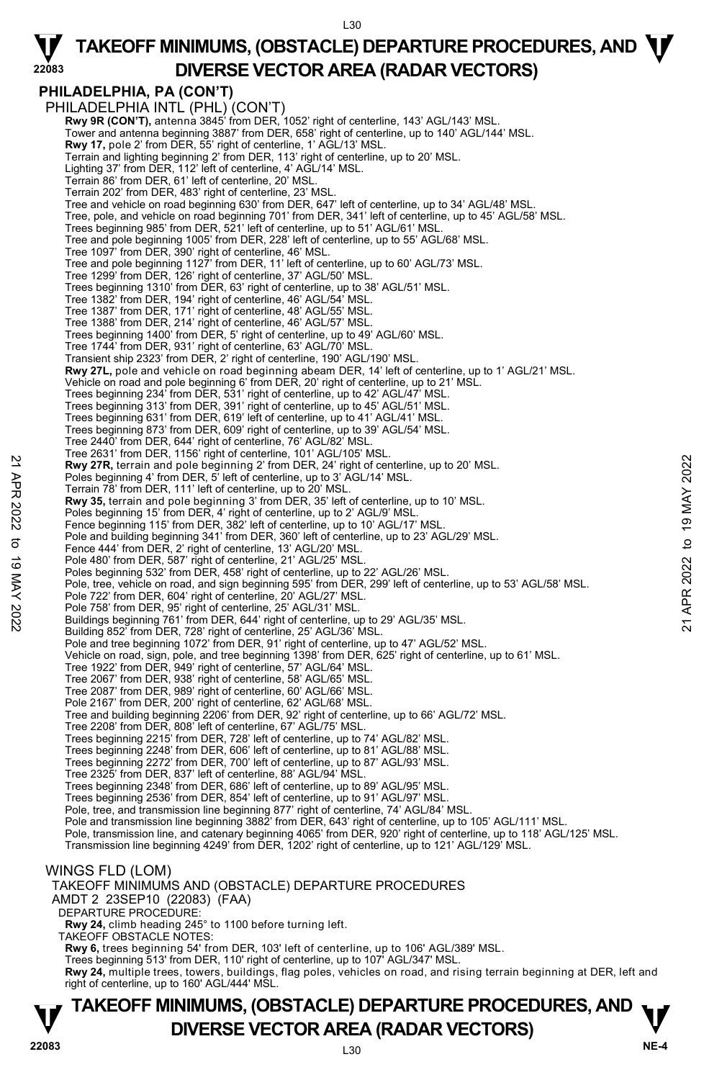#### L30

#### **22083**   $\Psi$  TAKEOFF MINIMUMS, (OBSTACLE) DEPARTURE PROCEDURES, AND  $\Psi$ **DIVERSE VECTOR AREA (RADAR VECTORS)**

### **PHILADELPHIA, PA (CON'T)**

PHILADELPHIA INTL (PHL) (CON'T) **Rwy 9R (CON'T), antenna 3845' from DER, 1052' right of centerline, 143' AGL/143' MSL** Tower and antenna beginning 3887' from DER, 658' right of centerline, up to 140' AGL/144' MSL. **Rwy 17,** pole 2' from DER, 55' right of centerline, 1' AGL/13' MSL. Terrain and lighting beginning 2' from DER, 113' right of centerline, up to 20' MSL. Lighting 37' from DER, 112' left of centerline, 4' AGL/14' MSL. Terrain 86' from DER, 61' left of centerline, 20' MSL. Terrain 202' from DER, 483' right of centerline, 23' MSL. Tree and vehicle on road beginning 630' from DER, 647' left of centerline, up to 34' AGL/48' MSL. Tree, pole, and vehicle on road beginning 701' from DER, 341' left of centerline, up to 45' AGL/58' MSL. Trees beginning 985' from DER, 521' left of centerline, up to 51' AGL/61' MSL. Tree and pole beginning 1005' from DER, 228' left of centerline, up to 55' AGL/68' MSL. Tree 1097' from DER, 390' right of centerline, 46' MSL. Tree and pole beginning 1127' from DER, 11' left of centerline, up to 60' AGL/73' MSL. Tree 1299' from DER, 126' right of centerline, 37' AGL/50' MSL. Trees beginning 1310' from DER, 63' right of centerline, up to 38' AGL/51' MSL. Tree 1382' from DER, 194' right of centerline, 46' AGL/54' MSL. Tree 1387' from DER, 171' right of centerline, 48' AGL/55' MSL. Tree 1388' from DER, 214' right of centerline, 46' AGL/57' MSL. Trees beginning 1400' from DER, 5' right of centerline, up to 49' AGL/60' MSL. Tree 1744' from DER, 931' right of centerline, 63' AGL/70' MSL. Transient ship 2323' from DER, 2' right of centerline, 190' AGL/190' MSL. **Rwy 27L,** pole and vehicle on road beginning abeam DER, 14' left of centerline, up to 1' AGL/21' MSL.<br>Vehicle on road and pole beginning 6' from DER, 20' right of centerline, up to 21' MSL.<br>Trees beginning 234' from DER, Trees beginning 313' from DER, 391' right of centerline, up to 45' AGL/51' MSL. Trees beginning 631' from DER, 619' left of centerline, up to 41' AGL/41' MSL. Trees beginning 873' from DER, 609' right of centerline, up to 39' AGL/54' MSL. Tree 2440' from DER, 644' right of centerline, 76' AGL/82' MSL. Tree 2631' from DER, 1156' right of centerline, 101' AGL/105' MSL.<br>**Rwy 27R,** terrain and pole beginning 2' from DER, 24' right of centerline, up to 20' MSL. Poles beginning 4' from DER, 5' left of centerline, up to 3' AGL/14' MSL. Terrain 78' from DER, 111' left of centerline, up to 20' MSL. **Rwy 35,** terrain and pole beginning 3' from DER, 35' left of centerline, up to 10' MSL. Poles beginning 15' from DER, 4' right of centerline, up to 2' AGL/9' MSL. Fence beginning 115' from DER, 382' left of centerline, up to 10' AGL/17' MSL. Pole and building beginning 341' from DER, 360' left of centerline, up to 23' AGL/29' MSL. Fence 444' from DER, 2' right of centerline, 13' AGL/20' MSL. Pole 480' from DER, 587' right of centerline, 21' AGL/25' MSL. Poles beginning 532' from DER, 458' right of centerline, up to 22' AGL/26' MSL. Pole, tree, vehicle on road, and sign beginning 595' from DER, 299' left of centerline, up to 53' AGL/58' MSL. Pole 722' from DER, 604' right of centerline, 20' AGL/27' MSL. Pole 758' from DER, 95' right of centerline, 25' AGL/31' MSL. Buildings beginning 761' from DER, 644' right of centerline, up to 29' AGL/35' MSL. Building 852' from DER, 728' right of centerline, 25' AGL/36' MSL. Pole and tree beginning 1072' from DER, 91' right of centerline, up to 47' AGL/52' MSL. Vehicle on road, sign, pole, and tree beginning 1398' from DER, 625' right of centerline, up to 61' MSL.<br>Tree 1922' from DER, 949' right of centerline, 57' AGL/64' MSL. Tree 2067' from DER, 938' right of centerline, 58' AGL/65' MSL. Tree 2087' from DER, 989' right of centerline, 60' AGL/66' MSL. Pole 2167' from DER, 200' right of centerline, 62' AGL/68' MSL. Tree and building beginning 2206' from DER, 92' right of centerline, up to 66' AGL/72' MSL. Tree 2208' from DER, 808' left of centerline, 67' AGL/75' MSL. Trees beginning 2215' from DER, 728' left of centerline, up to 74' AGL/82' MSL. Trees beginning 2248' from DER, 606' left of centerline, up to 81' AGL/88' MSL. Trees beginning 2272' from DER, 700' left of centerline, up to 87' AGL/93' MSL. Tree 2325' from DER, 837' left of centerline, 88' AGL/94' MSL. Trees beginning 2348' from DER, 686' left of centerline, up to 89' AGL/95' MSL. Trees beginning 2536' from DER, 854' left of centerline, up to 91' AGL/97' MSL. Pole, tree, and transmission line beginning 877' right of centerline, 74' AGL/84' MSL.<br>Pole and transmission line beginning 3882' from DER, 643' right of centerline, up to 105' AGL/111' MSL. Pole, transmission line, and catenary beginning 4065' from DER, 920' right of centerline, up to 118' AGL/125' MSL. Transmission line beginning 4249' from DER, 1202' right of centerline, up to 121' AGL/129' MSL. WINGS FLD (LOM) TAKEOFF MINIMUMS AND (OBSTACLE) DEPARTURE PROCEDURES AMDT 2 23SEP10 (22083) (FAA) DEPARTURE PROCEDURE: **Rwy 24,** climb heading 245° to 1100 before turning left. TAKEOFF OBSTACLE NOTES: **Rwy 6,** trees beginning 54' from DER, 103' left of centerline, up to 106' AGL/389' MSL. Trees beginning 513' from DER, 110' right of centerline, up to 107' AGL/347' MSL. **Rwy 24,** multiple trees, towers, buildings, flag poles, vehicles on road, and rising terrain beginning at DER, left and<br>right of centerline, up to 160' AGL/444' MSL. 22 New 27R, lerrain and pole beginning 2' from DER, 24' right of centerline, up to 20' MSL.<br>
Poles beginning 4' from DER, 5' left of centerline, up to 3' AGL/14' MSL.<br>
Terrain 78' from DER, 11' left of centerline, up to 2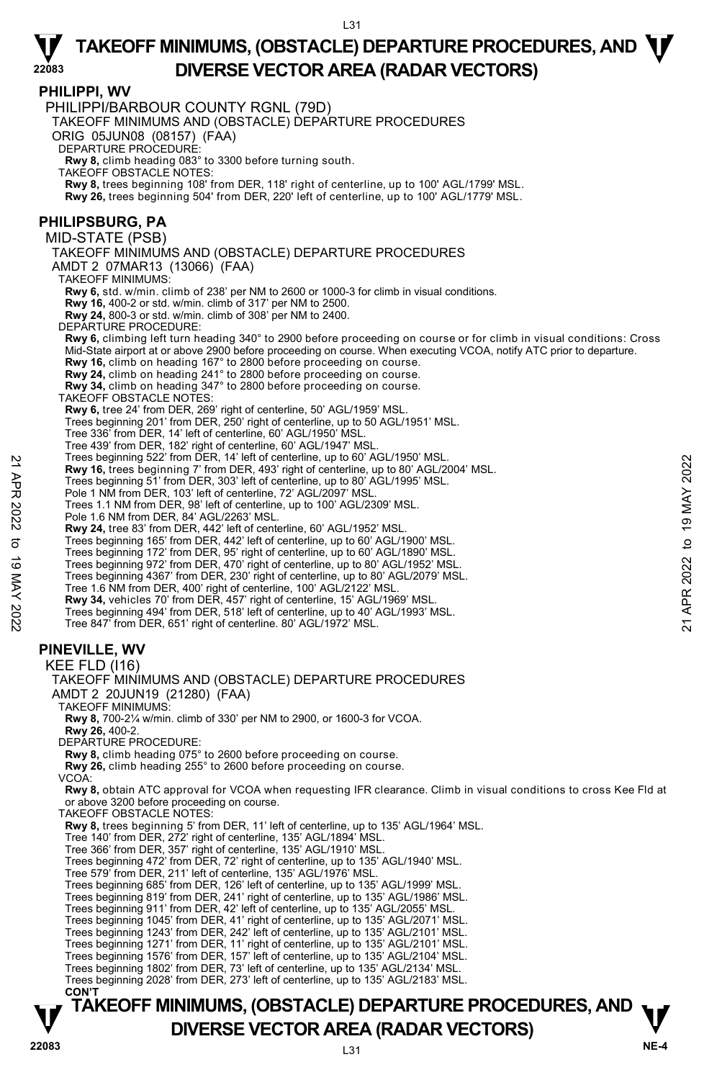#### **PHILIPPI, WV**

**22083** 

**TAKEOFF MINIMUMS, (OBSTACLE) DEPARTURE PROCEDURES, AND**  $\mathbf{\nabla}$ PHILIPPI/BARBOUR COUNTY RGNL (79D) TAKEOFF MINIMUMS AND (OBSTACLE) DEPARTURE PROCEDURES ORIG 05JUN08 (08157) (FAA) DEPARTURE PROCEDURE: **Rwy 8,** climb heading 083° to 3300 before turning south. TAKEOFF OBSTACLE NOTES: **Rwy 8,** trees beginning 108' from DER, 118' right of centerline, up to 100' AGL/1799' MSL. **Rwy 26,** trees beginning 504' from DER, 220' left of centerline, up to 100' AGL/1779' MSL. **PHILIPSBURG, PA**  MID-STATE (PSB) TAKEOFF MINIMUMS AND (OBSTACLE) DEPARTURE PROCEDURES AMDT 2 07MAR13 (13066) (FAA) TAKEOFF MINIMUMS: **Rwy 6,** std. w/min. climb of 238' per NM to 2600 or 1000-3 for climb in visual conditions. **Rwy 16,** 400-2 or std. w/min. climb of 317' per NM to 2500. **Rwy 24,** 800-3 or std. w/min. climb of 308' per NM to 2400. DEPARTURE PROCEDURE: **Rwy 6,** climbing left turn heading 340° to 2900 before proceeding on course or for climb in visual conditions: Cross Mid-State airport at or above 2900 before proceeding on course. When executing VCOA, notify ATC prior to departure. **Rwy 16,** climb on heading 167° to 2800 before proceeding on course. **Rwy 24,** climb on heading 241° to 2800 before proceeding on course. **Rwy 34,** climb on heading 347° to 2800 before proceeding on course. TAKEOFF OBSTACLE NOTES: **Rwy 6,** tree 24' from DER, 269' right of centerline, 50' AGL/1959' MSL. Trees beginning 201' from DER, 250' right of centerline, up to 50 AGL/1951' MSL. Tree 336' from DER, 14' left of centerline, 60' AGL/1950' MSL. Tree 439' from DER, 182' right of centerline, 60' AGL/1947' MSL. Trees beginning 522' from DER, 14' left of centerline, up to 60' AGL/1950' MSL. **Rwy 16,** trees beginning 7' from DER, 493' right of centerline, up to 80' AGL/2004' MSL. Trees beginning 51' from DER, 303' left of centerline, up to 80' AGL/1995' MSL. Pole 1 NM from DER, 103' left of centerline, 72' AGL/2097' MSL. Trees 1.1 NM from DER, 98' left of centerline, up to 100' AGL/2309' MSL. Pole 1.6 NM from DER, 84' AGL/2263' MSL. **Rwy 24,** tree 83' from DER, 442' left of centerline, 60' AGL/1952' MSL. Trees beginning 165' from DER, 442' left of centerline, up to 60' AGL/1900' MSL. Trees beginning 172' from DER, 95' right of centerline, up to 60' AGL/1890' MSL. Trees beginning 972' from DER, 470' right of centerline, up to 80' AGL/1952' MSI Trees beginning 4367' from DER, 230' right of centerline, up to 80' AGL/2079' MSL. Tree 1.6 NM from DER, 400' right of centerline, 100' AGL/2122' MSL. **Rwy 34,** vehicles 70' from DER, 457' right of centerline, 15' AGL/1969' MSL. Trees beginning 494' from DER, 518' left of centerline, up to 40' AGL/1993' MSL. Tree 847' from DER, 651' right of centerline. 80' AGL/1972' MSL. **PINEVILLE, WV**  KEE FLD (I16) TAKEOFF MINIMUMS AND (OBSTACLE) DEPARTURE PROCEDURES AMDT 2 20JUN19 (21280) (FAA) TAKEOFF MINIMUMS: **Rwy 8,** 700-2¼ w/min. climb of 330' per NM to 2900, or 1600-3 for VCOA. **Rwy 26,** 400-2. DEPARTURE PROCEDURE: **Rwy 8,** climb heading 075° to 2600 before proceeding on course. **Rwy 26,** climb heading 255° to 2600 before proceeding on course. VCOA: **Rwy 8,** obtain ATC approval for VCOA when requesting IFR clearance. Climb in visual conditions to cross Kee Fld at or above 3200 before proceeding on course. TAKEOFF OBSTACLE NOTES: **Rwy 8,** trees beginning 5' from DER, 11' left of centerline, up to 135' AGL/1964' MSL. Tree 140' from DER, 272' right of centerline, 135' AGL/1894' MSL. Tree 366' from DER, 357' right of centerline, 135' AGL/1910' MSL. Trees beginning 472' from DER, 72' right of centerline, up to 135' AGL/1940' MSL. Tree 579' from DER, 211' left of centerline, 135' AGL/1976' MSL. Trees beginning 685' from DER, 126' left of centerline, up to 135' AGL/1999' MSL. Trees beginning 819' from DER, 241' right of centerline, up to 135' AGL/1986' MSL. Trees beginning 911' from DER, 42' left of centerline, up to 135' AGL/2055' MSL. Trees beginning 1045' from DER, 41' right of centerline, up to 135' AGL/2071' MSL. Trees beginning 1243' from DER, 242' left of centerline, up to 135' AGL/2101' MSL. Trees beginning 1271' from DER, 11' right of centerline, up to 135' AGL/2101' MSL. Trees beginning 1576' from DER, 157' left of centerline, up to 135' AGL/2104' MSL. Trees beginning 1802' from DER, 73' left of centerline, up to 135' AGL/2134' MSL. Trees beginning 2028' from DER, 273' left of centerline, up to 135' AGL/2183' MSL.  **CON'T Example 522 from DER, 49<sup>2</sup> if entirely to 19 MAY 2022/1990 WSL.<br>
Rwy 16, trees beginning 7' from DER, 493' right of centerline, up to 80' AGL/2004' MSL.<br>
Trees heginning 51' from DER, 303' left of centerline, up to 80'** 

## **V** DIVERSE VECTOR AREA (RADAR VECTORS) V<br>22083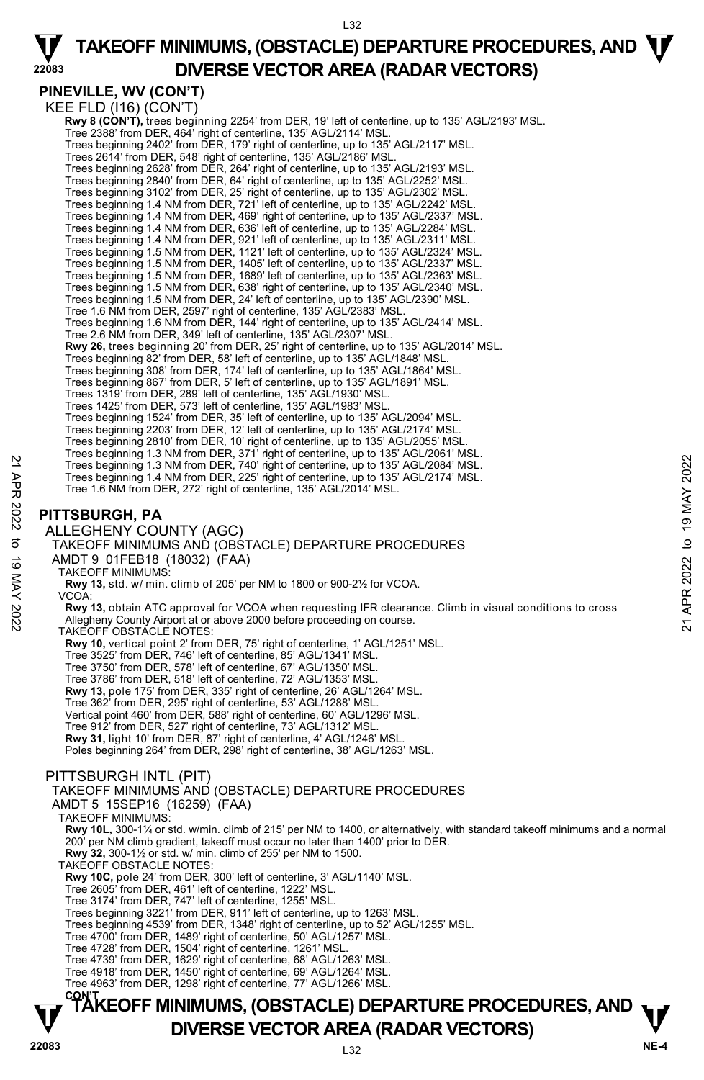L32

**PINEVILLE, WV (CON'T)** 

**22083** 

KEE FLD (I16) (CON'T) **Rwy 8 (CON'T),** trees beginning 2254' from DER, 19' left of centerline, up to 135' AGL/2193' MSL.<br>Tree 2388' from DER, 464' right of centerline, 135' AGL/2114' MSL. Trees beginning 2402' from DER, 179' right of centerline, up to 135' AGL/2117' MSL. Trees 2614' from DER, 548' right of centerline, 135' AGL/2186' MSL. Trees beginning 2628' from DER, 264' right of centerline, up to 135' AGL/2193' MSL. Trees beginning 2840' from DER, 64' right of centerline, up to 135' AGL/2252' MSL. Trees beginning 3102' from DER, 25' right of centerline, up to 135' AGL/2302' MSL. Trees beginning 1.4 NM from DER, 721' left of centerline, up to 135' AGL/2242' MS Trees beginning 1.4 NM from DER, 469' right of centerline, up to 135' AGL/2337' MSL. Trees beginning 1.4 NM from DER, 636' left of centerline, up to 135' AGL/2284' MSL. Trees beginning 1.4 NM from DER, 921' left of centerline, up to 135' AGL/2311' MSL. Trees beginning 1.5 NM from DER, 1121' left of centerline, up to 135' AGL/2324' MSL. Trees beginning 1.5 NM from DER, 1405' left of centerline, up to 135' AGL/2337' MSL. Trees beginning 1.5 NM from DER, 1689' left of centerline, up to 135' AGL/2363' MSL. Trees beginning 1.5 NM from DER, 638' right of centerline, up to 135' AGL/2340' MSL.<br>Trees beginning 1.5 NM from DER, 24' left of centerline, up to 135' AGL/2390' MSL. Tree 1.6 NM from DER, 2597' right of centerline, 135' AGL/2383' MSL. Trees beginning 1.6 NM from DER, 144' right of centerline, up to 135' AGL/2414' MSL. Tree 2.6 NM from DER, 349' left of centerline, 135' AGL/2307' MSL. **Rwy 26,** trees beginning 20' from DER, 25' right of centerline, up to 135' AGL/2014' MSL. Trees beginning 82' from DER, 58' left of centerline, up to 135' AGL/1848' MSL. Trees beginning 308' from DER, 174' left of centerline, up to 135' AGL/1864' MSL. Trees beginning 867' from DER, 5' left of centerline, up to 135' AGL/1891' MSL. Trees 1319' from DER, 289' left of centerline, 135' AGL/1930' MSL. Trees 1425' from DER, 573' left of centerline, 135' AGL/1983' MSL. Trees beginning 1524' from DER, 35' left of centerline, up to 135' AGL/2094' MSL. Trees beginning 2203' from DER, 12' left of centerline, up to 135' AGL/2174' MSL. Trees beginning 2810' from DER, 10' right of centerline, up to 135' AGL/2055' MSL. Trees beginning 1.3 NM from DER, 371' right of centerline, up to 135' AGL/2061' MSL. Trees beginning 1.3 NM from DER, 740' right of centerline, up to 135' AGL/2084' MSL. Trees beginning 1.4 NM from DER, 225' right of centerline, up to 135' AGL/2174' MSL. Tree 1.6 NM from DER, 272' right of centerline, 135' AGL/2014' MSL. **PITTSBURGH, PA**  ALLEGHENY COUNTY (AGC) TAKEOFF MINIMUMS AND (OBSTACLE) DEPARTURE PROCEDURES AMDT 9 01FEB18 (18032) (FAA) TAKEOFF MINIMUMS: **Rwy 13,** std. w/ min. climb of 205' per NM to 1800 or 900-2½ for VCOA. VCOA: **Rwy 13,** obtain ATC approval for VCOA when requesting IFR clearance. Climb in visual conditions to cross Allegheny County Airport at or above 2000 before proceeding on course. TAKEOFF OBSTACLE NOTES: **Rwy 10,** vertical point 2' from DER, 75' right of centerline, 1' AGL/1251' MSL. Tree 3525' from DER, 746' left of centerline, 85' AGL/1341' MSL. Tree 3750' from DER, 578' left of centerline, 67' AGL/1350' MSL. Tree 3786' from DER, 518' left of centerline, 72' AGL/1353' MSL. **Rwy 13,** pole 175' from DER, 335' right of centerline, 26' AGL/1264' MSL.<br>Tree 362' from DER, 295' right of centerline, 53' AGL/1288' MSL. Vertical point 460' from DER, 588' right of centerline, 60' AGL/1296' MSL. Tree 912' from DER, 527' right of centerline, 73' AGL/1312' MSL. **Rwy 31,** light 10' from DER, 87' right of centerline, 4' AGL/1246' MSL. Poles beginning 264' from DER, 298' right of centerline, 38' AGL/1263' MSL. PITTSBURGH INTL (PIT) TAKEOFF MINIMUMS AND (OBSTACLE) DEPARTURE PROCEDURES AMDT 5 15SEP16 (16259) (FAA) TAKEOFF MINIMUMS: **Rwy 10L,** 300-1¼ or std. w/min. climb of 215' per NM to 1400, or alternatively, with standard takeoff minimums and a normal 200' per NM climb gradient, takeoff must occur no later than 1400' prior to DER. **Rwy 32,** 300-1½ or std. w/ min. climb of 255' per NM to 1500. TAKEOFF OBSTACLE NOTES: **Rwy 10C,** pole 24' from DER, 300' left of centerline, 3' AGL/1140' MSL. Tree 2605' from DER, 461' left of centerline, 1222' MSL.<br>Tree 3174' from DER, 747' left of centerline, 1255' MSL.<br>Trees beginning 3221' from DER, 911' left of centerline, up to 1263' MSL. Trees beginning 4539' from DER, 1348' right of centerline, up to 52' AGL/1255' MSL. Tree 4700' from DER, 1489' right of centerline, 50' AGL/1257' MSL. Tree 4728' from DER, 1504' right of centerline, 1261' MSL. Tree 4739' from DER, 1629' right of centerline, 68' AGL/1263' MSL. Tree 4918' from DER, 1450' right of centerline, 69' AGL/1264' MSL. Tree 4963' from DER, 1298' right of centerline, 77' AGL/1266' MSL. Trees beginning 1.3 NM from DER, 740 right of centerline, up to 135' AGL/2084' MSL.<br>
Trees beginning 1.3 NM from DER, 725' right of centerline, up to 135' AGL/2084' MSL.<br>
Tree 1.6 NM from DER, 272' right of centerline, up

# **TAKEOFF MINIMUMS, (OBSTACLE) DEPARTURE PROCEDURES, AND <b>W**<br>DIVERSE VECTOR AREA (RADAR VECTORS) **V** DIVERSE VECTOR AREA (RADAR VECTORS) V<br>22083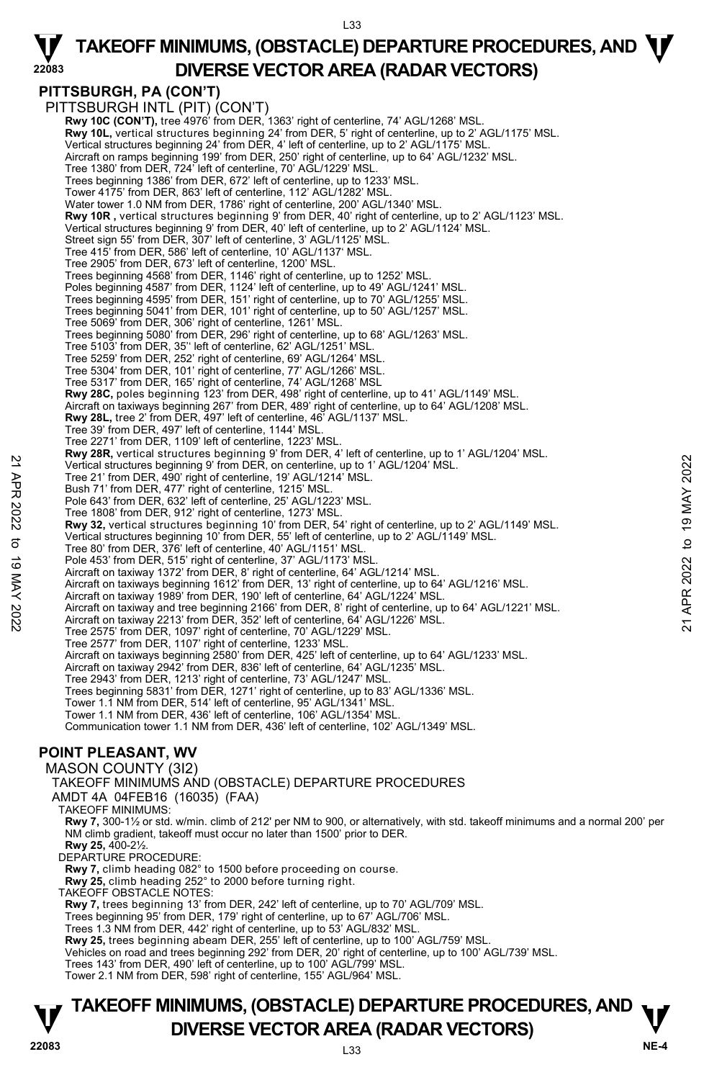## **PITTSBURGH, PA (CON'T)**

**22083** 

PITTSBURGH INTL (PIT) (CON'T) **Rwy 10C (CON'T), tree 4976' from DER, 1363' right of centerline, 74' AGL/1268' MSL Rwy 10L,** vertical structures beginning 24' from DER, 5' right of centerline, up to 2' AGL/1175' MSL. Vertical structures beginning 24' from DER, 4' left of centerline, up to 2' AGL/1175' MSL. Aircraft on ramps beginning 199' from DER, 250' right of centerline, up to 64' AGL/1232' MSL. Tree 1380' from DER, 724' left of centerline, 70' AGL/1229' MSL. Trees beginning 1386' from DER, 672' left of centerline, up to 1233' MSL. Tower 4175' from DER, 863' left of centerline, 112' AGL/1282' MSL. Water tower 1.0 NM from DER, 1786' right of centerline, 200' AGL/1340' MSL. **Rwy 10R ,** vertical structures beginning 9' from DER, 40' right of centerline, up to 2' AGL/1123' MSL. Vertical structures beginning 9' from DER, 40' left of centerline, up to 2' AGL/1124' MSL. Street sign 55' from DER, 307' left of centerline, 3' AGL/1125' MSL. Tree 415' from DER, 586' left of centerline, 10' AGL/1137' MSL. Tree 2905' from DER, 673' left of centerline, 1200' MSL. Trees beginning 4568' from DER, 1146' right of centerline, up to 1252' MSL. Poles beginning 4587' from DER, 1124' left of centerline, up to 49' AGL/1241' MSL. Trees beginning 4595' from DER, 151' right of centerline, up to 70' AGL/1255' MSL. Trees beginning 5041' from DER, 101' right of centerline, up to 50' AGL/1257' MSL. Tree 5069' from DER, 306' right of centerline, 1261' MSL. Trees beginning 5080' from DER, 296' right of centerline, up to 68' AGL/1263' MSL. Tree 5103' from DER, 35'' left of centerline, 62' AGL/1251' MSL. Tree 5259' from DER, 252' right of centerline, 69' AGL/1264' MSL. Tree 5304' from DER, 101' right of centerline, 77' AGL/1266' MSL. Tree 5317' from DER, 165' right of centerline, 74' AGL/1268' MSL **Rwy 28C,** poles beginning 123' from DER, 498' right of centerline, up to 41' AGL/1149' MSL. Aircraft on taxiways beginning 267' from DER, 489' right of centerline, up to 64' AGL/1208' MSL.<br>**Rwy 28L,** tree 2' from DER, 497' left of centerline, 46' AGL/1137' MSL. Tree 39' from DER, 497' left of centerline, 1144' MSL. Tree 2271' from DER, 1109' left of centerline, 1223' MSL. **Rwy 28R,** vertical structures beginning 9' from DER, 4' left of centerline, up to 1' AGL/1204' MSL.<br>Vertical structures beginning 9' from DER, on centerline, up to 1' AGL/1204' MSL. Tree 21' from DER, 490' right of centerline, 19' AGL/1214' MSL. Bush 71' from DER, 477' right of centerline, 1215' MSL. Pole 643' from DER, 632' left of centerline, 25' AGL/1223' MSL. Tree 1808' from DER, 912' right of centerline, 1273' MSL. **Rwy 32,** vertical structures beginning 10' from DER, 54' right of centerline, up to 2' AGL/1149' MSL. Vertical structures beginning 10' from DER, 55' left of centerline, up to 2' AGL/1149' MSL. Tree 80' from DER, 376' left of centerline, 40' AGL/1151' MSL. Pole 453' from DER, 515' right of centerline, 37' AGL/1173' MSL. Aircraft on taxiway 1372' from DER, 8' right of centerline, 64' AGL/1214' MSL. Aircraft on taxiways beginning 1612' from DER, 13' right of centerline, up to 64' AGL/1216' MSL. Aircraft on taxiway 1989' from DER, 190' left of centerline, 64' AGL/1224' MSL. Wertical structures beginning 9' from DER, on centerline, up to 1'AGL/1204' MSL.<br>Tree 21' from DER, 407' right of centerline, 19 to 1'AGL/1204' MSL.<br>Tree 21' from DER, 47' right of centerline, 1215' MSL.<br>Pole 643' from DER Tree 2575' from DER, 1097' right of centerline, 70' AGL/1229' MSL. Tree 2577' from DER, 1107' right of centerline, 1233' MSL. Aircraft on taxiways beginning 2580' from DER, 425' left of centerline, up to 64' AGL/1233' MSL.<br>Aircraft on taxiway 2942' from DER, 836' left of centerline, 64' AGL/1235' MSL. Tree 2943' from DER, 1213' right of centerline, 73' AGL/1247' MSL. Trees beginning 5831' from DER, 1271' right of centerline, up to 83' AGL/1336' MSL. Tower 1.1 NM from DER, 514' left of centerline, 95' AGL/1341' MSL. Tower 1.1 NM from DER, 436' left of centerline, 106' AGL/1354' MSL. Communication tower 1.1 NM from DER, 436' left of centerline, 102' AGL/1349' MSL. **POINT PLEASANT, WV**  MASON COUNTY (3I2) TAKEOFF MINIMUMS AND (OBSTACLE) DEPARTURE PROCEDURES AMDT 4A 04FEB16 (16035) (FAA) TAKEOFF MINIMUMS:

**Rwy 7,** 300-1½ or std. w/min. climb of 212' per NM to 900, or alternatively, with std. takeoff minimums and a normal 200' per NM climb gradient, takeoff must occur no later than 1500' prior to DER. **Rwy 25,** 400-2½.

DEPARTURE PROCEDURE:

**Rwy 7,** climb heading 082° to 1500 before proceeding on course.

**Rwy 25,** climb heading 252° to 2000 before turning right.

TAKEOFF OBSTACLE NOTES:

**Rwy 7,** trees beginning 13' from DER, 242' left of centerline, up to 70' AGL/709' MSL.

Trees beginning 95' from DER, 179' right of centerline, up to 67' AGL/706' MSL.

Trees 1.3 NM from DER, 442' right of centerline, up to 53' AGL/832' MSL.<br>**Rwy 25,** trees beginning abeam DER, 255' left of centerline, up to 100' AGL/759' MSL.

Vehicles on road and trees beginning 292' from DER, 20' right of centerline, up to 100' AGL/739' MSL.

Trees 143' from DER, 490' left of centerline, up to 100' AGL/799' MSL.

Tower 2.1 NM from DER, 598' right of centerline, 155' AGL/964' MSL.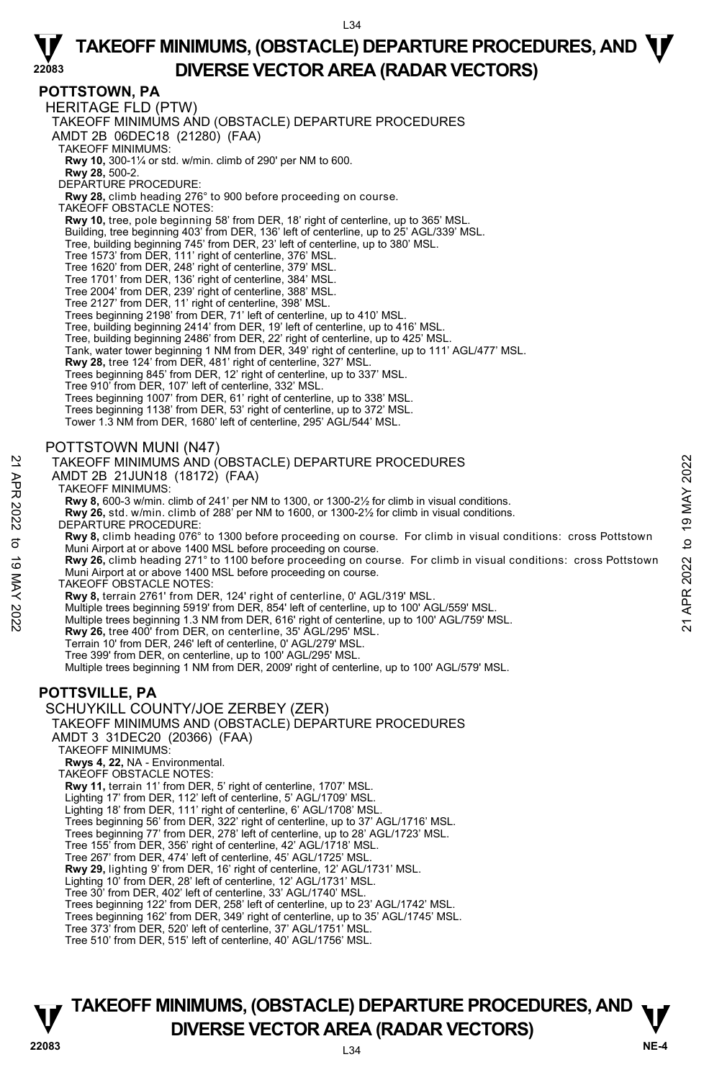#### **22083 POTTSTOWN, PA**  HERITAGE FLD (PTW) TAKEOFF MINIMUMS AND (OBSTACLE) DEPARTURE PROCEDURES AMDT 2B 06DEC18 (21280) (FAA) TAKEOFF MINIMUMS: **Rwy 10,** 300-1¼ or std. w/min. climb of 290' per NM to 600. **Rwy 28,** 500-2. DEPARTURE PROCEDURE: **Rwy 28,** climb heading 276° to 900 before proceeding on course. TAKEOFF OBSTACLE NOTES: **Rwy 10,** tree, pole beginning 58' from DER, 18' right of centerline, up to 365' MSL. Building, tree beginning 403' from DER, 136' left of centerline, up to 25' AGL/339' MSL. Tree, building beginning 745' from DER, 23' left of centerline, up to 380' MSL. Tree 1573' from DER, 111' right of centerline, 376' MSL. Tree 1620' from DER, 248' right of centerline, 379' MSL. Tree 1701' from DER, 136' right of centerline, 384' MSL. Tree 2004' from DER, 239' right of centerline, 388' MSL. Tree 2127' from DER, 11' right of centerline, 398' MSL. Trees beginning 2198' from DER, 71' left of centerline, up to 410' MSL. Tree, building beginning 2414' from DER, 19' left of centerline, up to 416' MSL. Tree, building beginning 2486' from DER, 22' right of centerline, up to 425' MSL. Tank, water tower beginning 1 NM from DER, 349' right of centerline, up to 111' AGL/477' MSL. **Rwy 28,** tree 124' from DER, 481' right of centerline, 327' MSL. Trees beginning 845' from DER, 12' right of centerline, up to 337' MSL. Tree 910' from DER, 107' left of centerline, 332' MSL. Trees beginning 1007' from DER, 61' right of centerline, up to 338' MSL. Trees beginning 1138' from DER, 53' right of centerline, up to 372' MSL. Tower 1.3 NM from DER, 1680' left of centerline, 295' AGL/544' MSL. POTTSTOWN MUNI (N47) TAKEOFF MINIMUMS AND (OBSTACLE) DEPARTURE PROCEDURES AMDT 2B 21JUN18 (18172) (FAA) TAKEOFF MINIMUMS: **Rwy 8,** 600-3 w/min. climb of 241' per NM to 1300, or 1300-2½ for climb in visual conditions. **Rwy 26,** std. w/min. climb of 288' per NM to 1600, or 1300-2½ for climb in visual conditions. DEPARTURE PROCEDURE **Rwy 8,** climb heading 076° to 1300 before proceeding on course. For climb in visual conditions: cross Pottstown Muni Airport at or above 1400 MSL before proceeding on course. **Rwy 26,** climb heading 271° to 1100 before proceeding on course. For climb in visual conditions: cross Pottstown Muni Airport at or above 1400 MSL before proceeding on course. TAKEOFF OBSTACLE NOTES: **Rwy 8,** terrain 2761' from DER, 124' right of centerline, 0' AGL/319' MSL. Multiple trees beginning 5919' from DER, 854' left of centerline, up to 100' AGL/559' MSL. Multiple trees beginning 1.3 NM from DER, 616' right of centerline, up to 100' AGL/759' MSL. **Rwy 26,** tree 400' from DER, on centerline, 35' AGL/295' MSL. Terrain 10' from DER, 246' left of centerline, 0' AGL/279' MSL. Tree 399' from DER, on centerline, up to 100' AGL/295' MSL. Multiple trees beginning 1 NM from DER, 2009' right of centerline, up to 100' AGL/579' MSL. **POTTSVILLE, PA**  SCHUYKILL COUNTY/JOE ZERBEY (ZER) TAKEOFF MINIMUMS AND (OBSTACLE) DEPARTURE PROCEDURES AMDT 3 31DEC20 (20366) (FAA) TAKEOFF MINIMUMS: **Rwys 4, 22,** NA - Environmental. TAKEOFF OBSTACLE NOTES: **Rwy 11,** terrain 11' from DER, 5' right of centerline, 1707' MSL. Lighting 17' from DER, 112' left of centerline, 5' AGL/1709' MSL. Lighting 18' from DER, 111' right of centerline, 6' AGL/1708' MSL. Trees beginning 56' from DER, 322' right of centerline, up to 37' AGL/1716' MSL. Trees beginning 77' from DER, 278' left of centerline, up to 28' AGL/1723' MSL. Tree 155' from DER, 356' right of centerline, 42' AGL/1718' MSL. Tree 267' from DER, 474' left of centerline, 45' AGL/1725' MSL. **Rwy 29,** lighting 9' from DER, 16' right of centerline, 12' AGL/1731' MSL. Lighting 10' from DER, 28' left of centerline, 12' AGL/1731' MSL. Tree 30' from DER, 402' left of centerline, 33' AGL/1740' MSL. Trees beginning 122' from DER, 258' left of centerline, up to 23' AGL/1742' MSL. Trees beginning 162' from DER, 349' right of centerline, up to 35' AGL/1745' MSL. Tree 373' from DER, 520' left of centerline, 37' AGL/1751' MSL. Tree 510' from DER, 515' left of centerline, 40' AGL/1756' MSL. TAKEOFF MINIMUMS AND (OBSTACLE) DEPARTURE PROCEDURES<br>
21 AMDT 2B 21JUN18 (18172) (FAA)<br>
22 TAKEOFF MINIMUMS:<br>
22 TAKEOFF MINIMUMS:<br>
22 Rwy 36, 600-3 w/min. climb of 241' per NM to 1300, or 1300-2½ for climb in visual condi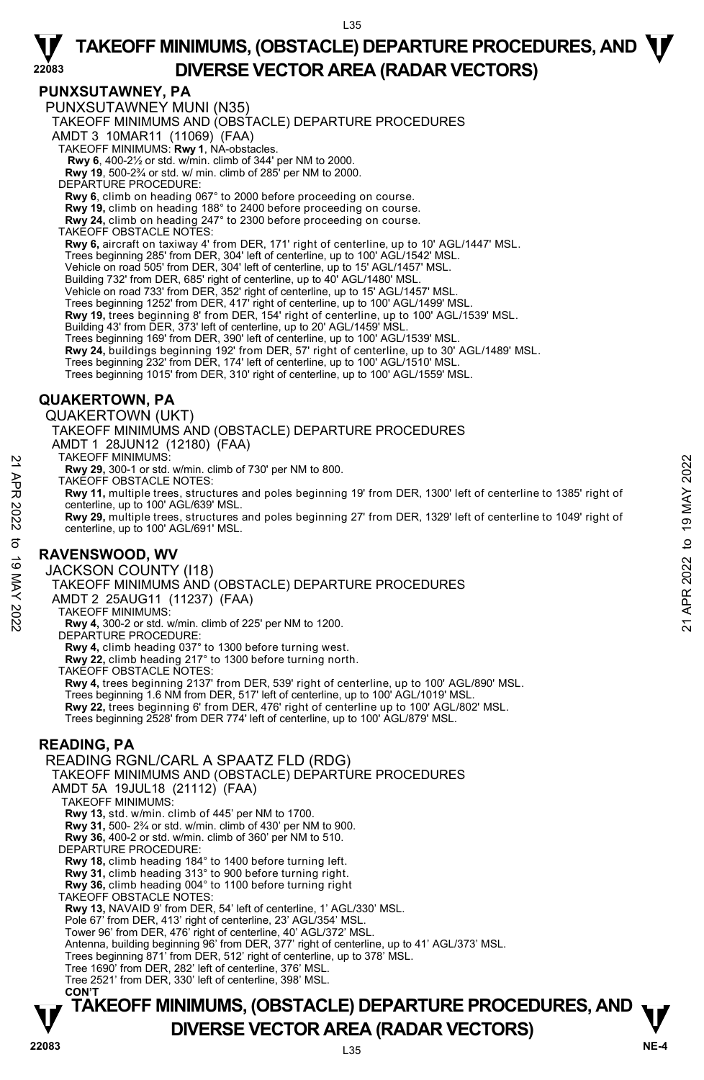#### **PUNXSUTAWNEY, PA**

**22083**  PUNXSUTAWNEY MUNI (N35) TAKEOFF MINIMUMS AND (OBSTACLE) DEPARTURE PROCEDURES AMDT 3 10MAR11 (11069) (FAA) TAKEOFF MINIMUMS: **Rwy 1**, NA-obstacles. **Rwy 6**, 400-2½ or std. w/min. climb of 344' per NM to 2000. **Rwy 19**, 500-2¾ or std. w/ min. climb of 285' per NM to 2000. DEPARTURE PROCEDURE: **Rwy 6**, climb on heading 067° to 2000 before proceeding on course. **Rwy 19,** climb on heading 188° to 2400 before proceeding on course. **Rwy 24,** climb on heading 247° to 2300 before proceeding on course. TAKEOFF OBSTACLE NOTES: **Rwy 6,** aircraft on taxiway 4' from DER, 171' right of centerline, up to 10' AGL/1447' MSL. Trees beginning 285' from DER, 304' left of centerline, up to 100' AGL/1542' MSL. Vehicle on road 505' from DER, 304' left of centerline, up to 15' AGL/1457' MSL. Building 732' from DER, 685' right of centerline, up to 40' AGL/1480' MSL. Vehicle on road 733' from DER, 352' right of centerline, up to 15' AGL/1457' MSL. Trees beginning 1252' from DER, 417' right of centerline, up to 100' AGL/1499' MSL. **Rwy 19,** trees beginning 8' from DER, 154' right of centerline, up to 100' AGL/1539' MSL. Building 43' from DER, 373' left of centerline, up to 20' AGL/1459' MSL. Trees beginning 169' from DER, 390' left of centerline, up to 100' AGL/1539' MSL. **Rwy 24,** buildings beginning 192' from DER, 57' right of centerline, up to 30' AGL/1489' MSL. Trees beginning 232' from DER, 174' left of centerline, up to 100' AGL/1510' MSL. Trees beginning 1015' from DER, 310' right of centerline, up to 100' AGL/1559' MSL. **QUAKERTOWN, PA**  QUAKERTOWN (UKT) TAKEOFF MINIMUMS AND (OBSTACLE) DEPARTURE PROCEDURES AMDT 1 28JUN12 (12180) (FAA) TAKEOFF MINIMUMS: **Rwy 29,** 300-1 or std. w/min. climb of 730' per NM to 800. TAKEOFF OBSTACLE NOTES: **Rwy 11,** multiple trees, structures and poles beginning 19' from DER, 1300' left of centerline to 1385' right of centerline, up to 100' AGL/639' MSL. **Rwy 29,** multiple trees, structures and poles beginning 27' from DER, 1329' left of centerline to 1049' right of centerline, up to 100' AGL/691' MSL. **RAVENSWOOD, WV**  JACKSON COUNTY (I18) TAKEOFF MINIMUMS AND (OBSTACLE) DEPARTURE PROCEDURES AMDT 2 25AUG11 (11237) (FAA) TAKEOFF MINIMUMS: **Rwy 4,** 300-2 or std. w/min. climb of 225' per NM to 1200. DEPARTURE PROCEDURE: **Rwy 4,** climb heading 037° to 1300 before turning west. **Rwy 22,** climb heading 217° to 1300 before turning north. TAKEOFF OBSTACLE NOTES: **Rwy 4,** trees beginning 2137' from DER, 539' right of centerline, up to 100' AGL/890' MSL. Trees beginning 1.6 NM from DER, 517' left of centerline, up to 100' AGL/1019' MSL. **Rwy 22,** trees beginning 6' from DER, 476' right of centerline up to 100' AGL/802' MSL. PAKEOFF MINIMUMS:<br>
21 ARKEOFF OBSTACLE NOTES:<br>
22 TAKEOFF OBSTACLE NOTES:<br>
22 TAKEOFF OBSTACLE NOTES:<br>
22 TAKEOFF OBSTACLE NOTES:<br>
22 CORPORATION:<br>
22 CORPORATION: CORPORATION OF ACTIONS OF THE CORPORATION OF THE CORPORAT

Trees beginning 2528' from DER 774' left of centerline, up to 100' AGL/879' MSL.

### **READING, PA**

READING RGNL/CARL A SPAATZ FLD (RDG) TAKEOFF MINIMUMS AND (OBSTACLE) DEPARTURE PROCEDURES AMDT 5A 19JUL18 (21112) (FAA) TAKEOFF MINIMUMS: **Rwy 13,** std. w/min. climb of 445' per NM to 1700. **Rwy 31,** 500- 2¾ or std. w/min. climb of 430' per NM to 900. **Rwy 36,** 400-2 or std. w/min. climb of 360' per NM to 510. DEPARTURE PROCEDURE: **Rwy 18,** climb heading 184° to 1400 before turning left. **Rwy 31,** climb heading 313° to 900 before turning right. **Rwy 36,** climb heading 004° to 1100 before turning right TAKEOFF OBSTACLE NOTES: **Rwy 13,** NAVAID 9' from DER, 54' left of centerline, 1' AGL/330' MSL. Pole 67' from DER, 413' right of centerline, 23' AGL/354' MSL. Tower 96' from DER, 476' right of centerline, 40' AGL/372' MSL. Antenna, building beginning 96' from DER, 377' right of centerline, up to 41' AGL/373' MSL. Trees beginning 871' from DER, 512' right of centerline, up to 378' MSL. Tree 1690' from DER, 282' left of centerline, 376' MSL. Tree 2521' from DER, 330' left of centerline, 398' MSL. **CON'T**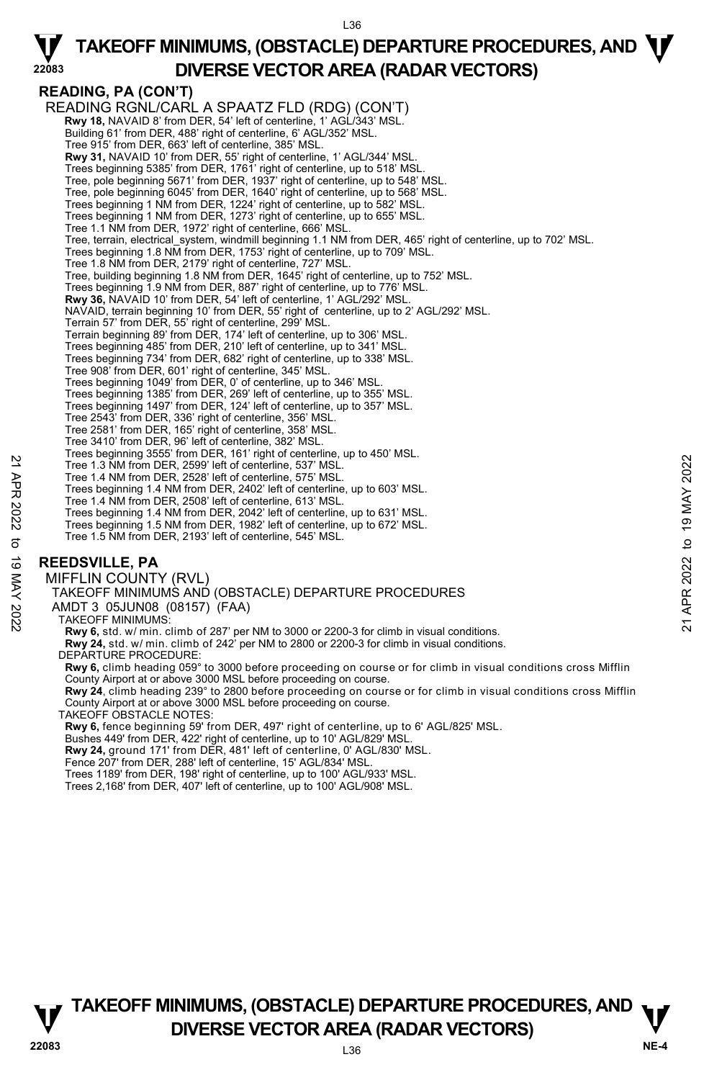L36

## **READING, PA (CON'T)**

**22083** 

READING RGNL/CARL A SPAATZ FLD (RDG) (CON'T)  **Rwy 18,** NAVAID 8' from DER, 54' left of centerline, 1' AGL/343' MSL. Building 61' from DER, 488' right of centerline, 6' AGL/352' MSL. Tree 915' from DER, 663' left of centerline, 385' MSL. **Rwy 31,** NAVAID 10' from DER, 55' right of centerline, 1' AGL/344' MSL. Trees beginning 5385' from DER, 1761' right of centerline, up to 518' MSL. Tree, pole beginning 5671' from DER, 1937' right of centerline, up to 548' MSL. Tree, pole beginning 6045' from DER, 1640' right of centerline, up to 568' MSL. Trees beginning 1 NM from DER, 1224' right of centerline, up to 582' MSL. Trees beginning 1 NM from DER, 1273' right of centerline, up to 655' MSL. Tree 1.1 NM from DER, 1972' right of centerline, 666' MSL. Tree, terrain, electrical\_system, windmill beginning 1.1 NM from DER, 465' right of centerline, up to 702' MSL. Trees beginning 1.8 NM from DER, 1753' right of centerline, up to 709' MSL. Tree 1.8 NM from DER, 2179' right of centerline, 727' MSL. Tree, building beginning 1.8 NM from DER, 1645' right of centerline, up to 752' MSL. Trees beginning 1.9 NM from DER, 887' right of centerline, up to 776' MSL. **Rwy 36,** NAVAID 10' from DER, 54' left of centerline, 1' AGL/292' MSL. NAVAID, terrain beginning 10' from DER, 55' right of centerline, up to 2' AGL/292' MSL. Terrain 57' from DER, 55' right of centerline, 299' MSL. Terrain beginning 89' from DER, 174' left of centerline, up to 306' MSL. Trees beginning 485' from DER, 210' left of centerline, up to 341' MSL. Trees beginning 734' from DER, 682' right of centerline, up to 338' MSL. Tree 908' from DER, 601' right of centerline, 345' MSL.<br>Trees beginning 1049' from DER, 0' of centerline, up to 346' MSL.<br>Trees beginning 1385' from DER, 269' left of centerline, up to 355' MSL. Trees beginning 1497' from DER, 124' left of centerline, up to 357' MSL. Tree 2543' from DER, 336' right of centerline, 356' MSL. Tree 2581' from DER, 165' right of centerline, 358' MSL. Tree 3410' from DER, 96' left of centerline, 382' MSL. Trees beginning 3555' from DER, 161' right of centerline, up to 450' MSL. Tree 1.3 NM from DER, 2599' left of centerline, 537' MSL. Tree 1.4 NM from DER, 2528' left of centerline, 575' MSL. Trees beginning 1.4 NM from DER, 2402' left of centerline, up to 603' MSL. Tree 1.4 NM from DER, 2508' left of centerline, 613' MSL. Trees beginning 1.4 NM from DER, 2042' left of centerline, up to 631' MSL. Trees beginning 1.5 NM from DER, 1982' left of centerline, up to 672' MSL. Tree 1.5 NM from DER, 2193' left of centerline, 545' MSL. Tree 1.3 NM from DER, 2599' left of centerline, 537 MSL.<br>
Tree 1.4 NM from DER, 2599' left of centerline, 575 MSL.<br>
Tree beginning 1.4 NM from DER, 2022' left of centerline, up to 603' MSL.<br>
Tree beginning 1.4 NM from DER,

### **REEDSVILLE, PA**

MIFFLIN COUNTY (RVL) TAKEOFF MINIMUMS AND (OBSTACLE) DEPARTURE PROCEDURES AMDT 3 05JUN08 (08157) (FAA) TAKEOFF MINIMUMS: **Rwy 6,** std. w/ min. climb of 287' per NM to 3000 or 2200-3 for climb in visual conditions. **Rwy 24,** std. w/ min. climb of 242' per NM to 2800 or 2200-3 for climb in visual conditions. DEPARTURE PROCEDURE: **Rwy 6,** climb heading 059° to 3000 before proceeding on course or for climb in visual conditions cross Mifflin County Airport at or above 3000 MSL before proceeding on course. **Rwy 24**, climb heading 239° to 2800 before proceeding on course or for climb in visual conditions cross Mifflin<br>County Airport at or above 3000 MSL before proceeding on course. TAKEOFF OBSTACLE NOTES: **Rwy 6,** fence beginning 59' from DER, 497' right of centerline, up to 6' AGL/825' MSL. Bushes 449' from DER, 422' right of centerline, up to 10' AGL/829' MSL. **Rwy 24,** ground 171' from DER, 481' left of centerline, 0' AGL/830' MSL.

Fence 207' from DER, 288' left of centerline, 15' AGL/834' MSL. Trees 1189' from DER, 198' right of centerline, up to 100' AGL/933' MSL. Trees 2,168' from DER, 407' left of centerline, up to 100' AGL/908' MSL.

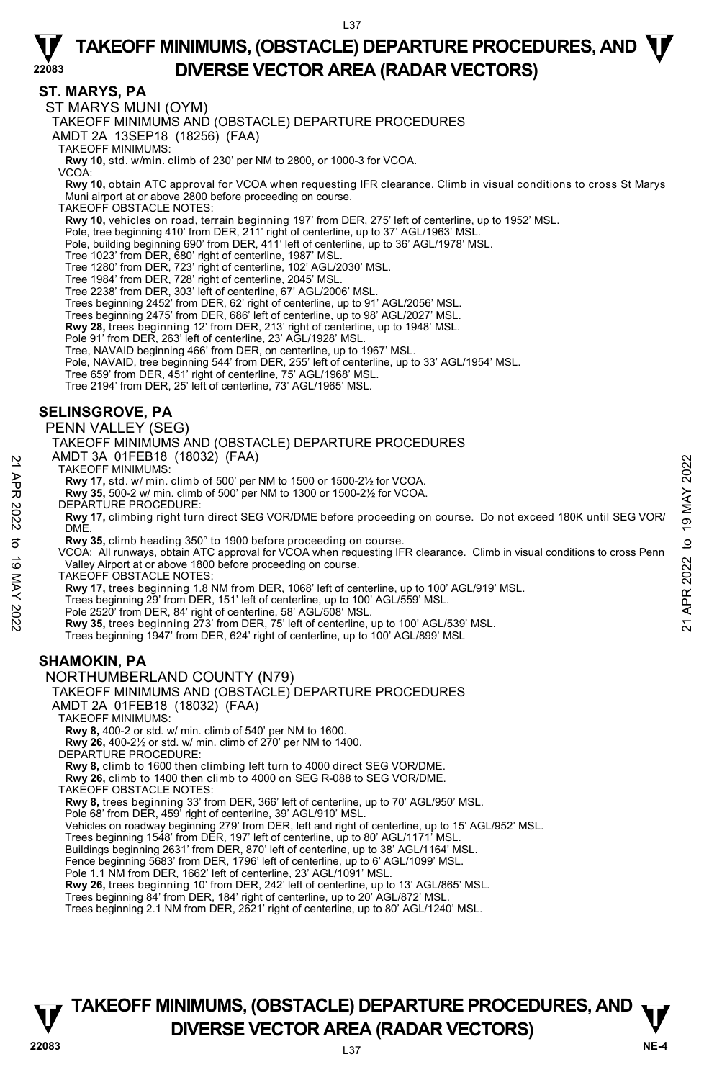#### **ST. MARYS, PA**

**22083** 

ST MARYS MUNI (OYM)

TAKEOFF MINIMUMS AND (OBSTACLE) DEPARTURE PROCEDURES

AMDT 2A 13SEP18 (18256) (FAA)

TAKEOFF MINIMUMS:

**Rwy 10,** std. w/min. climb of 230' per NM to 2800, or 1000-3 for VCOA.

VCOA:

**Rwy 10,** obtain ATC approval for VCOA when requesting IFR clearance. Climb in visual conditions to cross St Marys Muni airport at or above 2800 before proceeding on course.

TAKEOFF OBSTACLE NOTES:

**Rwy 10,** vehicles on road, terrain beginning 197' from DER, 275' left of centerline, up to 1952' MSL.

Pole, tree beginning 410' from DER, 211' right of centerline, up to 37' AGL/1963' MSL.

Pole, building beginning 690' from DER, 411' left of centerline, up to 36' AGL/1978' MSL. Tree 1023' from DER, 680' right of centerline, 1987' MSL.

Tree 1280' from DER, 723' right of centerline, 102' AGL/2030' MSL.

Tree 1984' from DER, 728' right of centerline, 2045' MSL. Tree 2238' from DER, 303' left of centerline, 67' AGL/2006' MSL.

Trees beginning 2452' from DER, 62' right of centerline, up to 91' AGL/2056' MSL.

Trees beginning 2475' from DER, 686' left of centerline, up to 98' AGL/2027' MSL.

**Rwy 28,** trees beginning 12' from DER, 213' right of centerline, up to 1948' MSL.<br>Pole 91' from DER, 263' left of centerline, 23' AGL/1928' MSL.

- 
- Tree, NAVAID beginning 466' from DER, on centerline, up to 1967' MSL.

Pole, NAVAID, tree beginning 544' from DER, 255' left of centerline, up to 33' AGL/1954' MSL. Tree 659' from DER, 451' right of centerline, 75' AGL/1968' MSL.

Tree 2194' from DER, 25' left of centerline, 73' AGL/1965' MSL.

#### **SELINSGROVE, PA**

PENN VALLEY (SEG)

TAKEOFF MINIMUMS AND (OBSTACLE) DEPARTURE PROCEDURES AMDT 3A 01FEB18 (18032) (FAA)

- TAKEOFF MINIMUMS:
- **Rwy 17,** std. w/ min. climb of 500' per NM to 1500 or 1500-2½ for VCOA.
- **Rwy 35,** 500-2 w/ min. climb of 500' per NM to 1300 or 1500-2½ for VCOA.
- DEPARTURE PROCEDURE:

**Rwy 17,** climbing right turn direct SEG VOR/DME before proceeding on course. Do not exceed 180K until SEG VOR/ **DME** AND 1 SA UITED IO (10032) (FAA)<br>
21 TAKEOFF MINIMUMS:<br> **21 Rwy 17**, std. w/ min. climb of 500' per NM to 1500 or 1500-2½ for VCOA.<br> **22** Rwy 35, 500-2 w/ min. climb of 500' per NM to 1300 or 1500-2½ for VCOA.<br>
DEPARTURE P

**Rwy 35,** climb heading 350° to 1900 before proceeding on course.

VCOA: All runways, obtain ATC approval for VCOA when requesting IFR clearance. Climb in visual conditions to cross Penn Valley Airport at or above 1800 before proceeding on course.

TAKEOFF OBSTACLE NOTES:

**Rwy 17,** trees beginning 1.8 NM from DER, 1068' left of centerline, up to 100' AGL/919' MSL.

Trees beginning 29' from DER, 151' left of centerline, up to 100' AGL/559' MSL.

Pole 2520' from DER, 84' right of centerline, 58' AGL/508' MSL.<br>**Rwy 35,** trees beginning 273' from DER, 75' left of centerline, up to 100' AGL/539' MSL.

Trees beginning 1947' from DER, 624' right of centerline, up to 100' AGL/899' MSL

### **SHAMOKIN, PA**

#### NORTHUMBERLAND COUNTY (N79)

TAKEOFF MINIMUMS AND (OBSTACLE) DEPARTURE PROCEDURES

AMDT 2A 01FEB18 (18032) (FAA)

TAKEOFF MINIMUMS:

**Rwy 8,** 400-2 or std. w/ min. climb of 540' per NM to 1600.

**Rwy 26,** 400-2½ or std. w/ min. climb of 270' per NM to 1400.

DEPARTURE PROCEDURE:

**Rwy 8,** climb to 1600 then climbing left turn to 4000 direct SEG VOR/DME.

**Rwy 26,** climb to 1400 then climb to 4000 on SEG R-088 to SEG VOR/DME.

TAKEOFF OBSTACLE NOTES:

**Rwy 8,** trees beginning 33' from DER, 366' left of centerline, up to 70' AGL/950' MSL.

Pole 68' from DER, 459' right of centerline, 39' AGL/910' MSL.

Vehicles on roadway beginning 279' from DER, left and right of centerline, up to 15' AGL/952' MSL.

Trees beginning 1548' from DER, 197' left of centerline, up to 80' AGL/1171' MSL.

Buildings beginning 2631' from DER, 870' left of centerline, up to 38' AGL/1164' MSL. Fence beginning 5683' from DER, 1796' left of centerline, up to 6' AGL/1099' MSL.

Pole 1.1 NM from DER, 1662' left of centerline, 23' AGL/1091' MSL.

**Rwy 26,** trees beginning 10' from DER, 242' left of centerline, up to 13' AGL/865' MSL.

Trees beginning 84' from DER, 184' right of centerline, up to 20' AGL/872' MSL.

Trees beginning 2.1 NM from DER, 2621' right of centerline, up to 80' AGL/1240' MSL.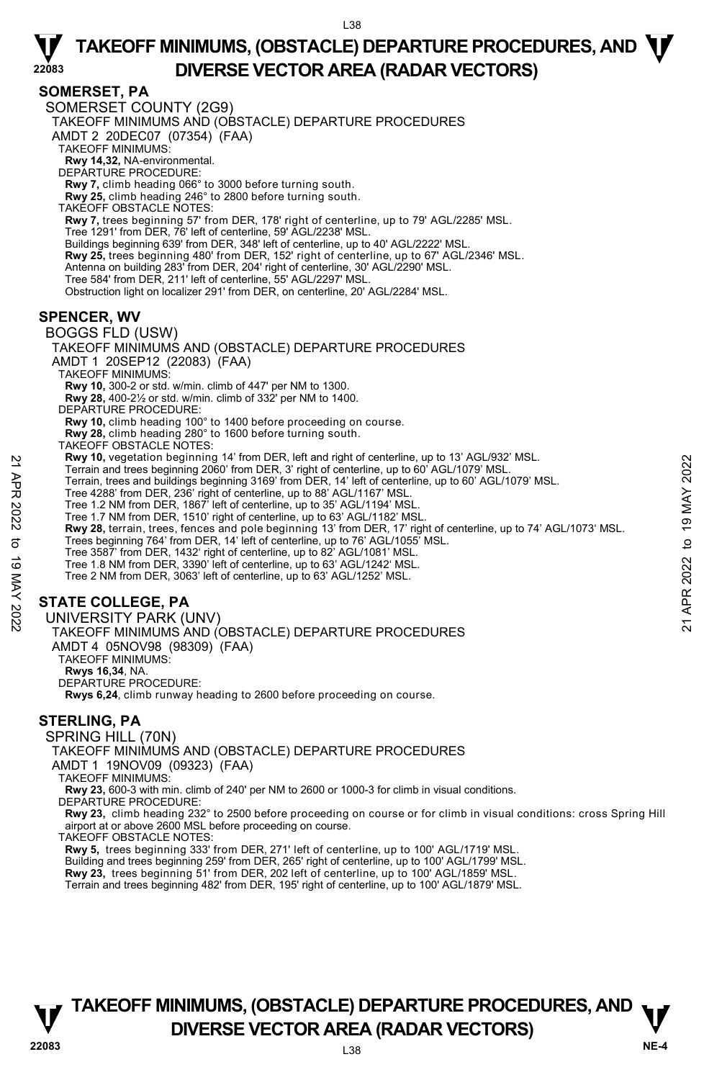#### **SOMERSET, PA**

**22083** 

SOMERSET COUNTY (2G9) TAKEOFF MINIMUMS AND (OBSTACLE) DEPARTURE PROCEDURES AMDT 2 20DEC07 (07354) (FAA) TAKEOFF MINIMUMS: **Rwy 14,32,** NA-environmental. DEPARTURE PROCEDURE: **Rwy 7,** climb heading 066° to 3000 before turning south. **Rwy 25,** climb heading 246° to 2800 before turning south. TAKEOFF OBSTACLE NOTES: **Rwy 7,** trees beginning 57' from DER, 178' right of centerline, up to 79' AGL/2285' MSL. Tree 1291' from DER, 76' left of centerline, 59' AGL/2238' MSL. Buildings beginning 639' from DER, 348' left of centerline, up to 40' AGL/2222' MSL. **Rwy 25,** trees beginning 480' from DER, 152' right of centerline, up to 67' AGL/2346' MSL. Antenna on building 283' from DER, 204' right of centerline, 30' AGL/2290' MSL. Tree 584' from DER, 211' left of centerline, 55' AGL/2297' MSL. Obstruction light on localizer 291' from DER, on centerline, 20' AGL/2284' MSL. **SPENCER, WV**  BOGGS FLD (USW) TAKEOFF MINIMUMS AND (OBSTACLE) DEPARTURE PROCEDURES AMDT 1 20SEP12 (22083) (FAA) TAKEOFF MINIMUMS: **Rwy 10,** 300-2 or std. w/min. climb of 447' per NM to 1300. **Rwy 28,** 400-2½ or std. w/min. climb of 332' per NM to 1400. DEPARTURE PROCEDURE: **Rwy 10,** climb heading 100° to 1400 before proceeding on course. **Rwy 28,** climb heading 280° to 1600 before turning south. TAKEOFF OBSTACLE NOTES: **Rwy 10,** vegetation beginning 14' from DER, left and right of centerline, up to 13' AGL/932' MSL. Terrain and trees beginning 2060' from DER, 3' right of centerline, up to 60' AGL/1079' MSL. Terrain, trees and buildings beginning 3169' from DER, 14' left of centerline, up to 60' AGL/1079' MSL. Tree 4288' from DER, 236' right of centerline, up to 88' AGL/1167' MSL. Tree 1.2 NM from DER, 1867' left of centerline, up to 35' AGL/1194' MSL. Tree 1.7 NM from DER, 1510' right of centerline, up to 63' AGL/1182' MSL. **Rwy 28,** terrain, trees, fences and pole beginning 13' from DER, 17' right of centerline, up to 74' AGL/1073' MSL.<br>Trees beginning 764' from DER, 14' left of centerline, up to 76' AGL/1055' MSL. Tree 3587' from DER, 1432' right of centerline, up to 82' AGL/1081' MSL. Tree 1.8 NM from DER, 3390' left of centerline, up to 63' AGL/1242' MSL. **EXAM 10, vegetalton beginning 14 from DER, 3 right of centerline, up to 13 AGL/932 MSL.**<br>
Terrain, trees and buildings beginning 3160' from DER, 3' right of centerline, up to 60' AGL/1079' MSL.<br>
Tree 4.28 from DER, 236'

Tree 2 NM from DER, 3063' left of centerline, up to 63' AGL/1252' MSL.

### **STATE COLLEGE, PA**

UNIVERSITY PARK (UNV)

TAKEOFF MINIMUMS AND (OBSTACLE) DEPARTURE PROCEDURES AMDT 4 05NOV98 (98309) (FAA)

TAKEOFF MINIMUMS:

**Rwys 16,34**, NA.

DEPARTURE PROCEDURE:

**Rwys 6,24**, climb runway heading to 2600 before proceeding on course.

### **STERLING, PA**

SPRING HILL (70N) TAKEOFF MINIMUMS AND (OBSTACLE) DEPARTURE PROCEDURES AMDT 1 19NOV09 (09323) (FAA) TAKEOFF MINIMUMS: **Rwy 23,** 600-3 with min. climb of 240' per NM to 2600 or 1000-3 for climb in visual conditions. DEPARTURE PROCEDURE:

**Rwy 23,** climb heading 232° to 2500 before proceeding on course or for climb in visual conditions: cross Spring Hill airport at or above 2600 MSL before proceeding on course.

TAKEOFF OBSTACLE NOTES:

**Rwy 5,** trees beginning 333' from DER, 271' left of centerline, up to 100' AGL/1719' MSL. Building and trees beginning 259' from DER, 265' right of centerline, up to 100' AGL/1799' MSL. **Rwy 23,** trees beginning 51' from DER, 202 left of centerline, up to 100' AGL/1859' MSL. Terrain and trees beginning 482' from DER, 195' right of centerline, up to 100' AGL/1879' MSL.

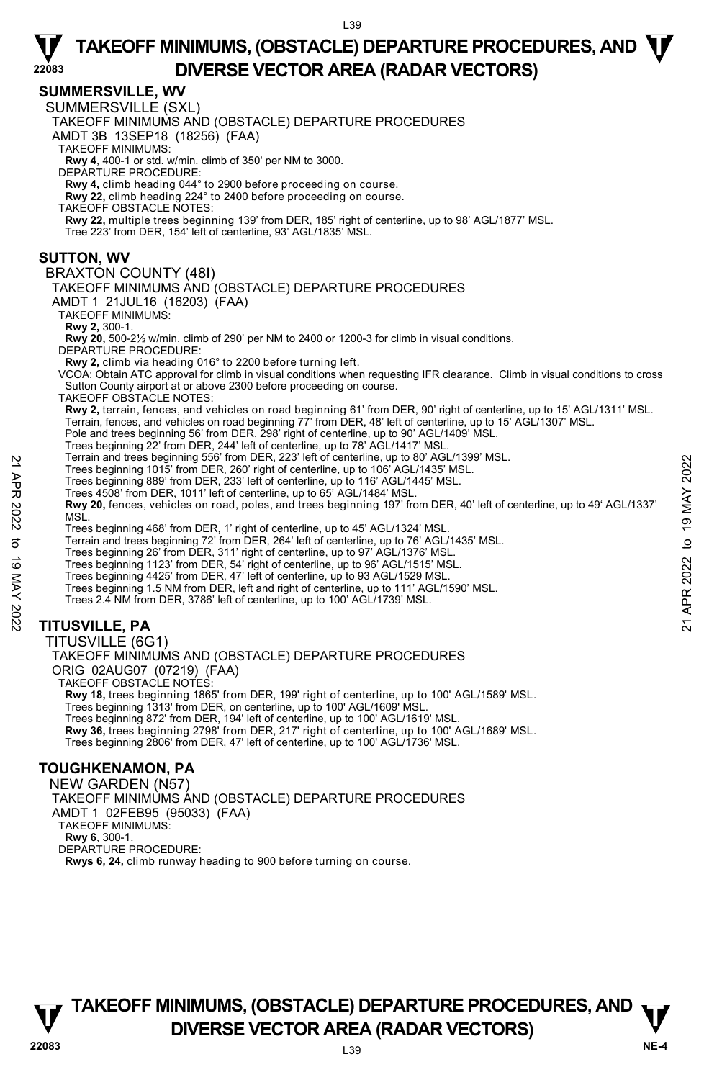#### **SUMMERSVILLE, WV**

**22083** 

SUMMERSVILLE (SXL)

TAKEOFF MINIMUMS AND (OBSTACLE) DEPARTURE PROCEDURES

AMDT 3B 13SEP18 (18256) (FAA)

TAKEOFF MINIMUMS:

**Rwy 4**, 400-1 or std. w/min. climb of 350' per NM to 3000. DEPARTURE PROCEDURE:

**Rwy 4,** climb heading 044° to 2900 before proceeding on course.

**Rwy 22,** climb heading 224° to 2400 before proceeding on course.

TAKEOFF OBSTACLE NOTES:

**Rwy 22,** multiple trees beginning 139' from DER, 185' right of centerline, up to 98' AGL/1877' MSL. Tree 223' from DER, 154' left of centerline, 93' AGL/1835' MSL.

**SUTTON, WV** 

#### BRAXTON COUNTY (48I)

TAKEOFF MINIMUMS AND (OBSTACLE) DEPARTURE PROCEDURES

AMDT 1 21JUL16 (16203) (FAA)

TAKEOFF MINIMUMS:

**Rwy 2,** 300-1.<br>**Rwy 20,** 500-2½ w/min. climb of 290' per NM to 2400 or 1200-3 for climb in visual conditions.

DEPARTURE PROCEDURE:

**Rwy 2,** climb via heading 016° to 2200 before turning left.

VCOA: Obtain ATC approval for climb in visual conditions when requesting IFR clearance. Climb in visual conditions to cross Sutton County airport at or above 2300 before proceeding on course.

TAKEOFF OBSTACLE NOTES:

**Rwy 2,** terrain, fences, and vehicles on road beginning 61' from DER, 90' right of centerline, up to 15' AGL/1311' MSL.<br>Terrain, fences, and vehicles on road beginning 77' from DER, 48' left of centerline, up to 15' AGL/1

Pole and trees beginning 56' from DER, 298' right of centerline, up to 90' AGL/1409' MSL. Trees beginning 22' from DER, 244' left of centerline, up to 78' AGL/1417' MSL.

Terrain and trees beginning 556' from DER, 223' left of centerline, up to 80' AGL/1399' MSL.

Trees beginning 1015' from DER, 260' right of centerline, up to 106' AGL/1435' MSL.

Trees beginning 889' from DER, 233' left of centerline, up to 116' AGL/1445' MSL.

Trees 4508' from DER, 1011' left of centerline, up to 65' AGL/1484' MSL.

**Rwy 20,** fences, vehicles on road, poles, and trees beginning 197' from DER, 40' left of centerline, up to 49' AGL/1337' **MSL** Treas beginning 105<sup>2</sup> from DER, 262<sup>2</sup> ield of centerline, up to 106° AGL/139° MSL.<br>
Trees beginning 1015' from DER, 230' right of centerline, up to 106° AGL/1445' MSL.<br>
Trees 4508' from DER, 1011' left of centerline, up

Trees beginning 468' from DER, 1' right of centerline, up to 45' AGL/1324' MSL.

Terrain and trees beginning 72' from DER, 264' left of centerline, up to 76' AGL/1435' MSL. Trees beginning 26' from DER, 311' right of centerline, up to 97' AGL/1376' MSL.

Trees beginning 1123' from DER, 54' right of centerline, up to 96' AGL/1515' MSL.

Trees beginning 4425' from DER, 47' left of centerline, up to 93 AGL/1529 MSL.

Trees beginning 1.5 NM from DER, left and right of centerline, up to 111' AGL/1590' MSL.

Trees 2.4 NM from DER, 3786' left of centerline, up to 100' AGL/1739' MSL.

### **TITUSVILLE, PA**

TITUSVILLE (6G1) TAKEOFF MINIMUMS AND (OBSTACLE) DEPARTURE PROCEDURES ORIG 02AUG07 (07219) (FAA) TAKEOFF OBSTACLE NOTES: **Rwy 18,** trees beginning 1865' from DER, 199' right of centerline, up to 100' AGL/1589' MSL.<br>Trees beginning 1313' from DER, on centerline, up to 100' AGL/1609' MSL. Trees beginning 872' from DER, 194' left of centerline, up to 100' AGL/1619' MSL. **Rwy 36,** trees beginning 2798' from DER, 217' right of centerline, up to 100' AGL/1689' MSL. Trees beginning 2806' from DER, 47' left of centerline, up to 100' AGL/1736' MSL.

#### **TOUGHKENAMON, PA**

 NEW GARDEN (N57) TAKEOFF MINIMUMS AND (OBSTACLE) DEPARTURE PROCEDURES AMDT 1 02FEB95 (95033) (FAA) TAKEOFF MINIMUMS: **Rwy 6**, 300-1. DEPARTURE PROCEDURE: **Rwys 6, 24,** climb runway heading to 900 before turning on course.

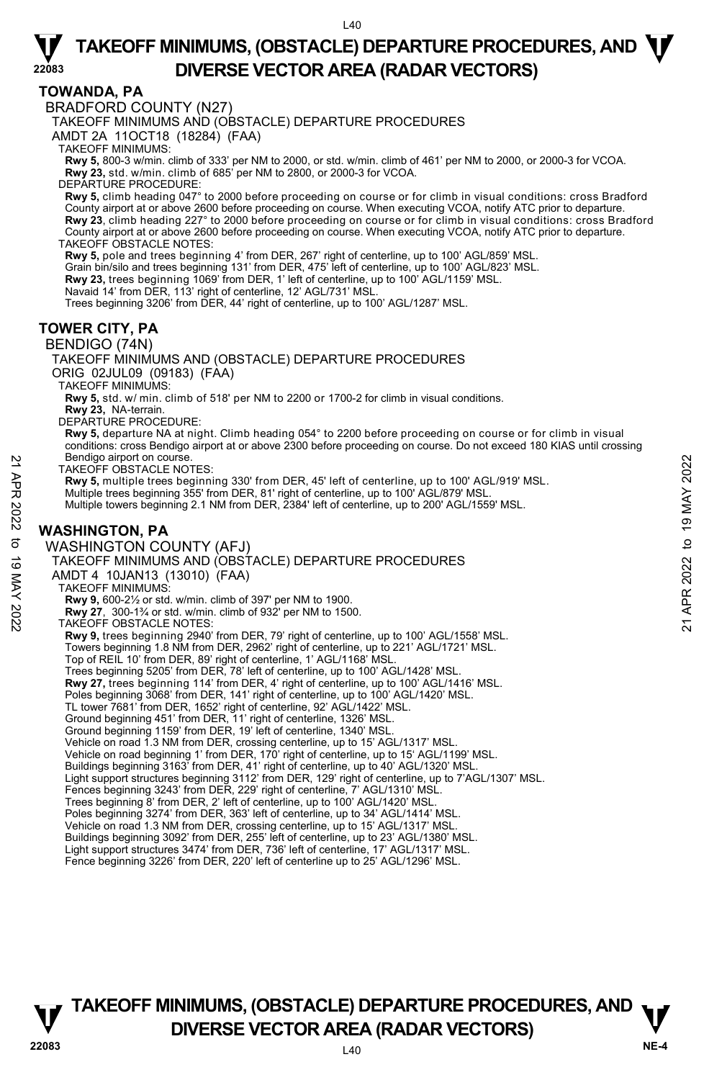#### **TOWANDA, PA**

**22083** 

BRADFORD COUNTY (N27)

TAKEOFF MINIMUMS AND (OBSTACLE) DEPARTURE PROCEDURES

AMDT 2A 11OCT18 (18284) (FAA)

TAKEOFF MINIMUMS:

**Rwy 5,** 800-3 w/min. climb of 333' per NM to 2000, or std. w/min. climb of 461' per NM to 2000, or 2000-3 for VCOA. **Rwy 23,** std. w/min. climb of 685' per NM to 2800, or 2000-3 for VCOA.

DEPARTURE PROCEDURE:

**Rwy 5,** climb heading 047° to 2000 before proceeding on course or for climb in visual conditions: cross Bradford County airport at or above 2600 before proceeding on course. When executing VCOA, notify ATC prior to departure.<br>**Rwy 23**, climb heading 227° to 2000 before proceeding on course or for climb in visual conditions: cross Bra County airport at or above 2600 before proceeding on course. When executing VCOA, notify ATC prior to departure. TAKEOFF OBSTACLE NOTES:

**Rwy 5,** pole and trees beginning 4' from DER, 267' right of centerline, up to 100' AGL/859' MSL.

Grain bin/silo and trees beginning 131' from DER, 475' left of centerline, up to 100' AGL/823' MSL.

**Rwy 23,** trees beginning 1069' from DER, 1' left of centerline, up to 100' AGL/1159' MSL.<br>Navaid 14' from DER, 113' right of centerline, 12' AGL/731' MSL.

Trees beginning 3206' from DER, 44' right of centerline, up to 100' AGL/1287' MSL.

#### **TOWER CITY, PA**

#### BENDIGO (74N)

TAKEOFF MINIMUMS AND (OBSTACLE) DEPARTURE PROCEDURES

ORIG 02JUL09 (09183) (FAA)

TAKEOFF MINIMUMS:

**Rwy 5,** std. w/ min. climb of 518' per NM to 2200 or 1700-2 for climb in visual conditions.

**Rwy 23,** NA-terrain. DEPARTURE PROCEDURE:

**Rwy 5,** departure NA at night. Climb heading 054° to 2200 before proceeding on course or for climb in visual conditions: cross Bendigo airport at or above 2300 before proceeding on course. Do not exceed 180 KIAS until crossing Bendigo airport on course.

TAKEOFF OBSTACLE NOTES:

**Rwy 5,** multiple trees beginning 330' from DER, 45' left of centerline, up to 100' AGL/919' MSL.<br>Multiple trees beginning 355' from DER, 81' right of centerline, up to 100' AGL/879' MSL.

Multiple towers beginning 2.1 NM from DER, 2384' left of centerline, up to 200' AGL/1559' MSL.

#### **WASHINGTON, PA**

WASHINGTON COUNTY (AFJ) TAKEOFF MINIMUMS AND (OBSTACLE) DEPARTURE PROCEDURES AMDT 4 10JAN13 (13010) (FAA) TAKEOFF MINIMUMS: **Rwy 9,** 600-2½ or std. w/min. climb of 397' per NM to 1900. **Rwy 27**, 300-1¾ or std. w/min. climb of 932' per NM to 1500. TAKEOFF OBSTACLE NOTES: **Rwy 9,** trees beginning 2940' from DER, 79' right of centerline, up to 100' AGL/1558' MSL. Towers beginning 1.8 NM from DER, 2962' right of centerline, up to 221' AGL/1721' MSL. Top of REIL 10' from DER, 89' right of centerline, 1' AGL/1168' MSL. Trees beginning 5205' from DER, 78' left of centerline, up to 100' AGL/1428' MSL. **Rwy 27,** trees beginning 114' from DER, 4' right of centerline, up to 100' AGL/1416' MSL. Poles beginning 3068' from DER, 141' right of centerline, up to 100' AGL/1420' MSL. TL tower 7681' from DER, 1652' right of centerline, 92' AGL/1422' MSL. Ground beginning 451' from DER, 11' right of centerline, 1326' MSL. Ground beginning 1159' from DER, 19' left of centerline, 1340' MSL. Vehicle on road 1.3 NM from DER, crossing centerline, up to 15' AGL/1317' MSL.<br>Vehicle on road beginning 1' from DER, 170' right of centerline, up to 15' AGL/1199' MSL. Buildings beginning 3163' from DER, 41' right of centerline, up to 40' AGL/1320' MSL. Light support structures beginning 3112' from DER, 129' right of centerline, up to 7'AGL/1307' MSL. Fences beginning 3243' from DER, 229' right of centerline, 7' AGL/1310' MSL. Trees beginning 8' from DER, 2' left of centerline, up to 100' AGL/1420' MSL. Poles beginning 3274' from DER, 363' left of centerline, up to 34' AGL/1414' MSL. Vehicle on road 1.3 NM from DER, crossing centerline, up to 15' AGL/1317' MSL. Buildings beginning 3092' from DER, 255' left of centerline, up to 23' AGL/1380' MSL. Light support structures 3474' from DER, 736' left of centerline, 17' AGL/1317' MSL. Fence beginning 3226' from DER, 220' left of centerline up to 25' AGL/1296' MSL. Metallong arport on course.<br>
TAKEOFF OBSTACLE NOTES:<br> **Rwy 5,** multiple trees beginning 330' from DER, 45' left of centerline, up to 100' AGL/919' MSL.<br>
Multiple trees beginning 355' from DER, 81' right of centerline, up t

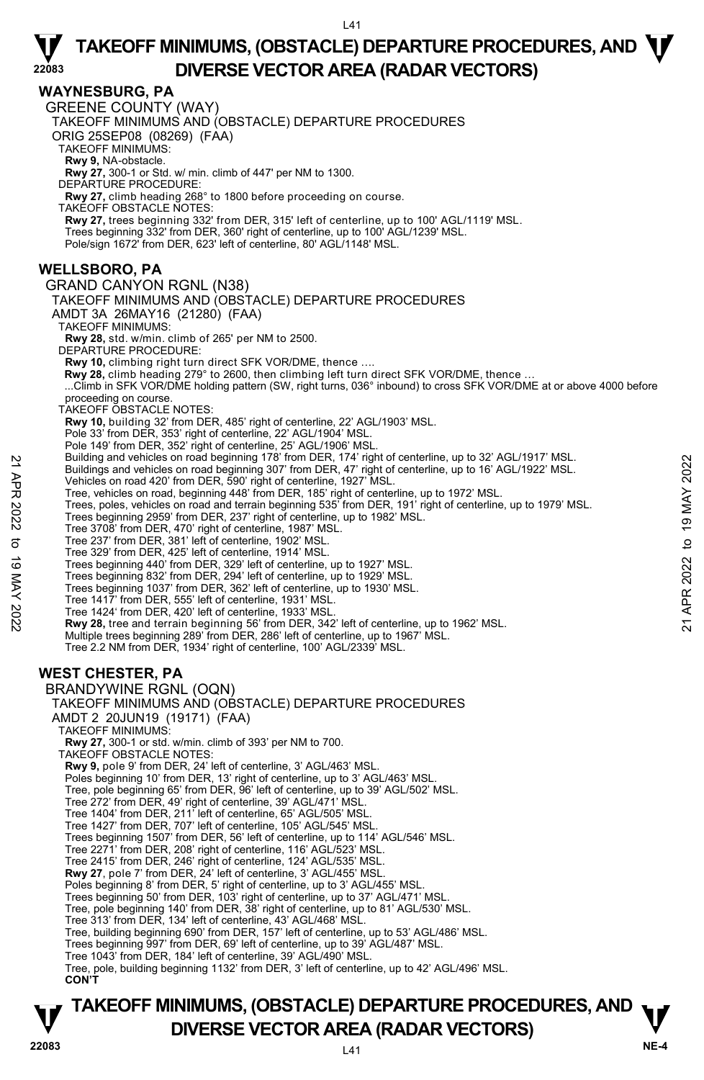#### **WAYNESBURG, PA**

**22083** 

GREENE COUNTY (WAY) TAKEOFF MINIMUMS AND (OBSTACLE) DEPARTURE PROCEDURES ORIG 25SEP08 (08269) (FAA) TAKEOFF MINIMUMS: **Rwy 9,** NA-obstacle. **Rwy 27,** 300-1 or Std. w/ min. climb of 447' per NM to 1300. DEPARTURE PROCEDURE: **Rwy 27,** climb heading 268° to 1800 before proceeding on course. TAKEOFF OBSTACLE NOTES: **Rwy 27,** trees beginning 332' from DER, 315' left of centerline, up to 100' AGL/1119' MSL. Trees beginning 332' from DER, 360' right of centerline, up to 100' AGL/1239' MSL. Pole/sign 1672' from DER, 623' left of centerline, 80' AGL/1148' MSL. **WELLSBORO, PA**  GRAND CANYON RGNL (N38) TAKEOFF MINIMUMS AND (OBSTACLE) DEPARTURE PROCEDURES AMDT 3A 26MAY16 (21280) (FAA) TAKEOFF MINIMUMS: **Rwy 28,** std. w/min. climb of 265' per NM to 2500. DEPARTURE PROCEDURE: **Rwy 10,** climbing right turn direct SFK VOR/DME, thence …. **Rwy 28,** climb heading 279° to 2600, then climbing left turn direct SFK VOR/DME, thence … ...Climb in SFK VOR/DME holding pattern (SW, right turns, 036° inbound) to cross SFK VOR/DME at or above 4000 before proceeding on course. TAKEOFF OBSTACLE NOTES: **Rwy 10,** building 32' from DER, 485' right of centerline, 22' AGL/1903' MSL. Pole 33' from DER, 353' right of centerline, 22' AGL/1904' MSL. Pole 149' from DER, 352' right of centerline, 25' AGL/1906' MSL Building and vehicles on road beginning 178' from DER, 174' right of centerline, up to 32' AGL/1917' MSL. Buildings and vehicles on road beginning 307' from DER, 47' right of centerline, up to 16' AGL/1922' MSL. Vehicles on road 420' from DER, 590' right of centerline, 1927' MSL. Tree, vehicles on road, beginning 448' from DER, 185' right of centerline, up to 1972' MSL. Trees, poles, vehicles on road and terrain beginning 535' from DER, 191' right of centerline, up to 1979' MSL. Trees beginning 2959' from DER, 237' right of centerline, up to 1982' MSL. Tree 3708' from DER, 470' right of centerline, 1987' MSL. Tree 237' from DER, 381' left of centerline, 1902' MSL. Tree 329' from DER, 425' left of centerline, 1914' MSL. Trees beginning 440' from DER, 329' left of centerline, up to 1927' MSL. Trees beginning 832' from DER, 294' left of centerline, up to 1929' MSL. Trees beginning 1037' from DER, 362' left of centerline, up to 1930' MSL. Tree 1417' from DER, 555' left of centerline, 1931' MSL. Tree 1424' from DER, 420' left of centerline, 1933' MSL. **Rwy 28,** tree and terrain beginning 56' from DER, 342' left of centerline, up to 1962' MSL. Multiple trees beginning 289' from DER, 286' left of centerline, up to 1967' MSL. Tree 2.2 NM from DER, 1934' right of centerline, 100' AGL/2339' MSL. **WEST CHESTER, PA**  BRANDYWINE RGNL (OQN) TAKEOFF MINIMUMS AND (OBSTACLE) DEPARTURE PROCEDURES AMDT 2 20JUN19 (19171) (FAA) TAKEOFF MINIMUMS: **Rwy 27,** 300-1 or std. w/min. climb of 393' per NM to 700. TAKEOFF OBSTACLE NOTES: **Rwy 9,** pole 9' from DER, 24' left of centerline, 3' AGL/463' MSL. Poles beginning 10' from DER, 13' right of centerline, up to 3' AGL/463' MSL. Tree, pole beginning 65' from DER, 96' left of centerline, up to 39' AGL/502' MSL. Tree 272' from DER, 49' right of centerline, 39' AGL/471' MSL. Tree 1404' from DER, 211' left of centerline, 65' AGL/505' MSL. Tree 1427' from DER, 707' left of centerline, 105' AGL/545' MSL. Trees beginning 1507' from DER, 56' left of centerline, up to 114' AGL/546' MSL. Tree 2271' from DER, 208' right of centerline, 116' AGL/523' MSL. Tree 2415' from DER, 246' right of centerline, 124' AGL/535' MSL. **Rwy 27**, pole 7' from DER, 24' left of centerline, 3' AGL/455' MSL. Poles beginning 8' from DER, 5' right of centerline, up to 3' AGL/455' MSL. Trees beginning 50' from DER, 103' right of centerline, up to 37' AGL/471' MSL. Tree, pole beginning 140' from DER, 38' right of centerline, up to 81' AGL/530' MSL. Tree 313' from DER, 134' left of centerline, 43' AGL/468' MSL. Tree, building beginning 690' from DER, 157' left of centerline, up to 53' AGL/486' MSL. Trees beginning 997' from DER, 69' left of centerline, up to 39' AGL/487' MSL. Tree 1043' from DER, 184' left of centerline, 39' AGL/490' MSL. Tree, pole, building beginning 1132' from DER, 3' left of centerline, up to 42' AGL/496' MSL. Building and venicles on road beginning 178' from DER, 14' right of centerline, up to 16' AGL/1917' MSL.<br>
Puildings and vehicles on road beginning 307' from DER, 47' right of centerline, up to 16' AGL/1922' MSL.<br>
Tree, ve

#### **CON'T**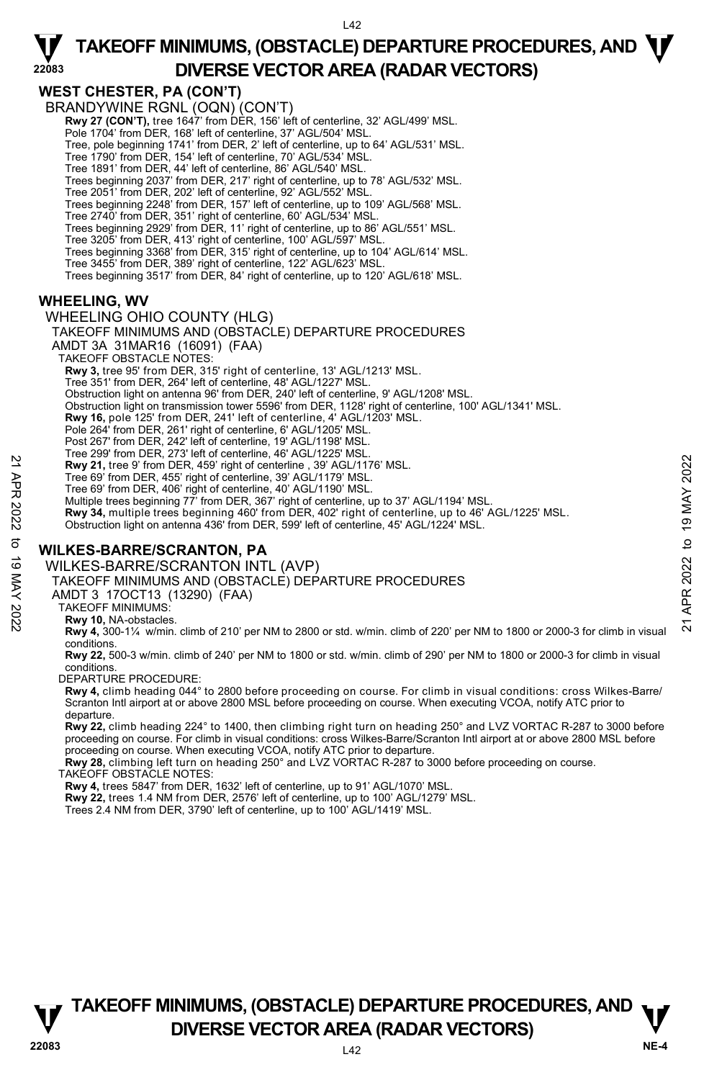### **WEST CHESTER, PA (CON'T)**

**22083** 

BRANDYWINE RGNL (OQN) (CON'T) **Rwy 27 (CON'T),** tree 1647' from DER, 156' left of centerline, 32' AGL/499' MSL. Pole 1704' from DER, 168' left of centerline, 37' AGL/504' MSL Tree, pole beginning 1741' from DER, 2' left of centerline, up to 64' AGL/531' MSL. Tree 1790' from DER, 154' left of centerline, 70' AGL/534' MSL. Tree 1891' from DER, 44' left of centerline, 86' AGL/540' MSL. Trees beginning 2037' from DER, 217' right of centerline, up to 78' AGL/532' MSL. Tree 2051' from DER, 202' left of centerline, 92' AGL/552' MSL. Trees beginning 2248' from DER, 157' left of centerline, up to 109' AGL/568' MSL. Tree 2740' from DER, 351' right of centerline, 60' AGL/534' MSL. Trees beginning 2929' from DER, 11' right of centerline, up to 86' AGL/551' MSL. Tree 3205' from DER, 413' right of centerline, 100' AGL/597' MSL. Trees beginning 3368' from DER, 315' right of centerline, up to 104' AGL/614' MSL. Tree 3455' from DER, 389' right of centerline, 122' AGL/623' MSL. Trees beginning 3517' from DER, 84' right of centerline, up to 120' AGL/618' MSL. **WHEELING, WV** 

## WHEELING OHIO COUNTY (HLG)

#### TAKEOFF MINIMUMS AND (OBSTACLE) DEPARTURE PROCEDURES

- AMDT 3A 31MAR16 (16091) (FAA)
- TAKEOFF OBSTACLE NOTES:
- **Rwy 3,** tree 95' from DER, 315' right of centerline, 13' AGL/1213' MSL.
- Tree 351' from DER, 264' left of centerline, 48' AGL/1227' MSL.
- Obstruction light on antenna 96' from DER, 240' left of centerline, 9' AGL/1208' MSL.
- Obstruction light on transmission tower 5596' from DER, 1128' right of centerline, 100' AGL/1341' MSL.
- **Rwy 16,** pole 125' from DER, 241' left of centerline, 4' AGL/1203' MSL.
- Pole 264' from DER, 261' right of centerline, 6' AGL/1205' MSL.
- Post 267' from DER, 242' left of centerline, 19' AGL/1198' MSL.
- Tree 299' from DER, 273' left of centerline, 46' AGL/1225' MSL. **Rwy 21,** tree 9' from DER, 459' right of centerline , 39' AGL/1176' MSL.
- 
- Tree 69' from DER, 455' right of centerline, 39' AGL/1179' MSL.
- Tree 69' from DER, 406' right of centerline, 40' AGL/1190' MSL. Multiple trees beginning 77' from DER, 367' right of centerline, up to 37' AGL/1194' MSL.
- **Rwy 34,** multiple trees beginning 460' from DER, 402' right of centerline, up to 46' AGL/1225' MSL. 22 A Rev 24, tree 9' from DER, 459' right of centerline, 39' AGL/1176' MSL.<br>
Tree 69' from DER, 459' right of centerline, 39' AGL/1179' MSL.<br>
Tree 69' from DER, 40° ight of centerline, 40' AGL/1191' MSL.<br>
Tree 69' from DE
	- Obstruction light on antenna 436' from DER, 599' left of centerline, 45' AGL/1224' MSL.

### **WILKES-BARRE/SCRANTON, PA**

#### WILKES-BARRE/SCRANTON INTL (AVP)

TAKEOFF MINIMUMS AND (OBSTACLE) DEPARTURE PROCEDURES

- AMDT 3 17OCT13 (13290) (FAA)
- TAKEOFF MINIMUMS:
- **Rwy 10,** NA-obstacles.
- **Rwy 4,** 300-1¼ w/min. climb of 210' per NM to 2800 or std. w/min. climb of 220' per NM to 1800 or 2000-3 for climb in visual conditions.
- **Rwy 22,** 500-3 w/min. climb of 240' per NM to 1800 or std. w/min. climb of 290' per NM to 1800 or 2000-3 for climb in visual conditions.
- DEPARTURE PROCEDURE:
- **Rwy 4,** climb heading 044° to 2800 before proceeding on course. For climb in visual conditions: cross Wilkes-Barre/ Scranton Intl airport at or above 2800 MSL before proceeding on course. When executing VCOA, notify ATC prior to departure.
- **Rwy 22,** climb heading 224° to 1400, then climbing right turn on heading 250° and LVZ VORTAC R-287 to 3000 before<br>proceeding on course. For climb in visual conditions: cross Wilkes-Barre/Scranton Intl airport at or above proceeding on course. When executing VCOA, notify ATC prior to departure.
- **Rwy 28,** climbing left turn on heading 250° and LVZ VORTAC R-287 to 3000 before proceeding on course.
- TAKEOFF OBSTACLE NOTES:
- **Rwy 4,** trees 5847' from DER, 1632' left of centerline, up to 91' AGL/1070' MSL.
- **Rwy 22,** trees 1.4 NM from DER, 2576' left of centerline, up to 100' AGL/1279' MSL.
- Trees 2.4 NM from DER, 3790' left of centerline, up to 100' AGL/1419' MSL.



 $\overline{142}$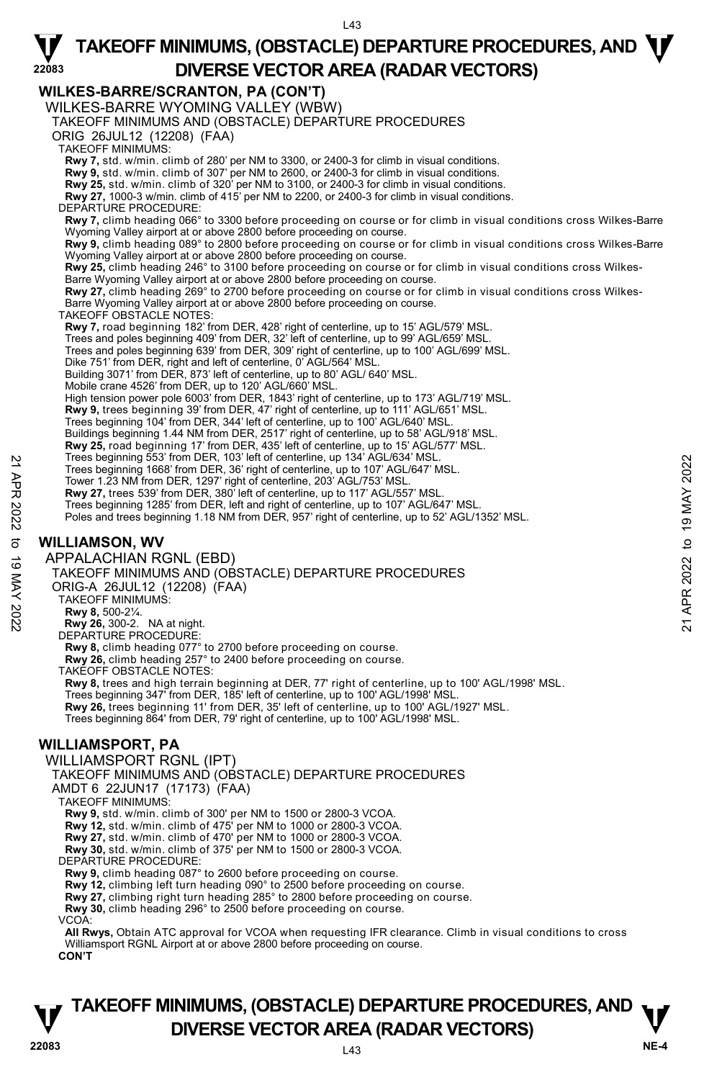**22083 WILKES-BARRE/SCRANTON, PA (CON'T)**  WILKES-BARRE WYOMING VALLEY (WBW) TAKEOFF MINIMUMS AND (OBSTACLE) DEPARTURE PROCEDURES ORIG 26JUL12 (12208) (FAA) TAKEOFF MINIMUMS: **Rwy 7,** std. w/min. climb of 280' per NM to 3300, or 2400-3 for climb in visual conditions. **Rwy 9,** std. w/min. climb of 307' per NM to 2600, or 2400-3 for climb in visual conditions. **Rwy 25,** std. w/min. climb of 320' per NM to 3100, or 2400-3 for climb in visual conditions. **Rwy 27,** 1000-3 w/min. climb of 415' per NM to 2200, or 2400-3 for climb in visual conditions. DEPARTURE PROCEDURE **Rwy 7,** climb heading 066° to 3300 before proceeding on course or for climb in visual conditions cross Wilkes-Barre Wyoming Valley airport at or above 2800 before proceeding on course. **Rwy 9,** climb heading 089° to 2800 before proceeding on course or for climb in visual conditions cross Wilkes-Barre Wyoming Valley airport at or above 2800 before proceeding on course. **Rwy 25,** climb heading 246° to 3100 before proceeding on course or for climb in visual conditions cross Wilkes-Barre Wyoming Valley airport at or above 2800 before proceeding on course. **Rwy 27,** climb heading 269° to 2700 before proceeding on course or for climb in visual conditions cross Wilkes-Barre Wyoming Valley airport at or above 2800 before proceeding on course. TAKEOFF OBSTACLE NOTES: **Rwy 7,** road beginning 182' from DER, 428' right of centerline, up to 15' AGL/579' MSL.<br>Trees and poles beginning 409' from DER, 32' left of centerline, up to 99' AGL/659' MSL.<br>Trees and poles beginning 639' from DER, 309 Dike 751' from DER, right and left of centerline, 0' AGL/564' MSL. Building 3071' from DER, 873' left of centerline, up to 80' AGL/ 640' MSL. Mobile crane 4526' from DER, up to 120' AGL/660' MSL. High tension power pole 6003' from DER, 1843' right of centerline, up to 173' AGL/719' MSL. **Rwy 9,** trees beginning 39' from DER, 47' right of centerline, up to 111' AGL/651' MSL.<br>Trees beginning 104' from DER, 344' left of centerline, up to 100' AGL/640' MSL. Buildings beginning 1.44 NM from DER, 2517' right of centerline, up to 58' AGL/918' MSL. **Rwy 25,** road beginning 17' from DER, 435' left of centerline, up to 15' AGL/577' MSL.<br>Trees beginning 553' from DER, 103' left of centerline, up 134' AGL/634' MSL. Trees beginning 1668' from DER, 36' right of centerline, up to 107' AGL/647' MSL. Tower 1.23 NM from DER, 1297' right of centerline, 203' AGL/753' MSL. **Rwy 27,** trees 539' from DER, 380' left of centerline, up to 117' AGL/557' MSL. Trees beginning 1285' from DER, left and right of centerline, up to 107' AGL/647' MSL. Poles and trees beginning 1.18 NM from DER, 957' right of centerline, up to 52' AGL/1352' MSL. **WILLIAMSON, WV**  APPALACHIAN RGNL (EBD) TAKEOFF MINIMUMS AND (OBSTACLE) DEPARTURE PROCEDURES ORIG-A 26JUL12 (12208) (FAA) TAKEOFF MINIMUMS: **Rwy 8,** 500-2¼. **Rwy 26,** 300-2. NA at night. DEPARTURE PROCEDURE: **Rwy 8,** climb heading 077° to 2700 before proceeding on course. **Rwy 26,** climb heading 257° to 2400 before proceeding on course. TAKEOFF OBSTACLE NOTES: **Rwy 8,** trees and high terrain beginning at DER, 77' right of centerline, up to 100' AGL/1998' MSL. Trees beginning 347' from DER, 185' left of centerline, up to 100' AGL/1998' MSL. **Rwy 26,** trees beginning 11' from DER, 35' left of centerline, up to 100' AGL/1927' MSL. Trees beginning 864' from DER, 79' right of centerline, up to 100' AGL/1998' MSL. **WILLIAMSPORT, PA**  Trees beginning 968' from DER, 19' ierd of centerline, up to 107' AGL/647' MSL.<br>
Trees beginning 1668' from DER, 38' right of centerline, up to 107' AGL/647' MSL.<br>
Tower 1.23 NM from DER, 1297' right of centerline, up to 1

WILLIAMSPORT RGNL (IPT) TAKEOFF MINIMUMS AND (OBSTACLE) DEPARTURE PROCEDURES AMDT 6 22JUN17 (17173) (FAA) TAKEOFF MINIMUMS: **Rwy 9,** std. w/min. climb of 300' per NM to 1500 or 2800-3 VCOA.<br>**Rwy 12,** std. w/min. climb of 475' per NM to 1000 or 2800-3 VCOA.<br>**Rwy 27,** std. w/min. climb of 470' per NM to 1000 or 2800-3 VCOA. **Rwy 30,** std. w/min. climb of 375' per NM to 1500 or 2800-3 VCOA. DEPARTURE PROCEDURE: **Rwy 9,** climb heading 087° to 2600 before proceeding on course. **Rwy 12,** climbing left turn heading 090° to 2500 before proceeding on course. **Rwy 27,** climbing right turn heading 285° to 2800 before proceeding on course. **Rwy 30,** climb heading 296° to 2500 before proceeding on course. VCOA: **All Rwys,** Obtain ATC approval for VCOA when requesting IFR clearance. Climb in visual conditions to cross Williamsport RGNL Airport at or above 2800 before proceeding on course.

**CON'T** 

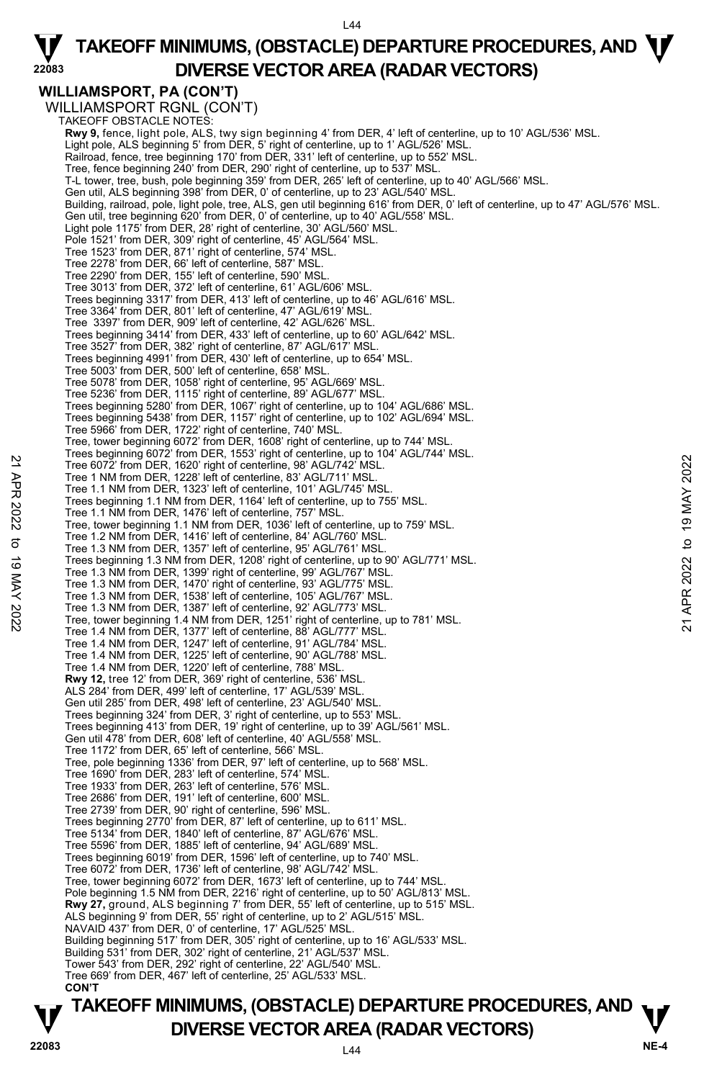L44

## $\Psi$  TAKEOFF MINIMUMS, (OBSTACLE) DEPARTURE PROCEDURES, AND  $\Psi$ **DIVERSE VECTOR AREA (RADAR VECTORS)**

### **WILLIAMSPORT, PA (CON'T)**

**22083** 

**TAKEOFF MINIMUMS, (OBSTACLE) DEPARTURE PROCEDURES, AND**  $\mathbf{\nabla}$ WILLIAMSPORT RGNL (CON'T) TAKEOFF OBSTACLE NOTES: **Rwy 9,** fence, light pole, ALS, twy sign beginning 4' from DER, 4' left of centerline, up to 10' AGL/536' MSL. Light pole, ALS beginning 5' from DER, 5' right of centerline, up to 1' AGL/526' MSL. Railroad, fence, tree beginning 170' from DER, 331' left of centerline, up to 552' MSL. Tree, fence beginning 240' from DER, 290' right of centerline, up to 537' MSL. T-L tower, tree, bush, pole beginning 359' from DER, 265' left of centerline, up to 40' AGL/566' MSL. Gen util, ALS beginning 398' from DER, 0' of centerline, up to 23' AGL/540' MSL. Building, railroad, pole, light pole, tree, ALS, gen util beginning 616' from DER, 0' left of centerline, up to 47' AGL/576' MSL.<br>Gen util, tree beginning 620' from DER, 0' of centerline, up to 40' AGL/558' MSL. Light pole 1175' from DER, 28' right of centerline, 30' AGL/560' MSL. Pole 1521' from DER, 309' right of centerline, 45' AGL/564' MSL. Tree 1523' from DER, 871' right of centerline, 574' MSL. Tree 2278' from DER, 66' left of centerline, 587' MSL. Tree 2290' from DER, 155' left of centerline, 590' MSL. Tree 3013' from DER, 372' left of centerline, 61' AGL/606' MSL. Trees beginning 3317' from DER, 413' left of centerline, up to 46' AGL/616' MSL. Tree 3364' from DER, 801' left of centerline, 47' AGL/619' MSL. Tree 3397' from DER, 909' left of centerline, 42' AGL/626' MSL. Trees beginning 3414' from DER, 433' left of centerline, up to 60' AGL/642' MSL. Tree 3527' from DER, 382' right of centerline, 87' AGL/617' MSL. Trees beginning 4991' from DER, 430' left of centerline, up to 654' MSL. Tree 5003' from DER, 500' left of centerline, 658' MSL. Tree 5078' from DER, 1058' right of centerline, 95' AGL/669' MSL. Tree 5236' from DER, 1115' right of centerline, 89' AGL/677' MSL. Trees beginning 5280' from DER, 1067' right of centerline, up to 104' AGL/686' MSL. Trees beginning 5438' from DER, 1157' right of centerline, up to 102' AGL/694' MSL. Tree 5966' from DER, 1722' right of centerline, 740' MSL. Tree, tower beginning 6072' from DER, 1608' right of centerline, up to 744' MSL. Trees beginning 6072' from DER, 1553' right of centerline, up to 104' AGL/744' MSL. Tree 6072' from DER, 1620' right of centerline, 98' AGL/742' MSL. Tree 1 NM from DER, 1228' left of centerline, 83' AGL/711' MSL. Tree 1.1 NM from DER, 1323' left of centerline, 101' AGL/745' MS Trees beginning 1.1 NM from DER, 1164' left of centerline, up to 755' MSL. Tree 1.1 NM from DER, 1476' left of centerline, 757' MSL. Tree, tower beginning 1.1 NM from DER, 1036' left of centerline, up to 759' MSL. Tree 1.2 NM from DER, 1416' left of centerline, 84' AGL/760' MSL. Tree 1.3 NM from DER, 1357' left of centerline, 95' AGL/761' MSL. Trees beginning 1.3 NM from DER, 1208' right of centerline, up to 90' AGL/771' MSL. Tree 1.3 NM from DER, 1399' right of centerline, 99' AGL/767' MSL. Tree 1.3 NM from DER, 1470' right of centerline, 93' AGL/775' MSL. Tree 1.3 NM from DER, 1538' left of centerline, 105' AGL/767' MSL. Tree 1.3 NM from DER, 1387' left of centerline, 92' AGL/773' MSL. Tree, tower beginning 1.4 NM from DER, 1251' right of centerline, up to 781' MSL. Tree 1.4 NM from DER, 1377' left of centerline, 88' AGL/777' MSL. Tree 1.4 NM from DER, 1247' left of centerline, 91' AGL/784' MSL. Tree 1.4 NM from DER, 1225' left of centerline, 90' AGL/788' MSL. Tree 1.4 NM from DER, 1220' left of centerline, 788' MSL. **Rwy 12,** tree 12' from DER, 369' right of centerline, 536' MSL. ALS 284' from DER, 499' left of centerline, 17' AGL/539' MSL. Gen util 285' from DER, 498' left of centerline, 23' AGL/540' MSL. Trees beginning 324' from DER, 3' right of centerline, up to 553' MSL. Trees beginning 413' from DER, 19' right of centerline, up to 39' AGL/561' MSL. Gen util 478' from DER, 608' left of centerline, 40' AGL/558' MSL. Tree 1172' from DER, 65' left of centerline, 566' MSL. Tree, pole beginning 1336' from DER, 97' left of centerline, up to 568' MSL. Tree 1690' from DER, 283' left of centerline, 574' MSL. Tree 1933' from DER, 263' left of centerline, 576' MSL. Tree 2686' from DER, 191' left of centerline, 600' MSL. Tree 2739' from DER, 90' right of centerline, 596' MSL. Trees beginning 2770' from DER, 87' left of centerline, up to 611' MSL. Tree 5134' from DER, 1840' left of centerline, 87' AGL/676' MSL. Tree 5596' from DER, 1885' left of centerline, 94' AGL/689' MSL. Trees beginning 6019' from DER, 1596' left of centerline, up to 740' MSL. Tree 6072' from DER, 1736' left of centerline, 98' AGL/742' MSL. Tree, tower beginning 6072' from DER, 1673' left of centerline, up to 744' MSL. Pole beginning 1.5 NM from DER, 2216' right of centerline, up to 50' AGL/813' MSL. **Rwy 27,** ground, ALS beginning 7' from DER, 55' left of centerline, up to 515' MSL. ALS beginning 9' from DER, 55' right of centerline, up to 2' AGL/515' MSL. NAVAID 437' from DER, 0' of centerline, 17' AGL/525' MSL. Building beginning 517' from DER, 305' right of centerline, up to 16' AGL/533' MSL. Building 531' from DER, 302' right of centerline, 21' AGL/537' MSL. Tower 543' from DER, 292' right of centerline, 22' AGL/540' MSL. Tree 669' from DER, 467' left of centerline, 25' AGL/533' MSL. **CON'T**  22 Tree 6072' from DER, 1620' right of centerline, 98' AGL/742' MSL.<br>
Tree 6072' from DER, 1228' left of centerline, 83' AGL/711' MSL.<br>
Tree 1.1 MM from DER, 1232' left of centerline, 101' AGL/742' MSL.<br>
Tree 1.1 MM from

 $\overline{A4}$ 

# **DIVERSE VECTOR AREA (RADAR VECTORS)**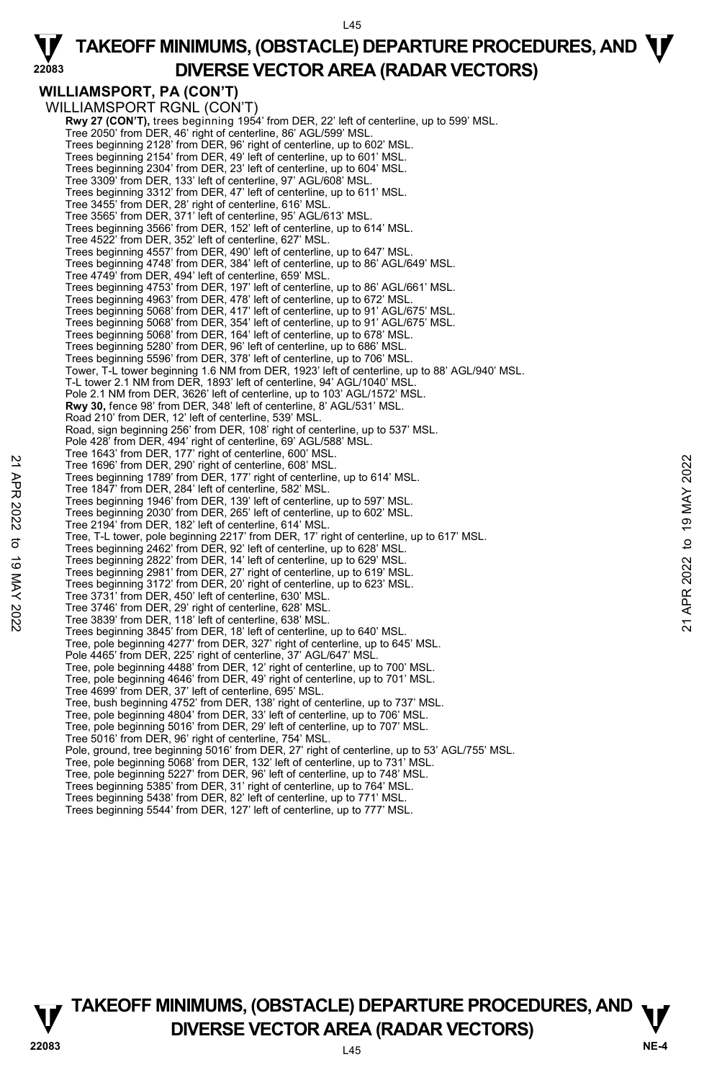#### L45

## $\Psi$  TAKEOFF MINIMUMS, (OBSTACLE) DEPARTURE PROCEDURES, AND  $\Psi$ **DIVERSE VECTOR AREA (RADAR VECTORS)**

### **WILLIAMSPORT, PA (CON'T)**  WILLIAMSPORT RGNL (CON'T)

**22083** 

**Rwy 27 (CON'T),** trees beginning 1954' from DER, 22' left of centerline, up to 599' MSL. Tree 2050' from DER, 46' right of centerline, 86' AGL/599' MSL. Trees beginning 2128' from DER, 96' right of centerline, up to 602' MSL. Trees beginning 2154' from DER, 49' left of centerline, up to 601' MSL. Trees beginning 2304' from DER, 23' left of centerline, up to 604' MSL. Tree 3309' from DER, 133' left of centerline, 97' AGL/608' MSL. Trees beginning 3312' from DER, 47' left of centerline, up to 611' MSL. Tree 3455' from DER, 28' right of centerline, 616' MSL. Tree 3565' from DER, 371' left of centerline, 95' AGL/613' MSL. Trees beginning 3566' from DER, 152' left of centerline, up to 614' MSL. Tree 4522' from DER, 352' left of centerline, 627' MSL. Trees beginning 4557' from DER, 490' left of centerline, up to 647' MSL. Trees beginning 4748' from DER, 384' left of centerline, up to 86' AGL/649' MSL. Tree 4749' from DER, 494' left of centerline, 659' MSL. Trees beginning 4753' from DER, 197' left of centerline, up to 86' AGL/661' MSL. Trees beginning 4963' from DER, 478' left of centerline, up to 672' MSL. Trees beginning 5068' from DER, 417' left of centerline, up to 91' AGL/675' MSL. Trees beginning 5068' from DER, 354' left of centerline, up to 91' AGL/675' MSL. Trees beginning 5068' from DER, 164' left of centerline, up to 678' MSL. Trees beginning 5280' from DER, 96' left of centerline, up to 686' MSL. Trees beginning 5596' from DER, 378' left of centerline, up to 706' MSL. Tower, T-L tower beginning 1.6 NM from DER, 1923' left of centerline, up to 88' AGL/940' MSL. T-L tower 2.1 NM from DER, 1893' left of centerline, 94' AGL/1040' MSL Pole 2.1 NM from DER, 3626' left of centerline, up to 103' AGL/1572' MSL. **Rwy 30,** fence 98' from DER, 348' left of centerline, 8' AGL/531' MSL. Road 210' from DER, 12' left of centerline, 539' MSL. Road, sign beginning 256' from DER, 108' right of centerline, up to 537' MSL. Pole 428' from DER, 494' right of centerline, 69' AGL/588' MSL. Tree 1643' from DER, 177' right of centerline, 600' MSL. Tree 1696' from DER, 290' right of centerline, 608' MSL. Trees beginning 1789' from DER, 177' right of centerline, up to 614' MSL. Tree 1847' from DER, 284' left of centerline, 582' MSL. Trees beginning 1946' from DER, 139' left of centerline, up to 597' MSL. Trees beginning 2030' from DER, 265' left of centerline, up to 602' MSL. Tree 2194' from DER, 182' left of centerline, 614' MSL. Tree, T-L tower, pole beginning 2217' from DER, 17' right of centerline, up to 617' MSL. Trees beginning 2462' from DER, 92' left of centerline, up to 628' MSL. Trees beginning 2822' from DER, 14' left of centerline, up to 629' MSL. Trees beginning 2981' from DER, 27' right of centerline, up to 619' MSL. Trees beginning 3172' from DER, 20' right of centerline, up to 623' MSL. Tree 3731' from DER, 450' left of centerline, 630' MSL. Tree 3746' from DER, 29' right of centerline, 628' MSL.<br>Tree 3839' from DER, 118' left of centerline, 638' MSL.<br>Trees beginning 3845' from DER, 18' left of centerline, up to 640' MSL. Tree, pole beginning 4277' from DER, 327' right of centerline, up to 645' MSL. Pole 4465' from DER, 225' right of centerline, 37' AGL/647' MSL. Tree, pole beginning 4488' from DER, 12' right of centerline, up to 700' MSL. Tree, pole beginning 4646' from DER, 49' right of centerline, up to 701' MSL. Tree 4699' from DER, 37' left of centerline, 695' MSL. Tree, bush beginning 4752' from DER, 138' right of centerline, up to 737' MSL. Tree, pole beginning 4804' from DER, 33' left of centerline, up to 706' MSL. Tree, pole beginning 5016' from DER, 29' left of centerline, up to 707' MSL. Tree 5016' from DER, 96' right of centerline, 754' MSL. Pole, ground, tree beginning 5016' from DER, 27' right of centerline, up to 53' AGL/755' MSL. Tree, pole beginning 5068' from DER, 132' left of centerline, up to 731' MSL. Tree, pole beginning 5227' from DER, 96' left of centerline, up to 748' MSL. Trees beginning 5385' from DER, 31' right of centerline, up to 764' MSL. Trees beginning 5438' from DER, 82' left of centerline, up to 771' MSL. 22 Tree 1996 from DER, 290 'right of centerline, 608 MSL.<br>
Tree 1696 from DER, 290 'right of centerline, 608 MSL.<br>
Trees beginning 1789 from DER, 177' right of centerline, up to 614' MSL.<br>
Trees beginning 1946' from DER, 2